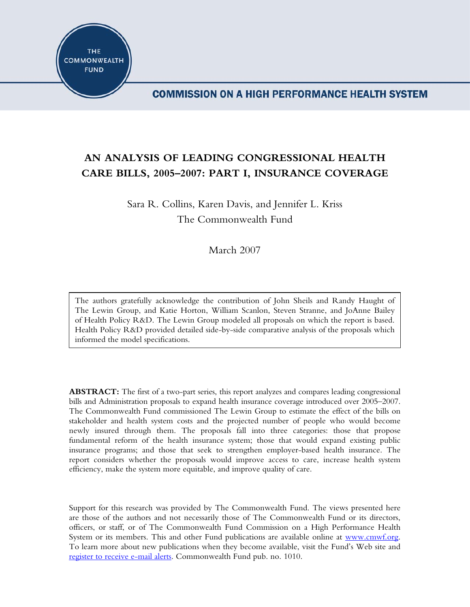

### **COMMISSION ON A HIGH PERFORMANCE HEALTH SYSTEM**

# **AN ANALYSIS OF LEADING CONGRESSIONAL HEALTH CARE BILLS, 2005–2007: PART I, INSURANCE COVERAGE**

Sara R. Collins, Karen Davis, and Jennifer L. Kriss The Commonwealth Fund

# March 2007

The authors gratefully acknowledge the contribution of John Sheils and Randy Haught of The Lewin Group, and Katie Horton, William Scanlon, Steven Stranne, and JoAnne Bailey of Health Policy R&D. The Lewin Group modeled all proposals on which the report is based. Health Policy R&D provided detailed side-by-side comparative analysis of the proposals which informed the model specifications.

**ABSTRACT:** The first of a two-part series, this report analyzes and compares leading congressional bills and Administration proposals to expand health insurance coverage introduced over 2005–2007. The Commonwealth Fund commissioned The Lewin Group to estimate the effect of the bills on stakeholder and health system costs and the projected number of people who would become newly insured through them. The proposals fall into three categories: those that propose fundamental reform of the health insurance system; those that would expand existing public insurance programs; and those that seek to strengthen employer-based health insurance. The report considers whether the proposals would improve access to care, increase health system efficiency, make the system more equitable, and improve quality of care.

Support for this research was provided by The Commonwealth Fund. The views presented here are those of the authors and not necessarily those of The Commonwealth Fund or its directors, officers, or staff, or of The Commonwealth Fund Commission on a High Performance Health System or its members. This and other Fund publications are available online at [www.cmwf.org](http://www.cmwf.org/). To learn more about new publications when they become available, visit the Fund's Web site and [register to receive e-mail alerts](http://www.cmwf.org/emailalert/emailalert.htm). Commonwealth Fund pub. no. 1010.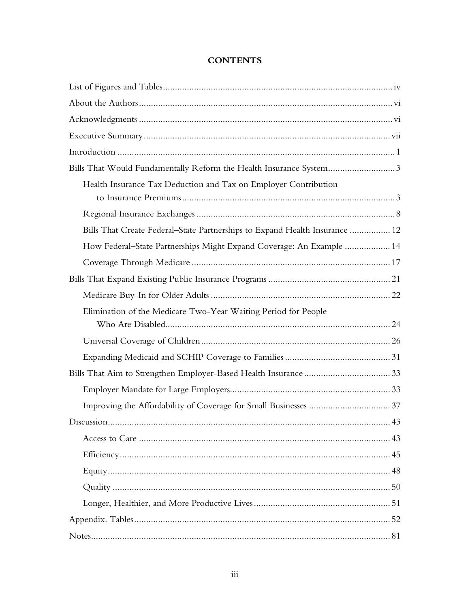# **CONTENTS**

| Bills That Would Fundamentally Reform the Health Insurance System3          |
|-----------------------------------------------------------------------------|
| Health Insurance Tax Deduction and Tax on Employer Contribution             |
|                                                                             |
| Bills That Create Federal-State Partnerships to Expand Health Insurance  12 |
| How Federal-State Partnerships Might Expand Coverage: An Example  14        |
|                                                                             |
|                                                                             |
|                                                                             |
| Elimination of the Medicare Two-Year Waiting Period for People              |
|                                                                             |
|                                                                             |
|                                                                             |
|                                                                             |
|                                                                             |
|                                                                             |
|                                                                             |
|                                                                             |
|                                                                             |
|                                                                             |
|                                                                             |
|                                                                             |
|                                                                             |
|                                                                             |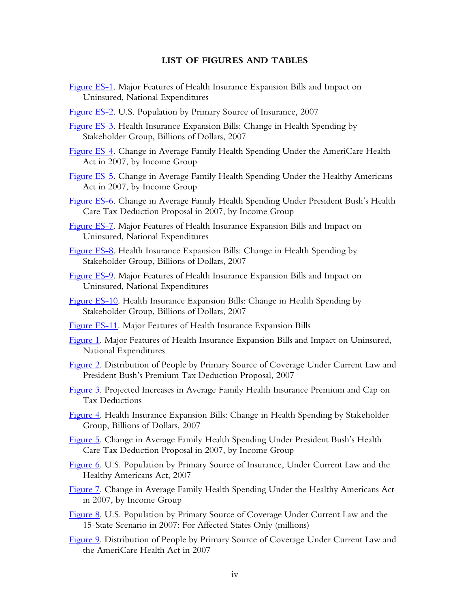#### **LIST OF FIGURES AND TABLES**

- [Figure ES-1.](#page-7-0) Major Features of Health Insurance Expansion Bills and Impact on Uninsured, National Expenditures
- [Figure ES-2.](#page-8-0) U.S. Population by Primary Source of Insurance, 2007
- [Figure ES-3.](#page-9-0) Health Insurance Expansion Bills: Change in Health Spending by Stakeholder Group, Billions of Dollars, 2007
- [Figure ES-4.](#page-11-0) Change in Average Family Health Spending Under the AmeriCare Health Act in 2007, by Income Group
- [Figure ES-5.](#page-11-0) Change in Average Family Health Spending Under the Healthy Americans Act in 2007, by Income Group
- [Figure ES-6.](#page-12-0) Change in Average Family Health Spending Under President Bush's Health Care Tax Deduction Proposal in 2007, by Income Group
- [Figure ES-7.](#page-13-0) Major Features of Health Insurance Expansion Bills and Impact on Uninsured, National Expenditures
- [Figure ES-8.](#page-14-0) Health Insurance Expansion Bills: Change in Health Spending by Stakeholder Group, Billions of Dollars, 2007
- [Figure ES-9.](#page-15-0) Major Features of Health Insurance Expansion Bills and Impact on Uninsured, National Expenditures
- [Figure ES-10.](#page-16-0) Health Insurance Expansion Bills: Change in Health Spending by Stakeholder Group, Billions of Dollars, 2007
- [Figure ES-11.](#page-17-0) Major Features of Health Insurance Expansion Bills
- [Figure 1](#page-22-0). Major Features of Health Insurance Expansion Bills and Impact on Uninsured, National Expenditures
- [Figure 2.](#page-24-0) Distribution of People by Primary Source of Coverage Under Current Law and President Bush's Premium Tax Deduction Proposal, 2007
- <u>Figure 3</u>. Projected Increases in Average Family Health Insurance Premium and Cap on Tax Deductions
- [Figure 4.](#page-26-0) Health Insurance Expansion Bills: Change in Health Spending by Stakeholder Group, Billions of Dollars, 2007
- [Figure 5.](#page-26-0) Change in Average Family Health Spending Under President Bush's Health Care Tax Deduction Proposal in 2007, by Income Group
- [Figure 6.](#page-29-0) U.S. Population by Primary Source of Insurance, Under Current Law and the Healthy Americans Act, 2007
- [Figure 7.](#page-30-0) Change in Average Family Health Spending Under the Healthy Americans Act in 2007, by Income Group
- [Figure 8.](#page-35-0) U.S. Population by Primary Source of Coverage Under Current Law and the 15-State Scenario in 2007: For Affected States Only (millions)
- [Figure 9.](#page-38-0) Distribution of People by Primary Source of Coverage Under Current Law and the AmeriCare Health Act in 2007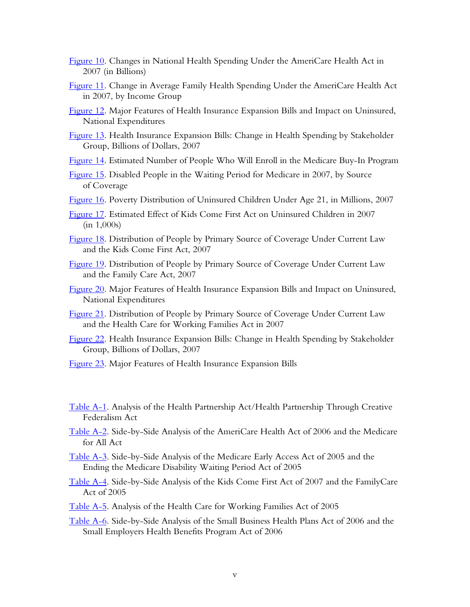- <u>Figure 10</u>. Changes in National Health Spending Under the AmeriCare Health Act in 2007 (in Billions)
- [Figure 11](#page-40-0). Change in Average Family Health Spending Under the AmeriCare Health Act in 2007, by Income Group
- [Figure 12.](#page-41-0) Major Features of Health Insurance Expansion Bills and Impact on Uninsured, National Expenditures
- [Figure 13.](#page-42-0) Health Insurance Expansion Bills: Change in Health Spending by Stakeholder Group, Billions of Dollars, 2007
- [Figure 14.](#page-43-0) Estimated Number of People Who Will Enroll in the Medicare Buy-In Program
- [Figure 15.](#page-45-0) Disabled People in the Waiting Period for Medicare in 2007, by Source of Coverage
- [Figure 16.](#page-47-0) Poverty Distribution of Uninsured Children Under Age 21, in Millions, 2007
- [Figure 17](#page-47-0). Estimated Effect of Kids Come First Act on Uninsured Children in 2007 (in 1,000s)
- [Figure 18.](#page-49-0) Distribution of People by Primary Source of Coverage Under Current Law and the Kids Come First Act, 2007
- [Figure 19.](#page-51-0) Distribution of People by Primary Source of Coverage Under Current Law and the Family Care Act, 2007
- [Figure 20.](#page-53-0) Major Features of Health Insurance Expansion Bills and Impact on Uninsured, National Expenditures
- [Figure 21](#page-55-0). Distribution of People by Primary Source of Coverage Under Current Law and the Health Care for Working Families Act in 2007
- [Figure 22.](#page-56-0) Health Insurance Expansion Bills: Change in Health Spending by Stakeholder Group, Billions of Dollars, 2007
- [Figure 23.](#page-63-0) Major Features of Health Insurance Expansion Bills
- [Table A-1.](#page-71-0) Analysis of the Health Partnership Act/Health Partnership Through Creative Federalism Act
- [Table A-2.](#page-74-0) Side-by-Side Analysis of the AmeriCare Health Act of 2006 and the Medicare for All Act
- [Table A-3.](#page-80-0) Side-by-Side Analysis of the Medicare Early Access Act of 2005 and the Ending the Medicare Disability Waiting Period Act of 2005
- [Table A-4.](#page-83-0) Side-by-Side Analysis of the Kids Come First Act of 2007 and the FamilyCare Act of 2005
- [Table A-5.](#page-90-0) Analysis of the Health Care for Working Families Act of 2005
- [Table A-6.](#page-92-0) Side-by-Side Analysis of the Small Business Health Plans Act of 2006 and the Small Employers Health Benefits Program Act of 2006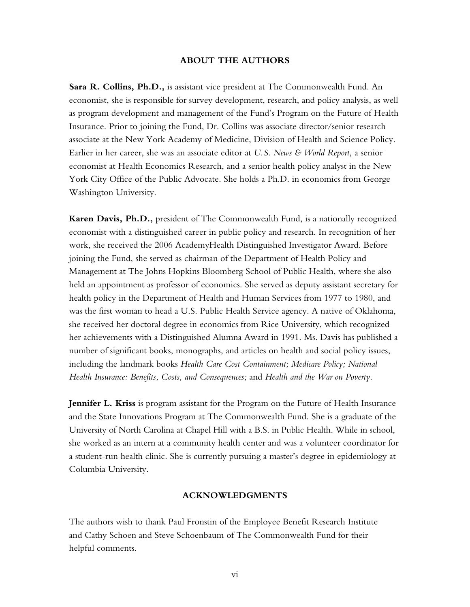#### **ABOUT THE AUTHORS**

**Sara R. Collins, Ph.D.,** is assistant vice president at The Commonwealth Fund. An economist, she is responsible for survey development, research, and policy analysis, as well as program development and management of the Fund's Program on the Future of Health Insurance. Prior to joining the Fund, Dr. Collins was associate director/senior research associate at the New York Academy of Medicine, Division of Health and Science Policy. Earlier in her career, she was an associate editor at *U.S. News & World Report,* a senior economist at Health Economics Research, and a senior health policy analyst in the New York City Office of the Public Advocate. She holds a Ph.D. in economics from George Washington University.

**Karen Davis, Ph.D.,** president of The Commonwealth Fund, is a nationally recognized economist with a distinguished career in public policy and research. In recognition of her work, she received the 2006 AcademyHealth Distinguished Investigator Award. Before joining the Fund, she served as chairman of the Department of Health Policy and Management at The Johns Hopkins Bloomberg School of Public Health, where she also held an appointment as professor of economics. She served as deputy assistant secretary for health policy in the Department of Health and Human Services from 1977 to 1980, and was the first woman to head a U.S. Public Health Service agency. A native of Oklahoma, she received her doctoral degree in economics from Rice University, which recognized her achievements with a Distinguished Alumna Award in 1991. Ms. Davis has published a number of significant books, monographs, and articles on health and social policy issues, including the landmark books *Health Care Cost Containment; Medicare Policy; National Health Insurance: Benefits, Costs, and Consequences;* and *Health and the War on Poverty.*

**Jennifer L. Kriss** is program assistant for the Program on the Future of Health Insurance and the State Innovations Program at The Commonwealth Fund. She is a graduate of the University of North Carolina at Chapel Hill with a B.S. in Public Health. While in school, she worked as an intern at a community health center and was a volunteer coordinator for a student-run health clinic. She is currently pursuing a master's degree in epidemiology at Columbia University.

#### **ACKNOWLEDGMENTS**

The authors wish to thank Paul Fronstin of the Employee Benefit Research Institute and Cathy Schoen and Steve Schoenbaum of The Commonwealth Fund for their helpful comments.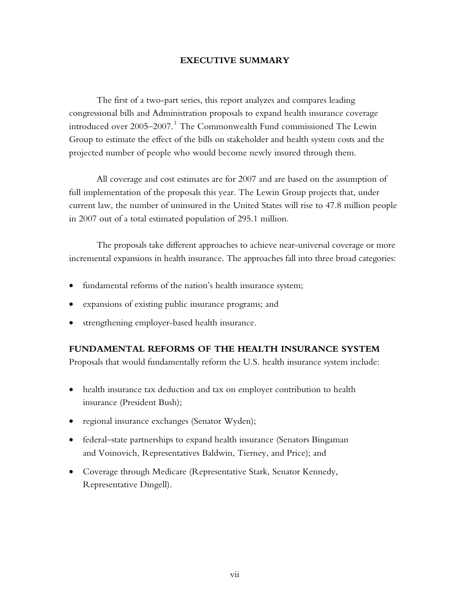### **EXECUTIVE SUMMARY**

The first of a two-part series, this report analyzes and compares leading congressional bills and Administration proposals to expand health insurance coverage introduced over 2005–2007. $^1$  The Commonwealth Fund commissioned The Lewin Group to estimate the effect of the bills on stakeholder and health system costs and the projected number of people who would become newly insured through them.

All coverage and cost estimates are for 2007 and are based on the assumption of full implementation of the proposals this year. The Lewin Group projects that, under current law, the number of uninsured in the United States will rise to 47.8 million people in 2007 out of a total estimated population of 295.1 million.

The proposals take different approaches to achieve near-universal coverage or more incremental expansions in health insurance. The approaches fall into three broad categories:

- fundamental reforms of the nation's health insurance system;
- expansions of existing public insurance programs; and
- strengthening employer-based health insurance.

### **FUNDAMENTAL REFORMS OF THE HEALTH INSURANCE SYSTEM**

Proposals that would fundamentally reform the U.S. health insurance system include:

- health insurance tax deduction and tax on employer contribution to health insurance (President Bush);
- regional insurance exchanges (Senator Wyden);
- federal–state partnerships to expand health insurance (Senators Bingaman and Voinovich, Representatives Baldwin, Tierney, and Price); and
- Coverage through Medicare (Representative Stark, Senator Kennedy, Representative Dingell).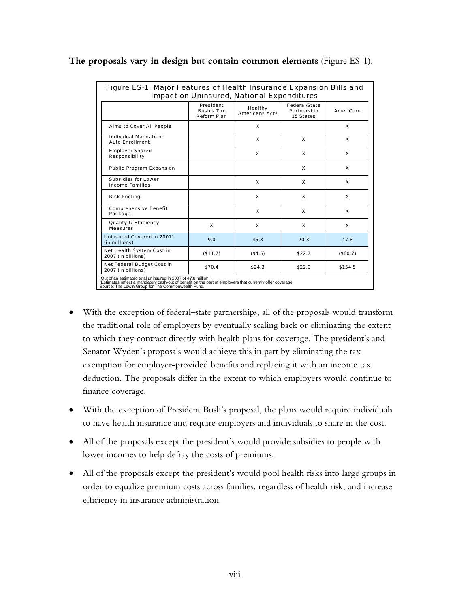| Figure ES-1. Major Features of Health Insurance Expansion Bills and |                                                      | <b>Impact on Uninsured, National Expenditures</b> |                                                  |                  |
|---------------------------------------------------------------------|------------------------------------------------------|---------------------------------------------------|--------------------------------------------------|------------------|
|                                                                     | President<br><b>Bush's Tax</b><br><b>Reform Plan</b> | Healthy<br>Americans Act <sup>2</sup>             | <b>Federal/State</b><br>Partnership<br>15 States | <b>AmeriCare</b> |
| <b>Aims to Cover All People</b>                                     |                                                      | x                                                 |                                                  | x                |
| Individual Mandate or<br><b>Auto Enrollment</b>                     |                                                      | x                                                 | $\mathbf x$                                      | x                |
| <b>Employer Shared</b><br><b>Responsibility</b>                     |                                                      | x                                                 | x                                                | x                |
| <b>Public Program Expansion</b>                                     |                                                      |                                                   | x                                                | x                |
| <b>Subsidies for Lower</b><br><b>Income Families</b>                |                                                      | X                                                 | x                                                | x                |
| <b>Risk Pooling</b>                                                 |                                                      | X                                                 | $\mathbf x$                                      | x                |
| <b>Comprehensive Benefit</b><br>Package                             |                                                      | x                                                 | x                                                | x                |
| <b>Quality &amp; Efficiency</b><br><b>Measures</b>                  | x                                                    | $\mathbf x$                                       | $\mathbf x$                                      | x                |
| Uninsured Covered in 2007 <sup>1</sup><br>(in millions)             | 9.0                                                  | 45.3                                              | 20.3                                             | 47.8             |
| Net Health System Cost in<br>2007 (in billions)                     | (\$11.7)                                             | (\$4.5)                                           | \$22.7                                           | ( \$60.7)        |
| Net Federal Budget Cost in<br>2007 (in billions)                    | \$70.4                                               | \$24.3                                            | \$22.0                                           | \$154.5          |

<span id="page-7-0"></span>**The proposals vary in design but contain common elements** (Figure ES-1).

Source: The Lewin Group for The Commonwealth Fund.

- With the exception of federal–state partnerships, all of the proposals would transform the traditional role of employers by eventually scaling back or eliminating the extent to which they contract directly with health plans for coverage. The president's and Senator Wyden's proposals would achieve this in part by eliminating the tax exemption for employer-provided benefits and replacing it with an income tax deduction. The proposals differ in the extent to which employers would continue to finance coverage.
- With the exception of President Bush's proposal, the plans would require individuals to have health insurance and require employers and individuals to share in the cost.
- All of the proposals except the president's would provide subsidies to people with lower incomes to help defray the costs of premiums.
- All of the proposals except the president's would pool health risks into large groups in order to equalize premium costs across families, regardless of health risk, and increase efficiency in insurance administration.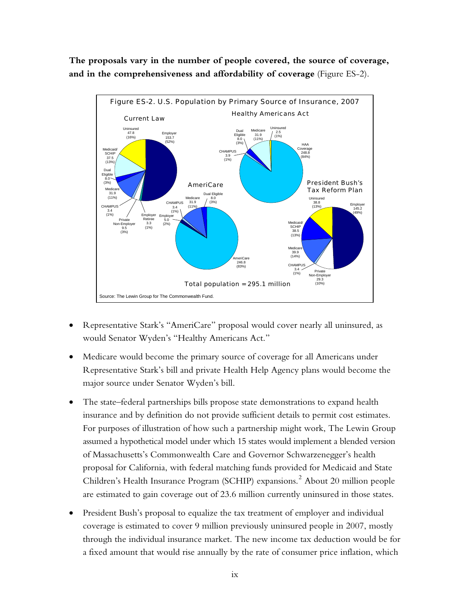<span id="page-8-0"></span>**The proposals vary in the number of people covered, the source of coverage, and in the comprehensiveness and affordability of coverage** (Figure ES-2).



- Representative Stark's "AmeriCare" proposal would cover nearly all uninsured, as would Senator Wyden's "Healthy Americans Act."
- Medicare would become the primary source of coverage for all Americans under Representative Stark's bill and private Health Help Agency plans would become the major source under Senator Wyden's bill.
- The state–federal partnerships bills propose state demonstrations to expand health insurance and by definition do not provide sufficient details to permit cost estimates. For purposes of illustration of how such a partnership might work, The Lewin Group assumed a hypothetical model under which 15 states would implement a blended version of Massachusetts's Commonwealth Care and Governor Schwarzenegger's health proposal for California, with federal matching funds provided for Medicaid and State Children's Health Insurance Program (SCHIP) expansions.<sup>2</sup> About 20 million people are estimated to gain coverage out of 23.6 million currently uninsured in those states.
- President Bush's proposal to equalize the tax treatment of employer and individual coverage is estimated to cover 9 million previously uninsured people in 2007, mostly through the individual insurance market. The new income tax deduction would be for a fixed amount that would rise annually by the rate of consumer price inflation, which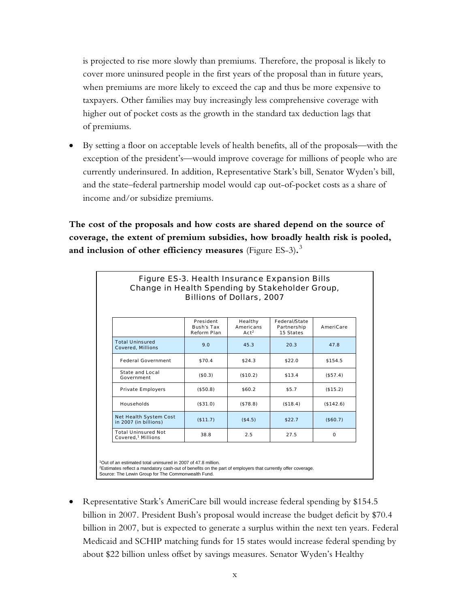<span id="page-9-0"></span>is projected to rise more slowly than premiums. Therefore, the proposal is likely to cover more uninsured people in the first years of the proposal than in future years, when premiums are more likely to exceed the cap and thus be more expensive to taxpayers. Other families may buy increasingly less comprehensive coverage with higher out of pocket costs as the growth in the standard tax deduction lags that of premiums.

• By setting a floor on acceptable levels of health benefits, all of the proposals—with the exception of the president's—would improve coverage for millions of people who are currently underinsured. In addition, Representative Stark's bill, Senator Wyden's bill, and the state–federal partnership model would cap out-of-pocket costs as a share of income and/or subsidize premiums.

**The cost of the proposals and how costs are shared depend on the source of coverage, the extent of premium subsidies, how broadly health risk is pooled, and inclusion of other efficiency measures** (Figure ES-3)**.** 3

Figure ES-3. Health Insurance Expansion Bills

|                                                              | President<br><b>Bush's Tax</b><br><b>Reform Plan</b> | Healthy<br><b>Americans</b><br>Act <sup>2</sup> | <b>Federal/State</b><br>Partnership<br>15 States | AmeriCare   |
|--------------------------------------------------------------|------------------------------------------------------|-------------------------------------------------|--------------------------------------------------|-------------|
| <b>Total Uninsured</b><br><b>Covered, Millions</b>           | 9.0                                                  | 45.3                                            | 20.3                                             | 47.8        |
| <b>Federal Government</b>                                    | \$70.4                                               | \$24.3                                          | \$22.0                                           | \$154.5     |
| <b>State and Local</b><br>Government                         | (\$0.3)                                              | (\$10.2)                                        | \$13.4                                           | ( \$57.4)   |
| <b>Private Employers</b>                                     | (\$50.8)                                             | \$60.2                                          | \$5.7                                            | ( \$15.2)   |
| <b>Households</b>                                            | (\$31.0)                                             | (\$78.8)                                        | (\$18.4)                                         | (\$142.6)   |
| <b>Net Health System Cost</b><br>in 2007 (in billions)       | (\$11.7)                                             | (\$4.5)                                         | \$22.7                                           | (\$60.7)    |
| <b>Total Uninsured Not</b><br>Covered, <sup>1</sup> Millions | 38.8                                                 | 2.5                                             | 27.5                                             | $\mathbf o$ |

# • Representative Stark's AmeriCare bill would increase federal spending by \$154.5 billion in 2007. President Bush's proposal would increase the budget deficit by \$70.4 billion in 2007, but is expected to generate a surplus within the next ten years. Federal Medicaid and SCHIP matching funds for 15 states would increase federal spending by about \$22 billion unless offset by savings measures. Senator Wyden's Healthy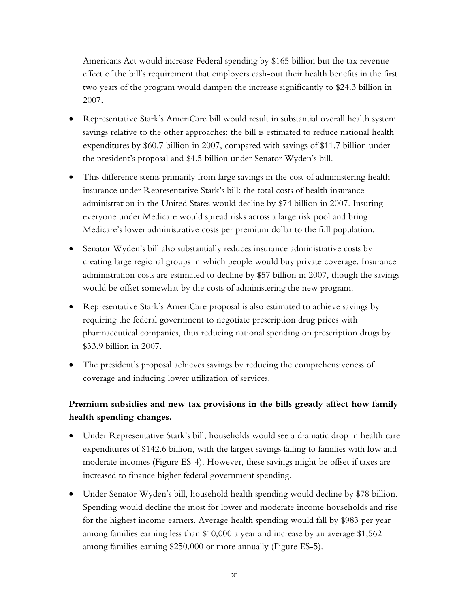Americans Act would increase Federal spending by \$165 billion but the tax revenue effect of the bill's requirement that employers cash-out their health benefits in the first two years of the program would dampen the increase significantly to \$24.3 billion in 2007.

- Representative Stark's AmeriCare bill would result in substantial overall health system savings relative to the other approaches: the bill is estimated to reduce national health expenditures by \$60.7 billion in 2007, compared with savings of \$11.7 billion under the president's proposal and \$4.5 billion under Senator Wyden's bill.
- This difference stems primarily from large savings in the cost of administering health insurance under Representative Stark's bill: the total costs of health insurance administration in the United States would decline by \$74 billion in 2007. Insuring everyone under Medicare would spread risks across a large risk pool and bring Medicare's lower administrative costs per premium dollar to the full population.
- Senator Wyden's bill also substantially reduces insurance administrative costs by creating large regional groups in which people would buy private coverage. Insurance administration costs are estimated to decline by \$57 billion in 2007, though the savings would be offset somewhat by the costs of administering the new program.
- Representative Stark's AmeriCare proposal is also estimated to achieve savings by requiring the federal government to negotiate prescription drug prices with pharmaceutical companies, thus reducing national spending on prescription drugs by \$33.9 billion in 2007.
- The president's proposal achieves savings by reducing the comprehensiveness of coverage and inducing lower utilization of services.

# **Premium subsidies and new tax provisions in the bills greatly affect how family health spending changes.**

- Under Representative Stark's bill, households would see a dramatic drop in health care expenditures of \$142.6 billion, with the largest savings falling to families with low and moderate incomes (Figure ES-4). However, these savings might be offset if taxes are increased to finance higher federal government spending.
- Under Senator Wyden's bill, household health spending would decline by \$78 billion. Spending would decline the most for lower and moderate income households and rise for the highest income earners. Average health spending would fall by \$983 per year among families earning less than \$10,000 a year and increase by an average \$1,562 among families earning \$250,000 or more annually (Figure ES-5).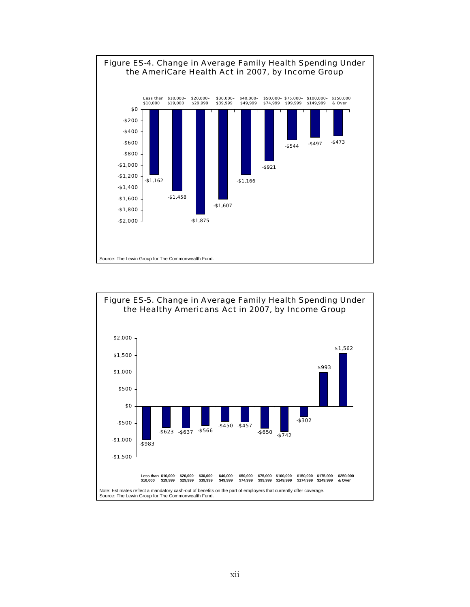<span id="page-11-0"></span>

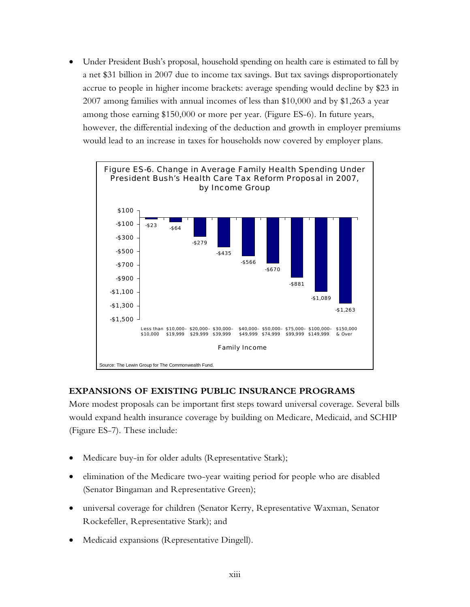<span id="page-12-0"></span>• Under President Bush's proposal, household spending on health care is estimated to fall by a net \$31 billion in 2007 due to income tax savings. But tax savings disproportionately accrue to people in higher income brackets: average spending would decline by \$23 in 2007 among families with annual incomes of less than \$10,000 and by \$1,263 a year among those earning \$150,000 or more per year. (Figure ES-6). In future years, however, the differential indexing of the deduction and growth in employer premiums would lead to an increase in taxes for households now covered by employer plans.



## **EXPANSIONS OF EXISTING PUBLIC INSURANCE PROGRAMS**

More modest proposals can be important first steps toward universal coverage. Several bills would expand health insurance coverage by building on Medicare, Medicaid, and SCHIP (Figure ES-7). These include:

- Medicare buy-in for older adults (Representative Stark);
- elimination of the Medicare two-year waiting period for people who are disabled (Senator Bingaman and Representative Green);
- universal coverage for children (Senator Kerry, Representative Waxman, Senator Rockefeller, Representative Stark); and
- Medicaid expansions (Representative Dingell).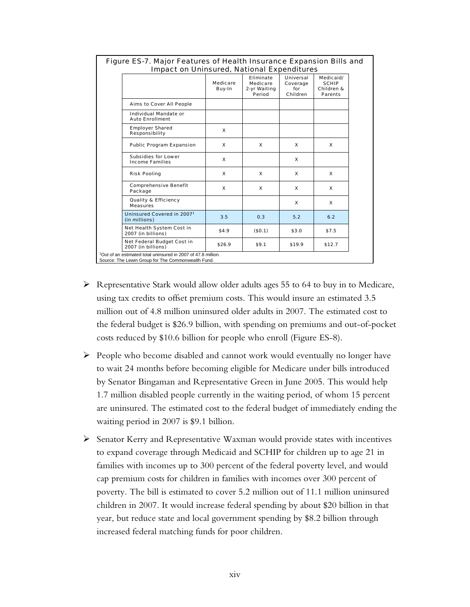<span id="page-13-0"></span>

|                                                         | Medicare<br>Buy In | Eliminate<br><b>Medicare</b><br>2-yr Waiting<br>Period | Universal<br>Coverage<br>for<br>Children | Medicaid/<br><b>SCHIP</b><br>Children &<br><b>Parents</b> |
|---------------------------------------------------------|--------------------|--------------------------------------------------------|------------------------------------------|-----------------------------------------------------------|
| <b>Aims to Cover All People</b>                         |                    |                                                        |                                          |                                                           |
| Individual Mandate or<br><b>Auto Enrollment</b>         |                    |                                                        |                                          |                                                           |
| <b>Employer Shared</b><br>Responsibility                | x                  |                                                        |                                          |                                                           |
| <b>Public Program Expansion</b>                         | x                  | $\mathbf{x}$                                           | x                                        | x                                                         |
| <b>Subsidies for Lower</b><br><b>Income Families</b>    | x                  |                                                        | x                                        |                                                           |
| <b>Risk Pooling</b>                                     | $\mathbf{x}$       | $\mathbf{x}$                                           | x                                        | $\mathbf{x}$                                              |
| <b>Comprehensive Benefit</b><br>Package                 | x                  | x                                                      | x                                        | x                                                         |
| <b>Quality &amp; Efficiency</b><br><b>Measures</b>      |                    |                                                        | x                                        | x                                                         |
| Uninsured Covered in 2007 <sup>1</sup><br>(in millions) | 3.5                | 0.3                                                    | 5.2                                      | 6.2                                                       |
| Net Health System Cost in<br>2007 (in billions)         | \$4.9              | (50.1)                                                 | \$3.0                                    | \$7.5                                                     |
| Net Federal Budget Cost in<br>2007 (in billions)        | \$26.9             | \$9.1                                                  | \$19.9                                   | \$12.7                                                    |

Figure ES-7. Major Features of Health Insurance Expansion Bills and

- $\triangleright$  Representative Stark would allow older adults ages 55 to 64 to buy in to Medicare, using tax credits to offset premium costs. This would insure an estimated 3.5 million out of 4.8 million uninsured older adults in 2007. The estimated cost to the federal budget is \$26.9 billion, with spending on premiums and out-of-pocket costs reduced by \$10.6 billion for people who enroll (Figure ES-8).
- ¾ People who become disabled and cannot work would eventually no longer have to wait 24 months before becoming eligible for Medicare under bills introduced by Senator Bingaman and Representative Green in June 2005. This would help 1.7 million disabled people currently in the waiting period, of whom 15 percent are uninsured. The estimated cost to the federal budget of immediately ending the waiting period in 2007 is \$9.1 billion.
- $\triangleright$  Senator Kerry and Representative Waxman would provide states with incentives to expand coverage through Medicaid and SCHIP for children up to age 21 in families with incomes up to 300 percent of the federal poverty level, and would cap premium costs for children in families with incomes over 300 percent of poverty. The bill is estimated to cover 5.2 million out of 11.1 million uninsured children in 2007. It would increase federal spending by about \$20 billion in that year, but reduce state and local government spending by \$8.2 billion through increased federal matching funds for poor children.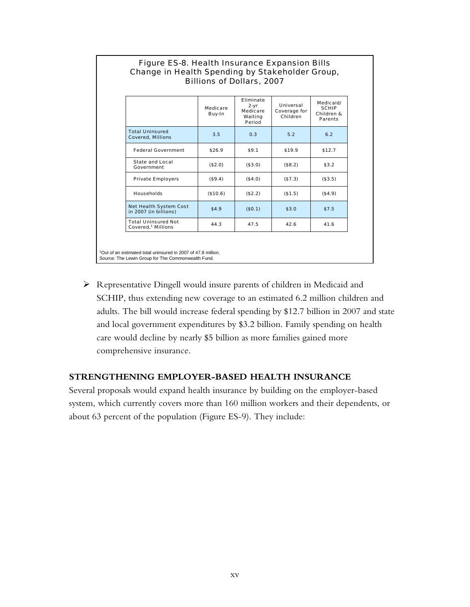<span id="page-14-0"></span>

|                                                              | <b>Medicare</b><br>Buy-In | Eliminate<br>2 yr<br><b>Medicare</b><br>Waiting<br>Period | Universal<br>Coverage for<br>Children | Medicaid/<br><b>SCHIP</b><br>Children &<br><b>Parents</b> |
|--------------------------------------------------------------|---------------------------|-----------------------------------------------------------|---------------------------------------|-----------------------------------------------------------|
| <b>Total Uninsured</b><br><b>Covered, Millions</b>           | 3.5                       | 0.3                                                       | 5.2                                   | 6.2                                                       |
| <b>Federal Government</b>                                    | \$26.9                    | \$9.1                                                     | \$19.9                                | \$12.7                                                    |
| <b>State and Local</b><br>Government                         | (\$2.0)                   | (\$3.0)                                                   | (\$8.2)                               | \$3.2\$                                                   |
| <b>Private Employers</b>                                     | ( \$9.4)                  | (\$4.0)                                                   | (57.3)                                | (\$3.5)                                                   |
| <b>Households</b>                                            | (\$10.6)                  | (\$2.2)                                                   | (\$1.5)                               | (\$4.9)                                                   |
| <b>Net Health System Cost</b><br>in 2007 (in billions)       | \$4.9                     | (\$0.1)                                                   | \$3.0                                 | \$7.5                                                     |
| <b>Total Uninsured Not</b><br>Covered, <sup>1</sup> Millions | 44.3                      | 47.5                                                      | 42.6                                  | 41.6                                                      |

# Figure ES-8. Health Insurance Expansion Bills Change in Health Spending by Stakeholder Group,

¾ Representative Dingell would insure parents of children in Medicaid and SCHIP, thus extending new coverage to an estimated 6.2 million children and adults. The bill would increase federal spending by \$12.7 billion in 2007 and state and local government expenditures by \$3.2 billion. Family spending on health care would decline by nearly \$5 billion as more families gained more comprehensive insurance.

### **STRENGTHENING EMPLOYER-BASED HEALTH INSURANCE**

Several proposals would expand health insurance by building on the employer-based system, which currently covers more than 160 million workers and their dependents, or about 63 percent of the population (Figure ES-9). They include: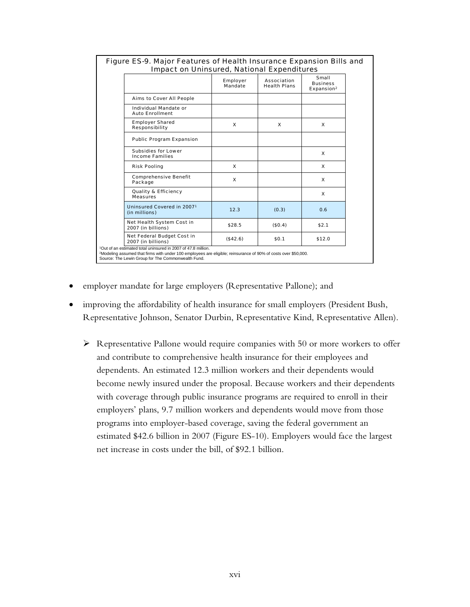<span id="page-15-0"></span>

|                                                         | <b>Employer</b><br><b>Mandate</b> | Association<br><b>Health Plans</b> | Small<br><b>Business</b><br>Expansion <sup>2</sup> |
|---------------------------------------------------------|-----------------------------------|------------------------------------|----------------------------------------------------|
| <b>Aims to Cover All People</b>                         |                                   |                                    |                                                    |
| Individual Mandate or<br><b>Auto Enrollment</b>         |                                   |                                    |                                                    |
| <b>Employer Shared</b><br><b>Responsibility</b>         | x                                 | x                                  | x                                                  |
| <b>Public Program Expansion</b>                         |                                   |                                    |                                                    |
| <b>Subsidies for Lower</b><br><b>Income Families</b>    |                                   |                                    | x                                                  |
| <b>Risk Pooling</b>                                     | x                                 |                                    | x                                                  |
| <b>Comprehensive Benefit</b><br>Package                 | x                                 |                                    | x                                                  |
| <b>Quality &amp; Efficiency</b><br><b>Measures</b>      |                                   |                                    | x                                                  |
| Uninsured Covered in 2007 <sup>1</sup><br>(in millions) | 12.3                              | (0.3)                              | 0.6                                                |
| Net Health System Cost in<br>2007 (in billions)         | \$28.5                            | (\$0.4)                            | \$2.1                                              |
| Net Federal Budget Cost in<br>2007 (in billions)        | (\$42.6)                          | \$0.1                              | \$12.0                                             |

Figure ES-9. Major Features of Health Insurance Expansion Bills and

- employer mandate for large employers (Representative Pallone); and
- improving the affordability of health insurance for small employers (President Bush, Representative Johnson, Senator Durbin, Representative Kind, Representative Allen).
	- $\triangleright$  Representative Pallone would require companies with 50 or more workers to offer and contribute to comprehensive health insurance for their employees and dependents. An estimated 12.3 million workers and their dependents would become newly insured under the proposal. Because workers and their dependents with coverage through public insurance programs are required to enroll in their employers' plans, 9.7 million workers and dependents would move from those programs into employer-based coverage, saving the federal government an estimated \$42.6 billion in 2007 (Figure ES-10). Employers would face the largest net increase in costs under the bill, of \$92.1 billion.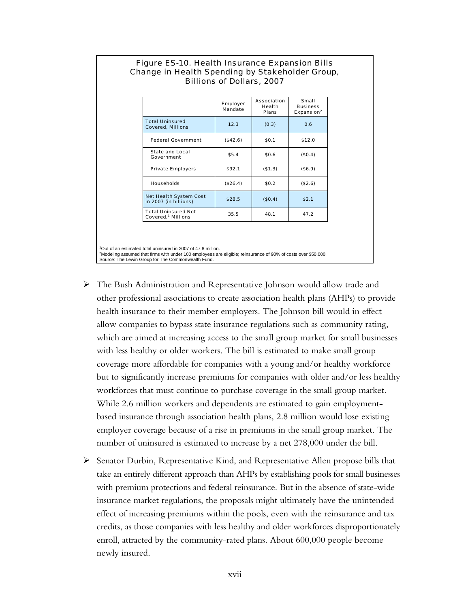<span id="page-16-0"></span>

|                                                              | <b>Employer</b><br><b>Mandate</b> | Association<br>Health<br><b>Plans</b> | Small<br><b>Business</b><br>Expansion <sup>2</sup> |
|--------------------------------------------------------------|-----------------------------------|---------------------------------------|----------------------------------------------------|
| <b>Total Uninsured</b><br><b>Covered, Millions</b>           | 12.3                              | (0.3)                                 | 0.6                                                |
| <b>Federal Government</b>                                    | (\$42.6)                          | \$0.1                                 | \$12.0                                             |
| <b>State and Local</b><br>Government                         | \$5.4                             | \$0.6                                 | (\$0.4)                                            |
| <b>Private Employers</b>                                     | \$92.1                            | (\$1.3)                               | (\$6.9)                                            |
| <b>Households</b>                                            | (\$26.4)                          | \$0.2\$                               | (\$2.6)                                            |
| <b>Net Health System Cost</b><br>in 2007 (in billions)       | \$28.5                            | (\$0.4)                               | \$2.1                                              |
| <b>Total Uninsured Not</b><br>Covered, <sup>1</sup> Millions | 35.5                              | 48.1                                  | 47.2                                               |
|                                                              |                                   |                                       |                                                    |

# Figure ES-10. Health Insurance Expansion Bills Change in Health Spending by Stakeholder Group,

- $\triangleright$  The Bush Administration and Representative Johnson would allow trade and other professional associations to create association health plans (AHPs) to provide health insurance to their member employers. The Johnson bill would in effect allow companies to bypass state insurance regulations such as community rating, which are aimed at increasing access to the small group market for small businesses with less healthy or older workers. The bill is estimated to make small group coverage more affordable for companies with a young and/or healthy workforce but to significantly increase premiums for companies with older and/or less healthy workforces that must continue to purchase coverage in the small group market. While 2.6 million workers and dependents are estimated to gain employmentbased insurance through association health plans, 2.8 million would lose existing employer coverage because of a rise in premiums in the small group market. The number of uninsured is estimated to increase by a net 278,000 under the bill.
- $\triangleright$  Senator Durbin, Representative Kind, and Representative Allen propose bills that take an entirely different approach than AHPs by establishing pools for small businesses with premium protections and federal reinsurance. But in the absence of state-wide insurance market regulations, the proposals might ultimately have the unintended effect of increasing premiums within the pools, even with the reinsurance and tax credits, as those companies with less healthy and older workforces disproportionately enroll, attracted by the community-rated plans. About 600,000 people become newly insured.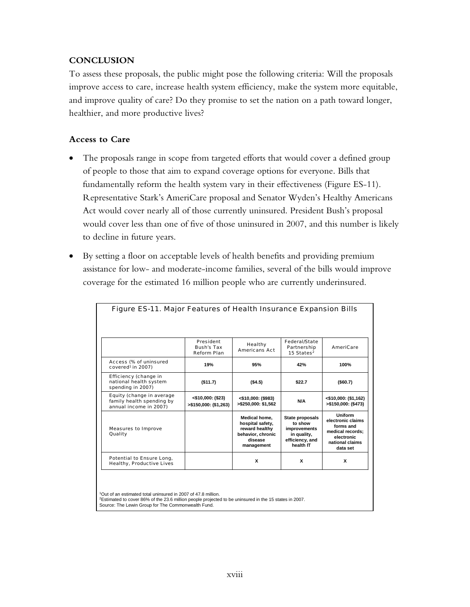### <span id="page-17-0"></span>**CONCLUSION**

To assess these proposals, the public might pose the following criteria: Will the proposals improve access to care, increase health system efficiency, make the system more equitable, and improve quality of care? Do they promise to set the nation on a path toward longer, healthier, and more productive lives?

### **Access to Care**

- The proposals range in scope from targeted efforts that would cover a defined group of people to those that aim to expand coverage options for everyone. Bills that fundamentally reform the health system vary in their effectiveness (Figure ES-11). Representative Stark's AmeriCare proposal and Senator Wyden's Healthy Americans Act would cover nearly all of those currently uninsured. President Bush's proposal would cover less than one of five of those uninsured in 2007, and this number is likely to decline in future years.
- By setting a floor on acceptable levels of health benefits and providing premium assistance for low- and moderate-income families, several of the bills would improve coverage for the estimated 16 million people who are currently underinsured.

|                                                                                  | President<br><b>Bush's Tax</b><br><b>Reform Plan</b> | Healthy<br><b>Americans Act</b>                                                                   | <b>Federal/State</b><br>Partnership<br>15 States <sup>2</sup>                             | <b>AmeriCare</b>                                                                                                  |
|----------------------------------------------------------------------------------|------------------------------------------------------|---------------------------------------------------------------------------------------------------|-------------------------------------------------------------------------------------------|-------------------------------------------------------------------------------------------------------------------|
| Access (% of uninsured<br>covered <sup>t</sup> in 2007)                          | 19%                                                  | 95%                                                                                               | 42%                                                                                       | 100%                                                                                                              |
| Efficiency (change in<br>national health system<br>spending in 2007)             | (\$11.7)                                             | ( \$4.5)                                                                                          | \$22.7                                                                                    | ( \$60.7)                                                                                                         |
| Equity (change in average<br>family health spending by<br>annual income in 2007) | $<$ \$10,000: (\$23)<br>>\$150,000: (\$1,263)        | $<$ \$10,000: (\$983)<br>>\$250,000: \$1,562                                                      | N/A                                                                                       | $<$ \$10,000: (\$1,162)<br>>\$150,000: (\$473)                                                                    |
| <b>Measures to Improve</b><br>Quality                                            |                                                      | Medical home.<br>hospital safety,<br>reward healthy<br>behavior, chronic<br>disease<br>management | State proposals<br>to show<br>improvements<br>in quality,<br>efficiency, and<br>health IT | <b>Uniform</b><br>electronic claims<br>forms and<br>medical records:<br>electronic<br>national claims<br>data set |
| Potential to Ensure Long,<br><b>Healthy, Productive Lives</b>                    |                                                      | X                                                                                                 | x                                                                                         | x                                                                                                                 |

<sup>1</sup>Out of an estimated total uninsured in 2007 of 47.8 million. 2Estimated to cover 86% of the 23.6 million people projected to be uninsured in the 15 states in 2007. Source: The Lewin Group for The Commonwealth Fund.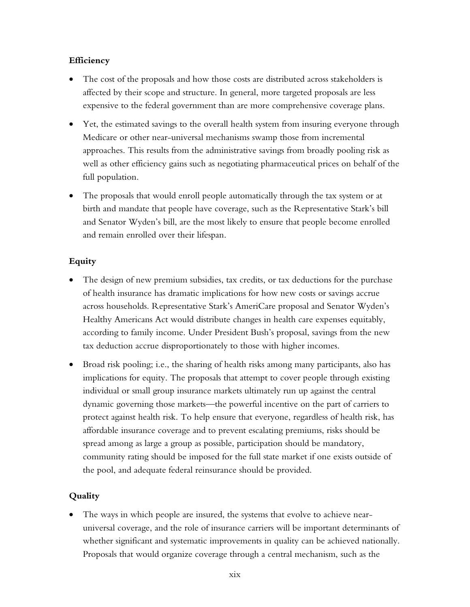### **Efficiency**

- The cost of the proposals and how those costs are distributed across stakeholders is affected by their scope and structure. In general, more targeted proposals are less expensive to the federal government than are more comprehensive coverage plans.
- Yet, the estimated savings to the overall health system from insuring everyone through Medicare or other near-universal mechanisms swamp those from incremental approaches. This results from the administrative savings from broadly pooling risk as well as other efficiency gains such as negotiating pharmaceutical prices on behalf of the full population.
- The proposals that would enroll people automatically through the tax system or at birth and mandate that people have coverage, such as the Representative Stark's bill and Senator Wyden's bill, are the most likely to ensure that people become enrolled and remain enrolled over their lifespan.

## **Equity**

- The design of new premium subsidies, tax credits, or tax deductions for the purchase of health insurance has dramatic implications for how new costs or savings accrue across households. Representative Stark's AmeriCare proposal and Senator Wyden's Healthy Americans Act would distribute changes in health care expenses equitably, according to family income. Under President Bush's proposal, savings from the new tax deduction accrue disproportionately to those with higher incomes.
- Broad risk pooling; i.e., the sharing of health risks among many participants, also has implications for equity. The proposals that attempt to cover people through existing individual or small group insurance markets ultimately run up against the central dynamic governing those markets—the powerful incentive on the part of carriers to protect against health risk. To help ensure that everyone, regardless of health risk, has affordable insurance coverage and to prevent escalating premiums, risks should be spread among as large a group as possible, participation should be mandatory, community rating should be imposed for the full state market if one exists outside of the pool, and adequate federal reinsurance should be provided.

## **Quality**

• The ways in which people are insured, the systems that evolve to achieve nearuniversal coverage, and the role of insurance carriers will be important determinants of whether significant and systematic improvements in quality can be achieved nationally. Proposals that would organize coverage through a central mechanism, such as the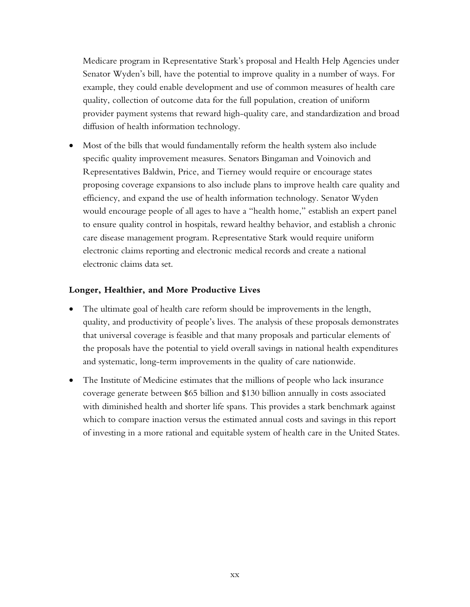Medicare program in Representative Stark's proposal and Health Help Agencies under Senator Wyden's bill, have the potential to improve quality in a number of ways. For example, they could enable development and use of common measures of health care quality, collection of outcome data for the full population, creation of uniform provider payment systems that reward high-quality care, and standardization and broad diffusion of health information technology.

• Most of the bills that would fundamentally reform the health system also include specific quality improvement measures. Senators Bingaman and Voinovich and Representatives Baldwin, Price, and Tierney would require or encourage states proposing coverage expansions to also include plans to improve health care quality and efficiency, and expand the use of health information technology. Senator Wyden would encourage people of all ages to have a "health home," establish an expert panel to ensure quality control in hospitals, reward healthy behavior, and establish a chronic care disease management program. Representative Stark would require uniform electronic claims reporting and electronic medical records and create a national electronic claims data set.

### **Longer, Healthier, and More Productive Lives**

- The ultimate goal of health care reform should be improvements in the length, quality, and productivity of people's lives. The analysis of these proposals demonstrates that universal coverage is feasible and that many proposals and particular elements of the proposals have the potential to yield overall savings in national health expenditures and systematic, long-term improvements in the quality of care nationwide.
- The Institute of Medicine estimates that the millions of people who lack insurance coverage generate between \$65 billion and \$130 billion annually in costs associated with diminished health and shorter life spans. This provides a stark benchmark against which to compare inaction versus the estimated annual costs and savings in this report of investing in a more rational and equitable system of health care in the United States.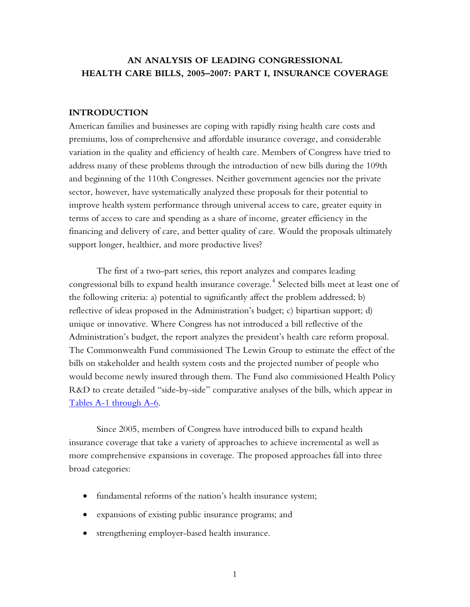# **AN ANALYSIS OF LEADING CONGRESSIONAL HEALTH CARE BILLS, 2005–2007: PART I, INSURANCE COVERAGE**

#### **INTRODUCTION**

American families and businesses are coping with rapidly rising health care costs and premiums, loss of comprehensive and affordable insurance coverage, and considerable variation in the quality and efficiency of health care. Members of Congress have tried to address many of these problems through the introduction of new bills during the 109th and beginning of the 110th Congresses. Neither government agencies nor the private sector, however, have systematically analyzed these proposals for their potential to improve health system performance through universal access to care, greater equity in terms of access to care and spending as a share of income, greater efficiency in the financing and delivery of care, and better quality of care. Would the proposals ultimately support longer, healthier, and more productive lives?

The first of a two-part series, this report analyzes and compares leading congressional bills to expand health insurance coverage. $^{\rm 4}$  Selected bills meet at least one of the following criteria: a) potential to significantly affect the problem addressed; b) reflective of ideas proposed in the Administration's budget; c) bipartisan support; d) unique or innovative. Where Congress has not introduced a bill reflective of the Administration's budget, the report analyzes the president's health care reform proposal. The Commonwealth Fund commissioned The Lewin Group to estimate the effect of the bills on stakeholder and health system costs and the projected number of people who would become newly insured through them. The Fund also commissioned Health Policy R&D to create detailed "side-by-side" comparative analyses of the bills, which appear in [Tables A-1 through A-6.](#page-71-0)

Since 2005, members of Congress have introduced bills to expand health insurance coverage that take a variety of approaches to achieve incremental as well as more comprehensive expansions in coverage. The proposed approaches fall into three broad categories:

- fundamental reforms of the nation's health insurance system;
- expansions of existing public insurance programs; and
- strengthening employer-based health insurance.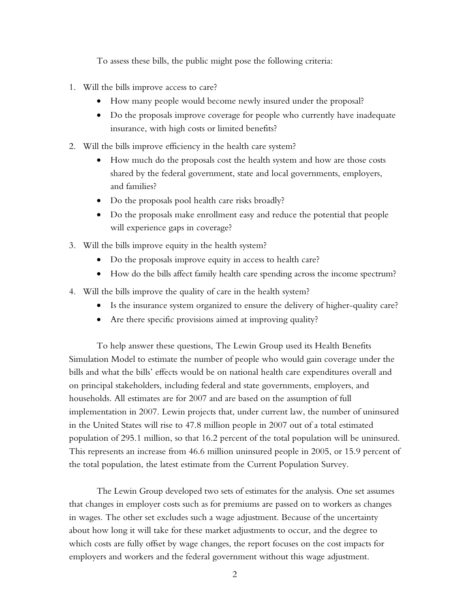To assess these bills, the public might pose the following criteria:

- 1. Will the bills improve access to care?
	- How many people would become newly insured under the proposal?
	- Do the proposals improve coverage for people who currently have inadequate insurance, with high costs or limited benefits?
- 2. Will the bills improve efficiency in the health care system?
	- How much do the proposals cost the health system and how are those costs shared by the federal government, state and local governments, employers, and families?
	- Do the proposals pool health care risks broadly?
	- Do the proposals make enrollment easy and reduce the potential that people will experience gaps in coverage?
- 3. Will the bills improve equity in the health system?
	- Do the proposals improve equity in access to health care?
	- How do the bills affect family health care spending across the income spectrum?
- 4. Will the bills improve the quality of care in the health system?
	- Is the insurance system organized to ensure the delivery of higher-quality care?
	- Are there specific provisions aimed at improving quality?

To help answer these questions, The Lewin Group used its Health Benefits Simulation Model to estimate the number of people who would gain coverage under the bills and what the bills' effects would be on national health care expenditures overall and on principal stakeholders, including federal and state governments, employers, and households. All estimates are for 2007 and are based on the assumption of full implementation in 2007. Lewin projects that, under current law, the number of uninsured in the United States will rise to 47.8 million people in 2007 out of a total estimated population of 295.1 million, so that 16.2 percent of the total population will be uninsured. This represents an increase from 46.6 million uninsured people in 2005, or 15.9 percent of the total population, the latest estimate from the Current Population Survey.

The Lewin Group developed two sets of estimates for the analysis. One set assumes that changes in employer costs such as for premiums are passed on to workers as changes in wages. The other set excludes such a wage adjustment. Because of the uncertainty about how long it will take for these market adjustments to occur, and the degree to which costs are fully offset by wage changes, the report focuses on the cost impacts for employers and workers and the federal government without this wage adjustment.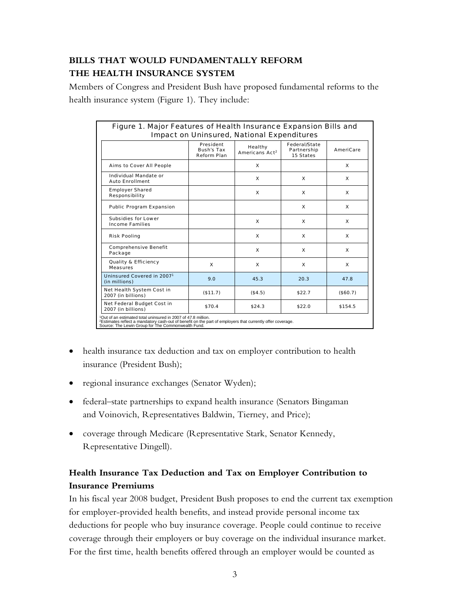# <span id="page-22-0"></span>**BILLS THAT WOULD FUNDAMENTALLY REFORM THE HEALTH INSURANCE SYSTEM**

Members of Congress and President Bush have proposed fundamental reforms to the health insurance system (Figure 1). They include:

|                                                         | President                               | Healthy                    | <b>Federal/State</b>     |              |
|---------------------------------------------------------|-----------------------------------------|----------------------------|--------------------------|--------------|
|                                                         | <b>Bush's Tax</b><br><b>Reform Plan</b> | Americans Act <sup>2</sup> | Partnership<br>15 States | AmeriCare    |
| <b>Aims to Cover All People</b>                         |                                         | x                          |                          | x            |
| <b>Individual Mandate or</b><br><b>Auto Enrollment</b>  |                                         | x                          | $\mathbf x$              | $\mathbf x$  |
| <b>Employer Shared</b><br><b>Responsibility</b>         |                                         | x                          | x                        | x            |
| <b>Public Program Expansion</b>                         |                                         |                            | x                        | x            |
| <b>Subsidies for Lower</b><br><b>Income Families</b>    |                                         | x                          | $\mathbf x$              | $\mathbf x$  |
| <b>Risk Pooling</b>                                     |                                         | $\mathbf{x}$               | x                        | $\mathbf{x}$ |
| <b>Comprehensive Benefit</b><br>Package                 |                                         | $\mathbf x$                | $\mathbf x$              | $\mathbf x$  |
| <b>Quality &amp; Efficiency</b><br><b>Measures</b>      | x                                       | x                          | $\mathbf x$              | $\mathbf x$  |
| Uninsured Covered in 2007 <sup>1</sup><br>(in millions) | 9.0                                     | 45.3                       | 20.3                     | 47.8         |
| Net Health System Cost in<br>2007 (in billions)         | (\$11.7)                                | (\$4.5)                    | \$22.7                   | (\$60.7)     |
| Net Federal Budget Cost in<br>2007 (in billions)        | \$70.4                                  | \$24.3                     | \$22.0                   | \$154.5      |

- health insurance tax deduction and tax on employer contribution to health insurance (President Bush);
- regional insurance exchanges (Senator Wyden);
- federal–state partnerships to expand health insurance (Senators Bingaman and Voinovich, Representatives Baldwin, Tierney, and Price);
- coverage through Medicare (Representative Stark, Senator Kennedy, Representative Dingell).

# **Health Insurance Tax Deduction and Tax on Employer Contribution to Insurance Premiums**

In his fiscal year 2008 budget, President Bush proposes to end the current tax exemption for employer-provided health benefits, and instead provide personal income tax deductions for people who buy insurance coverage. People could continue to receive coverage through their employers or buy coverage on the individual insurance market. For the first time, health benefits offered through an employer would be counted as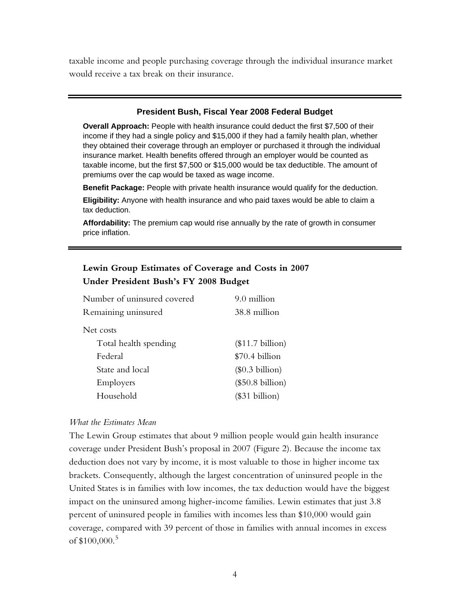taxable income and people purchasing coverage through the individual insurance market would receive a tax break on their insurance.

### **President Bush, Fiscal Year 2008 Federal Budget**

**Overall Approach:** People with health insurance could deduct the first \$7,500 of their income if they had a single policy and \$15,000 if they had a family health plan, whether they obtained their coverage through an employer or purchased it through the individual insurance market. Health benefits offered through an employer would be counted as taxable income, but the first \$7,500 or \$15,000 would be tax deductible. The amount of premiums over the cap would be taxed as wage income.

**Benefit Package:** People with private health insurance would qualify for the deduction.

**Eligibility:** Anyone with health insurance and who paid taxes would be able to claim a tax deduction.

**Affordability:** The premium cap would rise annually by the rate of growth in consumer price inflation.

# **Lewin Group Estimates of Coverage and Costs in 2007 Under President Bush's FY 2008 Budget**

| Number of uninsured covered | 9.0 million       |
|-----------------------------|-------------------|
| Remaining uninsured         | 38.8 million      |
| Net costs                   |                   |
| Total health spending       | (\$11.7 billion)  |
| Federal                     | \$70.4 billion    |
| State and local             | $(\$0.3 billion)$ |
| Employers                   | (\$50.8 billion)  |
| Household                   | (\$31 billion)    |
|                             |                   |

### *What the Estimates Mean*

The Lewin Group estimates that about 9 million people would gain health insurance coverage under President Bush's proposal in 2007 (Figure 2). Because the income tax deduction does not vary by income, it is most valuable to those in higher income tax brackets. Consequently, although the largest concentration of uninsured people in the United States is in families with low incomes, the tax deduction would have the biggest impact on the uninsured among higher-income families. Lewin estimates that just 3.8 percent of uninsured people in families with incomes less than \$10,000 would gain coverage, compared with 39 percent of those in families with annual incomes in excess of  $$100,000.<sup>5</sup>$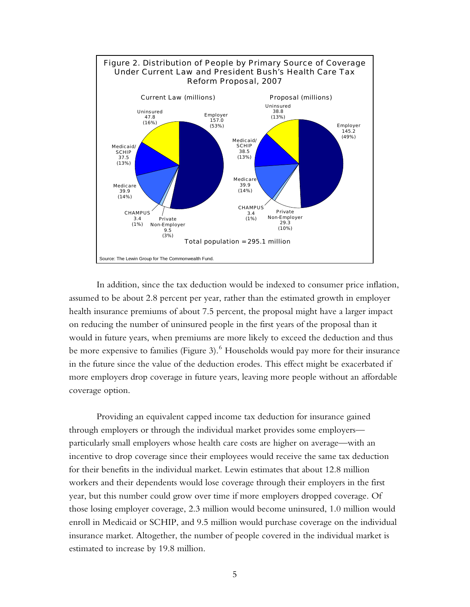<span id="page-24-0"></span>

In addition, since the tax deduction would be indexed to consumer price inflation, assumed to be about 2.8 percent per year, rather than the estimated growth in employer health insurance premiums of about 7.5 percent, the proposal might have a larger impact on reducing the number of uninsured people in the first years of the proposal than it would in future years, when premiums are more likely to exceed the deduction and thus be more expensive to families (Figure 3). $^6$  Households would pay more for their insurance in the future since the value of the deduction erodes. This effect might be exacerbated if more employers drop coverage in future years, leaving more people without an affordable coverage option.

Providing an equivalent capped income tax deduction for insurance gained through employers or through the individual market provides some employers particularly small employers whose health care costs are higher on average—with an incentive to drop coverage since their employees would receive the same tax deduction for their benefits in the individual market. Lewin estimates that about 12.8 million workers and their dependents would lose coverage through their employers in the first year, but this number could grow over time if more employers dropped coverage. Of those losing employer coverage, 2.3 million would become uninsured, 1.0 million would enroll in Medicaid or SCHIP, and 9.5 million would purchase coverage on the individual insurance market. Altogether, the number of people covered in the individual market is estimated to increase by 19.8 million.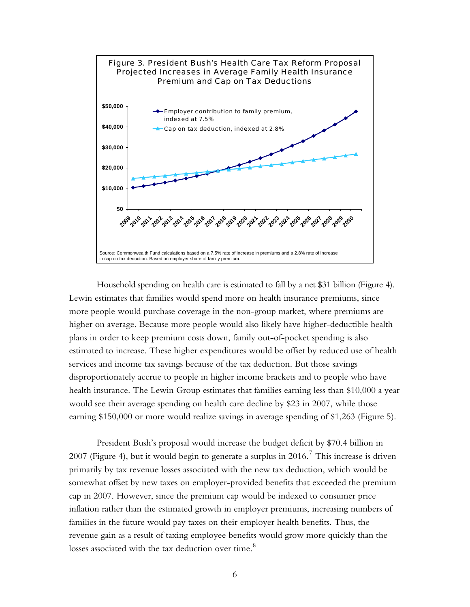<span id="page-25-0"></span>

Household spending on health care is estimated to fall by a net \$31 billion (Figure 4). Lewin estimates that families would spend more on health insurance premiums, since more people would purchase coverage in the non-group market, where premiums are higher on average. Because more people would also likely have higher-deductible health plans in order to keep premium costs down, family out-of-pocket spending is also estimated to increase. These higher expenditures would be offset by reduced use of health services and income tax savings because of the tax deduction. But those savings disproportionately accrue to people in higher income brackets and to people who have health insurance. The Lewin Group estimates that families earning less than \$10,000 a year would see their average spending on health care decline by \$23 in 2007, while those earning \$150,000 or more would realize savings in average spending of \$1,263 (Figure 5).

President Bush's proposal would increase the budget deficit by \$70.4 billion in 2007 (Figure 4), but it would begin to generate a surplus in 2016. $^7$  This increase is driven primarily by tax revenue losses associated with the new tax deduction, which would be somewhat offset by new taxes on employer-provided benefits that exceeded the premium cap in 2007. However, since the premium cap would be indexed to consumer price inflation rather than the estimated growth in employer premiums, increasing numbers of families in the future would pay taxes on their employer health benefits. Thus, the revenue gain as a result of taxing employee benefits would grow more quickly than the losses associated with the tax deduction over time.<sup>8</sup>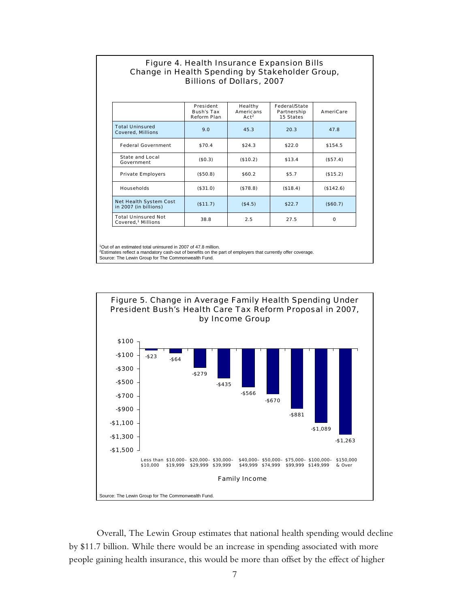<span id="page-26-0"></span>

|                                                              | President<br><b>Bush's Tax</b><br><b>Reform Plan</b> | Healthy<br><b>Americans</b><br>Act <sup>2</sup> | <b>Federal/State</b><br>Partnership<br>15 States | AmeriCare |
|--------------------------------------------------------------|------------------------------------------------------|-------------------------------------------------|--------------------------------------------------|-----------|
| <b>Total Uninsured</b><br><b>Covered, Millions</b>           | 9.0                                                  | 45.3                                            | 20.3                                             | 47.8      |
| <b>Federal Government</b>                                    | \$70.4                                               | \$24.3                                          | \$22.0                                           | \$154.5   |
| State and Local<br>Government                                | (\$0.3)                                              | (\$10.2)                                        | \$13.4                                           | ( \$57.4) |
| <b>Private Employers</b>                                     | (\$50.8)                                             | \$60.2                                          | \$5.7                                            | (\$15.2)  |
| <b>Households</b>                                            | (\$31.0)                                             | (\$78.8)                                        | (\$18.4)                                         | (\$142.6) |
| <b>Net Health System Cost</b><br>in 2007 (in billions)       | ( \$11.7)                                            | ( \$4.5)                                        | \$22.7                                           | (\$60.7)  |
| <b>Total Uninsured Not</b><br>Covered, <sup>1</sup> Millions | 38.8                                                 | 2.5                                             | 27.5                                             | 0         |

Figure 4. Health Insurance Expansion Bills Change in Health Spending by Stakeholder Group,

1Out of an estimated total uninsured in 2007 of 47.8 million.

<sup>2</sup>Estimates reflect a mandatory cash-out of benefits on the part of employers that currently offer coverage.

Source: The Lewin Group for The Commonwealth Fund.



Overall, The Lewin Group estimates that national health spending would decline by \$11.7 billion. While there would be an increase in spending associated with more people gaining health insurance, this would be more than offset by the effect of higher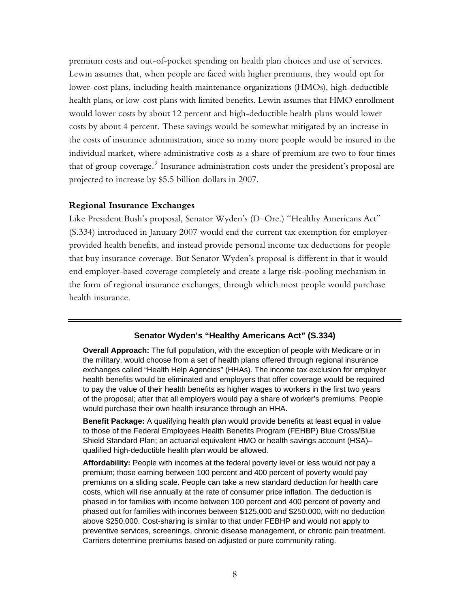premium costs and out-of-pocket spending on health plan choices and use of services. Lewin assumes that, when people are faced with higher premiums, they would opt for lower-cost plans, including health maintenance organizations (HMOs), high-deductible health plans, or low-cost plans with limited benefits. Lewin assumes that HMO enrollment would lower costs by about 12 percent and high-deductible health plans would lower costs by about 4 percent. These savings would be somewhat mitigated by an increase in the costs of insurance administration, since so many more people would be insured in the individual market, where administrative costs as a share of premium are two to four times that of group coverage. $^9$  Insurance administration costs under the president's proposal are projected to increase by \$5.5 billion dollars in 2007.

### **Regional Insurance Exchanges**

Like President Bush's proposal, Senator Wyden's (D–Ore.) "Healthy Americans Act" (S.334) introduced in January 2007 would end the current tax exemption for employerprovided health benefits, and instead provide personal income tax deductions for people that buy insurance coverage. But Senator Wyden's proposal is different in that it would end employer-based coverage completely and create a large risk-pooling mechanism in the form of regional insurance exchanges, through which most people would purchase health insurance.

### **Senator Wyden's "Healthy Americans Act" (S.334)**

**Overall Approach:** The full population, with the exception of people with Medicare or in the military, would choose from a set of health plans offered through regional insurance exchanges called "Health Help Agencies" (HHAs). The income tax exclusion for employer health benefits would be eliminated and employers that offer coverage would be required to pay the value of their health benefits as higher wages to workers in the first two years of the proposal; after that all employers would pay a share of worker's premiums. People would purchase their own health insurance through an HHA.

**Benefit Package:** A qualifying health plan would provide benefits at least equal in value to those of the Federal Employees Health Benefits Program (FEHBP) Blue Cross/Blue Shield Standard Plan; an actuarial equivalent HMO or health savings account (HSA)– qualified high-deductible health plan would be allowed.

**Affordability:** People with incomes at the federal poverty level or less would not pay a premium; those earning between 100 percent and 400 percent of poverty would pay premiums on a sliding scale. People can take a new standard deduction for health care costs, which will rise annually at the rate of consumer price inflation. The deduction is phased in for families with income between 100 percent and 400 percent of poverty and phased out for families with incomes between \$125,000 and \$250,000, with no deduction above \$250,000. Cost-sharing is similar to that under FEBHP and would not apply to preventive services, screenings, chronic disease management, or chronic pain treatment. Carriers determine premiums based on adjusted or pure community rating.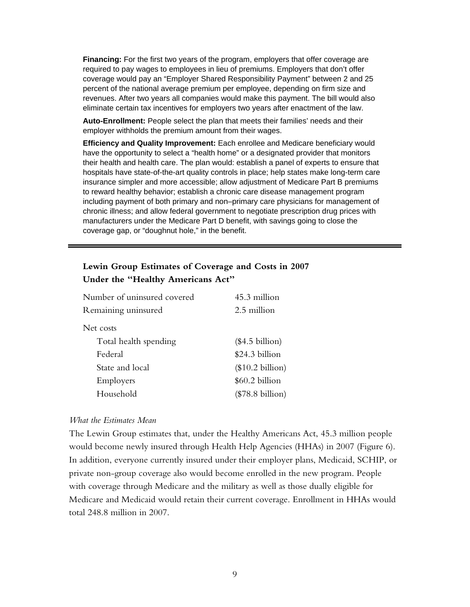**Financing:** For the first two years of the program, employers that offer coverage are required to pay wages to employees in lieu of premiums. Employers that don't offer coverage would pay an "Employer Shared Responsibility Payment" between 2 and 25 percent of the national average premium per employee, depending on firm size and revenues. After two years all companies would make this payment. The bill would also eliminate certain tax incentives for employers two years after enactment of the law.

**Auto-Enrollment:** People select the plan that meets their families' needs and their employer withholds the premium amount from their wages.

**Efficiency and Quality Improvement:** Each enrollee and Medicare beneficiary would have the opportunity to select a "health home" or a designated provider that monitors their health and health care. The plan would: establish a panel of experts to ensure that hospitals have state-of-the-art quality controls in place; help states make long-term care insurance simpler and more accessible; allow adjustment of Medicare Part B premiums to reward healthy behavior; establish a chronic care disease management program including payment of both primary and non–primary care physicians for management of chronic illness; and allow federal government to negotiate prescription drug prices with manufacturers under the Medicare Part D benefit, with savings going to close the coverage gap, or "doughnut hole," in the benefit.

# **Lewin Group Estimates of Coverage and Costs in 2007 Under the "Healthy Americans Act"**

| Number of uninsured covered | 45.3 million       |
|-----------------------------|--------------------|
| Remaining uninsured         | 2.5 million        |
| Net costs                   |                    |
| Total health spending       | (\$4.5 billion)    |
| Federal                     | \$24.3 billion     |
| State and local             | (\$10.2 billion)   |
| Employers                   | \$60.2 billion     |
| Household                   | $(\$78.8 billion)$ |
|                             |                    |

### *What the Estimates Mean*

The Lewin Group estimates that, under the Healthy Americans Act, 45.3 million people would become newly insured through Health Help Agencies (HHAs) in 2007 (Figure 6). In addition, everyone currently insured under their employer plans, Medicaid, SCHIP, or private non-group coverage also would become enrolled in the new program. People with coverage through Medicare and the military as well as those dually eligible for Medicare and Medicaid would retain their current coverage. Enrollment in HHAs would total 248.8 million in 2007.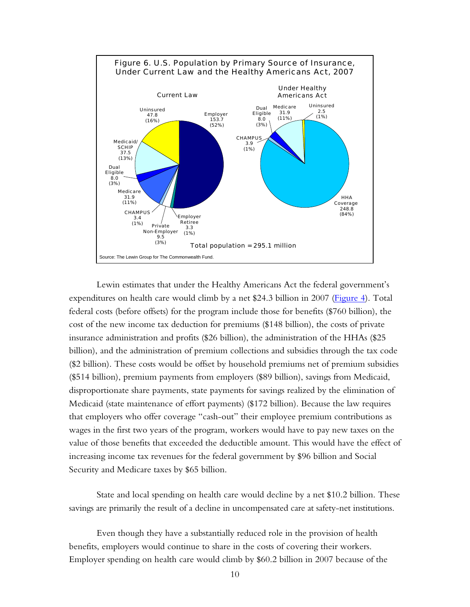<span id="page-29-0"></span>

Lewin estimates that under the Healthy Americans Act the federal government's expenditures on health care would climb by a net \$24.3 billion in 2007 [\(Figure 4\)](#page-26-0). Total federal costs (before offsets) for the program include those for benefits (\$760 billion), the cost of the new income tax deduction for premiums (\$148 billion), the costs of private insurance administration and profits (\$26 billion), the administration of the HHAs (\$25 billion), and the administration of premium collections and subsidies through the tax code (\$2 billion). These costs would be offset by household premiums net of premium subsidies (\$514 billion), premium payments from employers (\$89 billion), savings from Medicaid, disproportionate share payments, state payments for savings realized by the elimination of Medicaid (state maintenance of effort payments) (\$172 billion). Because the law requires that employers who offer coverage "cash-out" their employee premium contributions as wages in the first two years of the program, workers would have to pay new taxes on the value of those benefits that exceeded the deductible amount. This would have the effect of increasing income tax revenues for the federal government by \$96 billion and Social Security and Medicare taxes by \$65 billion.

State and local spending on health care would decline by a net \$10.2 billion. These savings are primarily the result of a decline in uncompensated care at safety-net institutions.

Even though they have a substantially reduced role in the provision of health benefits, employers would continue to share in the costs of covering their workers. Employer spending on health care would climb by \$60.2 billion in 2007 because of the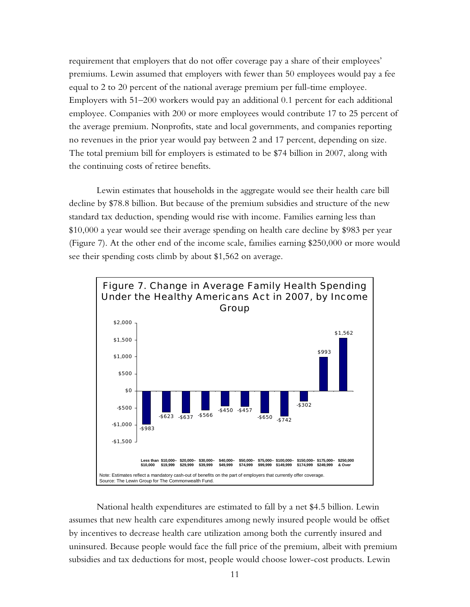<span id="page-30-0"></span>requirement that employers that do not offer coverage pay a share of their employees' premiums. Lewin assumed that employers with fewer than 50 employees would pay a fee equal to 2 to 20 percent of the national average premium per full-time employee. Employers with 51–200 workers would pay an additional 0.1 percent for each additional employee. Companies with 200 or more employees would contribute 17 to 25 percent of the average premium. Nonprofits, state and local governments, and companies reporting no revenues in the prior year would pay between 2 and 17 percent, depending on size. The total premium bill for employers is estimated to be \$74 billion in 2007, along with the continuing costs of retiree benefits.

Lewin estimates that households in the aggregate would see their health care bill decline by \$78.8 billion. But because of the premium subsidies and structure of the new standard tax deduction, spending would rise with income. Families earning less than \$10,000 a year would see their average spending on health care decline by \$983 per year (Figure 7). At the other end of the income scale, families earning \$250,000 or more would see their spending costs climb by about \$1,562 on average.



National health expenditures are estimated to fall by a net \$4.5 billion. Lewin assumes that new health care expenditures among newly insured people would be offset by incentives to decrease health care utilization among both the currently insured and uninsured. Because people would face the full price of the premium, albeit with premium subsidies and tax deductions for most, people would choose lower-cost products. Lewin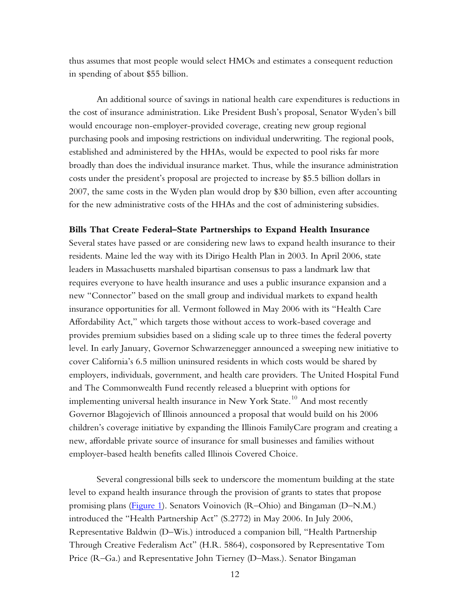thus assumes that most people would select HMOs and estimates a consequent reduction in spending of about \$55 billion.

An additional source of savings in national health care expenditures is reductions in the cost of insurance administration. Like President Bush's proposal, Senator Wyden's bill would encourage non-employer-provided coverage, creating new group regional purchasing pools and imposing restrictions on individual underwriting. The regional pools, established and administered by the HHAs, would be expected to pool risks far more broadly than does the individual insurance market. Thus, while the insurance administration costs under the president's proposal are projected to increase by \$5.5 billion dollars in 2007, the same costs in the Wyden plan would drop by \$30 billion, even after accounting for the new administrative costs of the HHAs and the cost of administering subsidies.

#### **Bills That Create Federal–State Partnerships to Expand Health Insurance**

Several states have passed or are considering new laws to expand health insurance to their residents. Maine led the way with its Dirigo Health Plan in 2003. In April 2006, state leaders in Massachusetts marshaled bipartisan consensus to pass a landmark law that requires everyone to have health insurance and uses a public insurance expansion and a new "Connector" based on the small group and individual markets to expand health insurance opportunities for all. Vermont followed in May 2006 with its "Health Care Affordability Act," which targets those without access to work-based coverage and provides premium subsidies based on a sliding scale up to three times the federal poverty level. In early January, Governor Schwarzenegger announced a sweeping new initiative to cover California's 6.5 million uninsured residents in which costs would be shared by employers, individuals, government, and health care providers. The United Hospital Fund and The Commonwealth Fund recently released a blueprint with options for implementing universal health insurance in New York State.<sup>10</sup> And most recently Governor Blagojevich of Illinois announced a proposal that would build on his 2006 children's coverage initiative by expanding the Illinois FamilyCare program and creating a new, affordable private source of insurance for small businesses and families without employer-based health benefits called Illinois Covered Choice.

Several congressional bills seek to underscore the momentum building at the state level to expand health insurance through the provision of grants to states that propose promising plans [\(Figure 1\)](#page-22-0). Senators Voinovich (R–Ohio) and Bingaman (D–N.M.) introduced the "Health Partnership Act" (S.2772) in May 2006. In July 2006, Representative Baldwin (D–Wis.) introduced a companion bill, "Health Partnership Through Creative Federalism Act" (H.R. 5864), cosponsored by Representative Tom Price (R–Ga.) and Representative John Tierney (D–Mass.). Senator Bingaman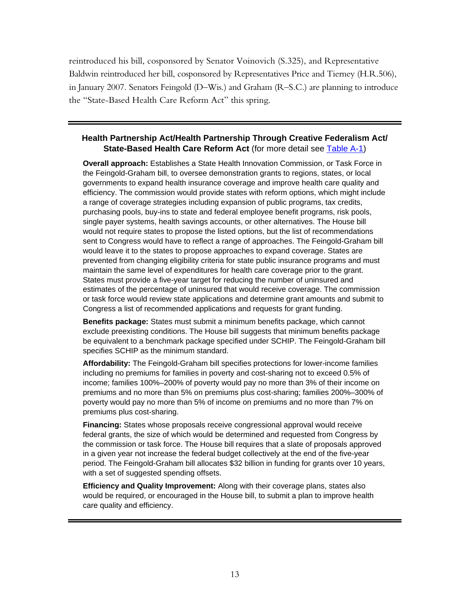reintroduced his bill, cosponsored by Senator Voinovich (S.325), and Representative Baldwin reintroduced her bill, cosponsored by Representatives Price and Tierney (H.R.506), in January 2007. Senators Feingold (D–Wis.) and Graham (R–S.C.) are planning to introduce the "State-Based Health Care Reform Act" this spring.

### **Health Partnership Act/Health Partnership Through Creative Federalism Act/ State-Based Health Care Reform Act** (for more detail see [Table A-1\)](#page-71-0)

**Overall approach:** Establishes a State Health Innovation Commission, or Task Force in the Feingold-Graham bill, to oversee demonstration grants to regions, states, or local governments to expand health insurance coverage and improve health care quality and efficiency. The commission would provide states with reform options, which might include a range of coverage strategies including expansion of public programs, tax credits, purchasing pools, buy-ins to state and federal employee benefit programs, risk pools, single payer systems, health savings accounts, or other alternatives. The House bill would not require states to propose the listed options, but the list of recommendations sent to Congress would have to reflect a range of approaches. The Feingold-Graham bill would leave it to the states to propose approaches to expand coverage. States are prevented from changing eligibility criteria for state public insurance programs and must maintain the same level of expenditures for health care coverage prior to the grant. States must provide a five-year target for reducing the number of uninsured and estimates of the percentage of uninsured that would receive coverage. The commission or task force would review state applications and determine grant amounts and submit to Congress a list of recommended applications and requests for grant funding.

**Benefits package:** States must submit a minimum benefits package, which cannot exclude preexisting conditions. The House bill suggests that minimum benefits package be equivalent to a benchmark package specified under SCHIP. The Feingold-Graham bill specifies SCHIP as the minimum standard.

**Affordability:** The Feingold-Graham bill specifies protections for lower-income families including no premiums for families in poverty and cost-sharing not to exceed 0.5% of income; families 100%–200% of poverty would pay no more than 3% of their income on premiums and no more than 5% on premiums plus cost-sharing; families 200%–300% of poverty would pay no more than 5% of income on premiums and no more than 7% on premiums plus cost-sharing.

**Financing:** States whose proposals receive congressional approval would receive federal grants, the size of which would be determined and requested from Congress by the commission or task force. The House bill requires that a slate of proposals approved in a given year not increase the federal budget collectively at the end of the five-year period. The Feingold-Graham bill allocates \$32 billion in funding for grants over 10 years, with a set of suggested spending offsets.

**Efficiency and Quality Improvement:** Along with their coverage plans, states also would be required, or encouraged in the House bill, to submit a plan to improve health care quality and efficiency.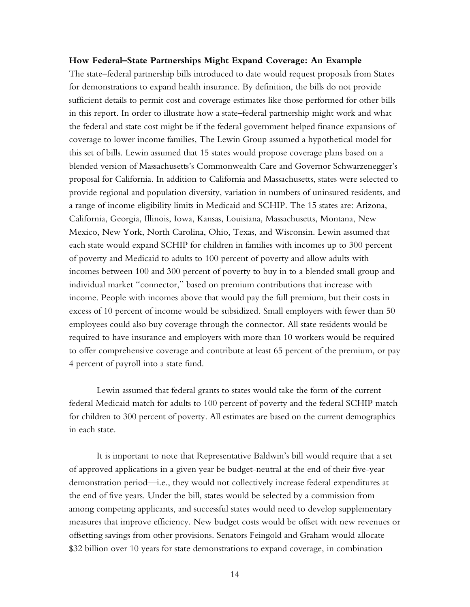#### **How Federal–State Partnerships Might Expand Coverage: An Example**

The state–federal partnership bills introduced to date would request proposals from States for demonstrations to expand health insurance. By definition, the bills do not provide sufficient details to permit cost and coverage estimates like those performed for other bills in this report. In order to illustrate how a state–federal partnership might work and what the federal and state cost might be if the federal government helped finance expansions of coverage to lower income families, The Lewin Group assumed a hypothetical model for this set of bills. Lewin assumed that 15 states would propose coverage plans based on a blended version of Massachusetts's Commonwealth Care and Governor Schwarzenegger's proposal for California. In addition to California and Massachusetts, states were selected to provide regional and population diversity, variation in numbers of uninsured residents, and a range of income eligibility limits in Medicaid and SCHIP. The 15 states are: Arizona, California, Georgia, Illinois, Iowa, Kansas, Louisiana, Massachusetts, Montana, New Mexico, New York, North Carolina, Ohio, Texas, and Wisconsin. Lewin assumed that each state would expand SCHIP for children in families with incomes up to 300 percent of poverty and Medicaid to adults to 100 percent of poverty and allow adults with incomes between 100 and 300 percent of poverty to buy in to a blended small group and individual market "connector," based on premium contributions that increase with income. People with incomes above that would pay the full premium, but their costs in excess of 10 percent of income would be subsidized. Small employers with fewer than 50 employees could also buy coverage through the connector. All state residents would be required to have insurance and employers with more than 10 workers would be required to offer comprehensive coverage and contribute at least 65 percent of the premium, or pay 4 percent of payroll into a state fund.

Lewin assumed that federal grants to states would take the form of the current federal Medicaid match for adults to 100 percent of poverty and the federal SCHIP match for children to 300 percent of poverty. All estimates are based on the current demographics in each state.

It is important to note that Representative Baldwin's bill would require that a set of approved applications in a given year be budget-neutral at the end of their five-year demonstration period—i.e., they would not collectively increase federal expenditures at the end of five years. Under the bill, states would be selected by a commission from among competing applicants, and successful states would need to develop supplementary measures that improve efficiency. New budget costs would be offset with new revenues or offsetting savings from other provisions. Senators Feingold and Graham would allocate \$32 billion over 10 years for state demonstrations to expand coverage, in combination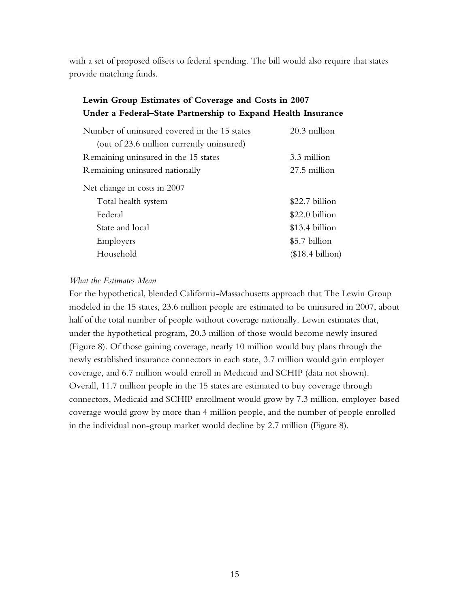with a set of proposed offsets to federal spending. The bill would also require that states provide matching funds.

# **Lewin Group Estimates of Coverage and Costs in 2007 Under a Federal–State Partnership to Expand Health Insurance**

| Number of uninsured covered in the 15 states | $20.3$ million    |
|----------------------------------------------|-------------------|
| (out of 23.6 million currently uninsured)    |                   |
| Remaining uninsured in the 15 states         | 3.3 million       |
| Remaining uninsured nationally               | 27.5 million      |
| Net change in costs in 2007                  |                   |
| Total health system                          | $$22.7\; billion$ |
| Federal                                      | \$22.0 billion    |
| State and local                              | \$13.4 billion    |
| Employers                                    | \$5.7 billion     |
| Household                                    | (\$18.4 billion)  |

### *What the Estimates Mean*

For the hypothetical, blended California-Massachusetts approach that The Lewin Group modeled in the 15 states, 23.6 million people are estimated to be uninsured in 2007, about half of the total number of people without coverage nationally. Lewin estimates that, under the hypothetical program, 20.3 million of those would become newly insured (Figure 8). Of those gaining coverage, nearly 10 million would buy plans through the newly established insurance connectors in each state, 3.7 million would gain employer coverage, and 6.7 million would enroll in Medicaid and SCHIP (data not shown). Overall, 11.7 million people in the 15 states are estimated to buy coverage through connectors, Medicaid and SCHIP enrollment would grow by 7.3 million, employer-based coverage would grow by more than 4 million people, and the number of people enrolled in the individual non-group market would decline by 2.7 million (Figure 8).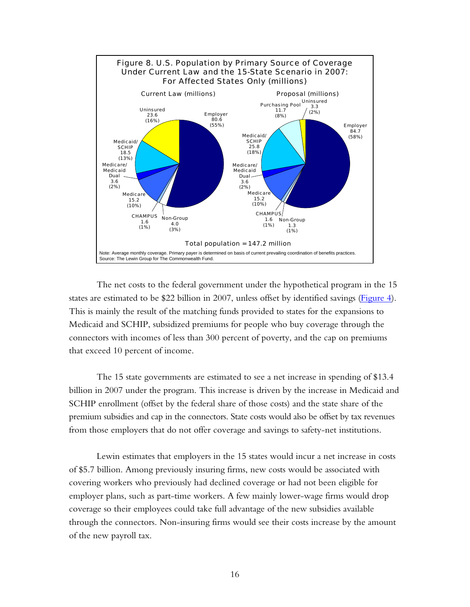<span id="page-35-0"></span>

The net costs to the federal government under the hypothetical program in the 15 states are estimated to be \$22 billion in 2007, unless offset by identified savings [\(Figure 4\)](#page-26-0). This is mainly the result of the matching funds provided to states for the expansions to Medicaid and SCHIP, subsidized premiums for people who buy coverage through the connectors with incomes of less than 300 percent of poverty, and the cap on premiums that exceed 10 percent of income.

The 15 state governments are estimated to see a net increase in spending of \$13.4 billion in 2007 under the program. This increase is driven by the increase in Medicaid and SCHIP enrollment (offset by the federal share of those costs) and the state share of the premium subsidies and cap in the connectors. State costs would also be offset by tax revenues from those employers that do not offer coverage and savings to safety-net institutions.

Lewin estimates that employers in the 15 states would incur a net increase in costs of \$5.7 billion. Among previously insuring firms, new costs would be associated with covering workers who previously had declined coverage or had not been eligible for employer plans, such as part-time workers. A few mainly lower-wage firms would drop coverage so their employees could take full advantage of the new subsidies available through the connectors. Non-insuring firms would see their costs increase by the amount of the new payroll tax.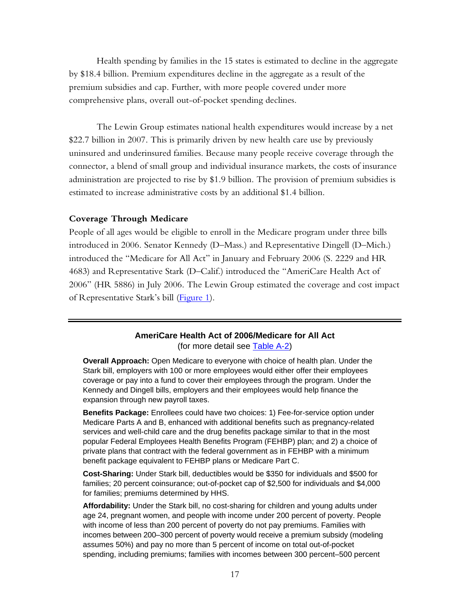Health spending by families in the 15 states is estimated to decline in the aggregate by \$18.4 billion. Premium expenditures decline in the aggregate as a result of the premium subsidies and cap. Further, with more people covered under more comprehensive plans, overall out-of-pocket spending declines.

The Lewin Group estimates national health expenditures would increase by a net \$22.7 billion in 2007. This is primarily driven by new health care use by previously uninsured and underinsured families. Because many people receive coverage through the connector, a blend of small group and individual insurance markets, the costs of insurance administration are projected to rise by \$1.9 billion. The provision of premium subsidies is estimated to increase administrative costs by an additional \$1.4 billion.

#### **Coverage Through Medicare**

People of all ages would be eligible to enroll in the Medicare program under three bills introduced in 2006. Senator Kennedy (D–Mass.) and Representative Dingell (D–Mich.) introduced the "Medicare for All Act" in January and February 2006 (S. 2229 and HR 4683) and Representative Stark (D–Calif.) introduced the "AmeriCare Health Act of 2006" (HR 5886) in July 2006. The Lewin Group estimated the coverage and cost impact of Representative Stark's bill [\(Figure 1\)](#page-22-0).

#### **AmeriCare Health Act of 2006/Medicare for All Act** (for more detail see [Table A-2\)](#page-74-0)

**Overall Approach:** Open Medicare to everyone with choice of health plan. Under the Stark bill, employers with 100 or more employees would either offer their employees coverage or pay into a fund to cover their employees through the program. Under the Kennedy and Dingell bills, employers and their employees would help finance the expansion through new payroll taxes.

**Benefits Package:** Enrollees could have two choices: 1) Fee-for-service option under Medicare Parts A and B, enhanced with additional benefits such as pregnancy-related services and well-child care and the drug benefits package similar to that in the most popular Federal Employees Health Benefits Program (FEHBP) plan; and 2) a choice of private plans that contract with the federal government as in FEHBP with a minimum benefit package equivalent to FEHBP plans or Medicare Part C.

**Cost-Sharing:** Under Stark bill, deductibles would be \$350 for individuals and \$500 for families; 20 percent coinsurance; out-of-pocket cap of \$2,500 for individuals and \$4,000 for families; premiums determined by HHS.

**Affordability:** Under the Stark bill, no cost-sharing for children and young adults under age 24, pregnant women, and people with income under 200 percent of poverty. People with income of less than 200 percent of poverty do not pay premiums. Families with incomes between 200–300 percent of poverty would receive a premium subsidy (modeling assumes 50%) and pay no more than 5 percent of income on total out-of-pocket spending, including premiums; families with incomes between 300 percent–500 percent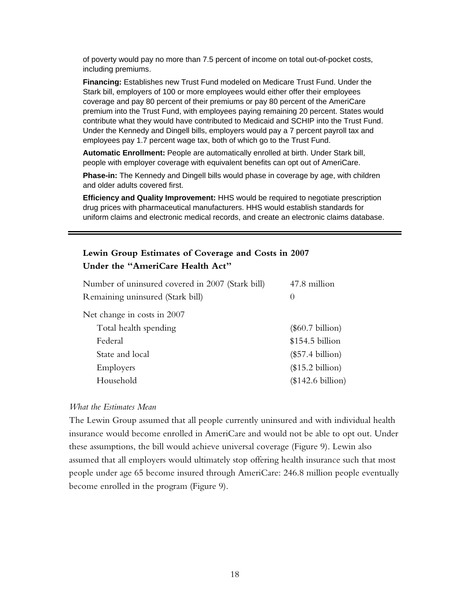of poverty would pay no more than 7.5 percent of income on total out-of-pocket costs, including premiums.

**Financing:** Establishes new Trust Fund modeled on Medicare Trust Fund. Under the Stark bill, employers of 100 or more employees would either offer their employees coverage and pay 80 percent of their premiums or pay 80 percent of the AmeriCare premium into the Trust Fund, with employees paying remaining 20 percent. States would contribute what they would have contributed to Medicaid and SCHIP into the Trust Fund. Under the Kennedy and Dingell bills, employers would pay a 7 percent payroll tax and employees pay 1.7 percent wage tax, both of which go to the Trust Fund.

**Automatic Enrollment:** People are automatically enrolled at birth. Under Stark bill, people with employer coverage with equivalent benefits can opt out of AmeriCare.

**Phase-in:** The Kennedy and Dingell bills would phase in coverage by age, with children and older adults covered first.

**Efficiency and Quality Improvement:** HHS would be required to negotiate prescription drug prices with pharmaceutical manufacturers. HHS would establish standards for uniform claims and electronic medical records, and create an electronic claims database.

# **Lewin Group Estimates of Coverage and Costs in 2007 Under the "AmeriCare Health Act"**

| Number of uninsured covered in 2007 (Stark bill) | 47.8 million       |
|--------------------------------------------------|--------------------|
| Remaining uninsured (Stark bill)                 | $\Omega$           |
| Net change in costs in 2007                      |                    |
| Total health spending                            | $(\$60.7 billion)$ |
| Federal                                          | \$154.5 billion    |
| State and local                                  | (\$57.4 billion)   |
| Employers                                        | (\$15.2 billion)   |
| Household                                        | (\$142.6 billion)  |
|                                                  |                    |

#### *What the Estimates Mean*

The Lewin Group assumed that all people currently uninsured and with individual health insurance would become enrolled in AmeriCare and would not be able to opt out. Under these assumptions, the bill would achieve universal coverage (Figure 9). Lewin also assumed that all employers would ultimately stop offering health insurance such that most people under age 65 become insured through AmeriCare: 246.8 million people eventually become enrolled in the program (Figure 9).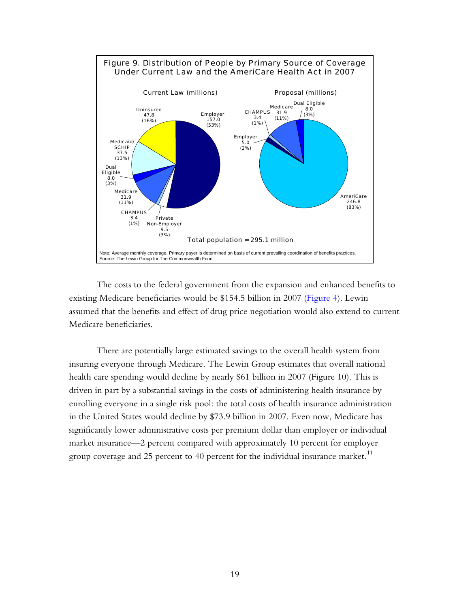

The costs to the federal government from the expansion and enhanced benefits to existing Medicare beneficiaries would be \$154.5 billion in 2007 [\(Figure 4\)](#page-26-0). Lewin assumed that the benefits and effect of drug price negotiation would also extend to current Medicare beneficiaries.

There are potentially large estimated savings to the overall health system from insuring everyone through Medicare. The Lewin Group estimates that overall national health care spending would decline by nearly \$61 billion in 2007 (Figure 10). This is driven in part by a substantial savings in the costs of administering health insurance by enrolling everyone in a single risk pool: the total costs of health insurance administration in the United States would decline by \$73.9 billion in 2007. Even now, Medicare has significantly lower administrative costs per premium dollar than employer or individual market insurance—2 percent compared with approximately 10 percent for employer group coverage and 25 percent to 40 percent for the individual insurance market.<sup>11</sup>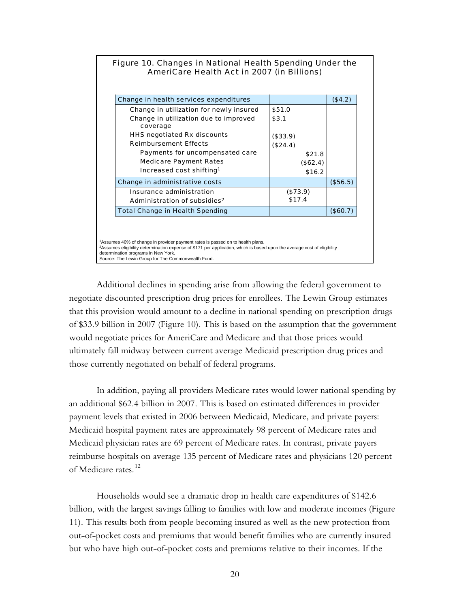#### Figure 10. Changes in National Health Spending Under the AmeriCare Health Act in 2007 (in Billions)

| Change in health services expenditures            |          | ( \$4.2) |
|---------------------------------------------------|----------|----------|
| Change in utilization for newly insured           | \$51.0   |          |
| Change in utilization due to improved<br>coverage | \$3.1    |          |
| <b>HHS negotiated Rx discounts</b>                | (\$33.9) |          |
| <b>Reimbursement Effects</b>                      | (\$24.4) |          |
| Payments for uncompensated care                   | \$21.8   |          |
| <b>Medicare Payment Rates</b>                     | (\$62.4) |          |
| Increased cost shifting <sup>1</sup>              | \$16.2   |          |
| Change in administrative costs                    |          | (\$56.5) |
| Insurance administration                          | (\$73.9) |          |
| Administration of subsidies <sup>2</sup>          | \$17.4   |          |
| <b>Total Change in Health Spending</b>            |          | (\$60.7) |

Additional declines in spending arise from allowing the federal government to negotiate discounted prescription drug prices for enrollees. The Lewin Group estimates that this provision would amount to a decline in national spending on prescription drugs of \$33.9 billion in 2007 (Figure 10). This is based on the assumption that the government would negotiate prices for AmeriCare and Medicare and that those prices would ultimately fall midway between current average Medicaid prescription drug prices and those currently negotiated on behalf of federal programs.

In addition, paying all providers Medicare rates would lower national spending by an additional \$62.4 billion in 2007. This is based on estimated differences in provider payment levels that existed in 2006 between Medicaid, Medicare, and private payers: Medicaid hospital payment rates are approximately 98 percent of Medicare rates and Medicaid physician rates are 69 percent of Medicare rates. In contrast, private payers reimburse hospitals on average 135 percent of Medicare rates and physicians 120 percent of Medicare rates.<sup>12</sup>

Households would see a dramatic drop in health care expenditures of \$142.6 billion, with the largest savings falling to families with low and moderate incomes (Figure 11). This results both from people becoming insured as well as the new protection from out-of-pocket costs and premiums that would benefit families who are currently insured but who have high out-of-pocket costs and premiums relative to their incomes. If the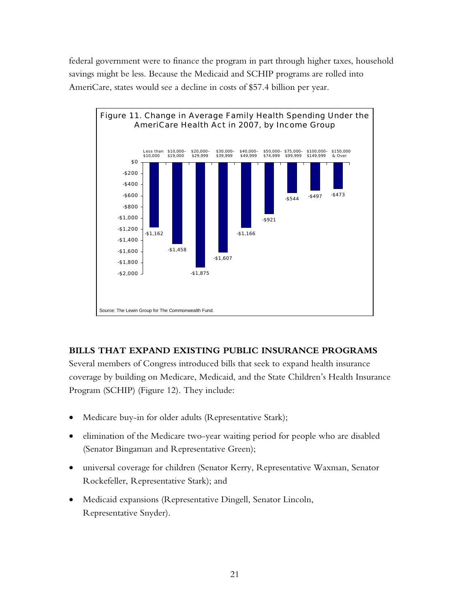federal government were to finance the program in part through higher taxes, household savings might be less. Because the Medicaid and SCHIP programs are rolled into AmeriCare, states would see a decline in costs of \$57.4 billion per year.



# **BILLS THAT EXPAND EXISTING PUBLIC INSURANCE PROGRAMS**

Several members of Congress introduced bills that seek to expand health insurance coverage by building on Medicare, Medicaid, and the State Children's Health Insurance Program (SCHIP) (Figure 12). They include:

- Medicare buy-in for older adults (Representative Stark);
- elimination of the Medicare two-year waiting period for people who are disabled (Senator Bingaman and Representative Green);
- universal coverage for children (Senator Kerry, Representative Waxman, Senator Rockefeller, Representative Stark); and
- Medicaid expansions (Representative Dingell, Senator Lincoln, Representative Snyder).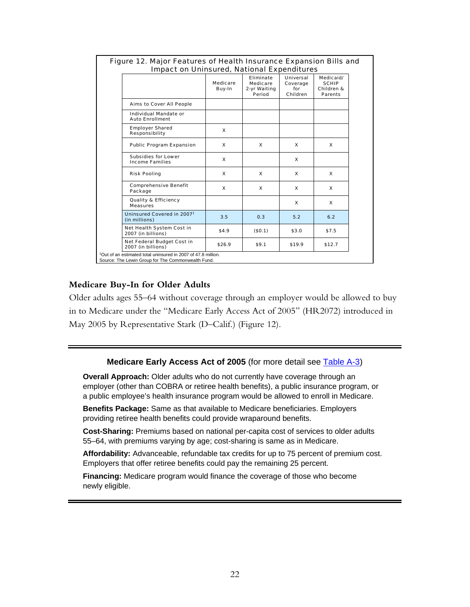<span id="page-41-0"></span>

|                                                         | <b>Medicare</b><br>Buy-In | Eliminate<br><b>Medicare</b><br>2-yr Waiting<br>Period | Universal<br>Coverage<br>for<br>Children | Medicaid/<br><b>SCHIP</b><br>Children &<br><b>Parents</b> |
|---------------------------------------------------------|---------------------------|--------------------------------------------------------|------------------------------------------|-----------------------------------------------------------|
| <b>Aims to Cover All People</b>                         |                           |                                                        |                                          |                                                           |
| Individual Mandate or<br><b>Auto Enrollment</b>         |                           |                                                        |                                          |                                                           |
| <b>Employer Shared</b><br><b>Responsibility</b>         | x                         |                                                        |                                          |                                                           |
| <b>Public Program Expansion</b>                         | x                         | x                                                      | x                                        | x                                                         |
| <b>Subsidies for Lower</b><br><b>Income Families</b>    | x                         |                                                        | x                                        |                                                           |
| <b>Risk Pooling</b>                                     | x                         | x                                                      | x                                        | x                                                         |
| <b>Comprehensive Benefit</b><br>Package                 | x                         | x                                                      | x                                        | x                                                         |
| <b>Quality &amp; Efficiency</b><br><b>Measures</b>      |                           |                                                        | x                                        | $\mathbf{x}$                                              |
| Uninsured Covered in 2007 <sup>1</sup><br>(in millions) | 3.5                       | 0.3                                                    | 5.2                                      | 6.2                                                       |
| Net Health System Cost in<br>2007 (in billions)         | \$4.9                     | (50.1)                                                 | \$3.0                                    | \$7.5                                                     |
| Net Federal Budget Cost in<br>2007 (in billions)        | \$26.9                    | \$9.1                                                  | \$19.9                                   | \$12.7                                                    |

#### **Medicare Buy-In for Older Adults**

Older adults ages 55–64 without coverage through an employer would be allowed to buy in to Medicare under the "Medicare Early Access Act of 2005" (HR2072) introduced in May 2005 by Representative Stark (D–Calif.) (Figure 12).

#### **Medicare Early Access Act of 2005** (for more detail see [Table A-3\)](#page-80-0)

**Overall Approach:** Older adults who do not currently have coverage through an employer (other than COBRA or retiree health benefits), a public insurance program, or a public employee's health insurance program would be allowed to enroll in Medicare.

**Benefits Package:** Same as that available to Medicare beneficiaries. Employers providing retiree health benefits could provide wraparound benefits.

**Cost-Sharing:** Premiums based on national per-capita cost of services to older adults 55–64, with premiums varying by age; cost-sharing is same as in Medicare.

**Affordability:** Advanceable, refundable tax credits for up to 75 percent of premium cost. Employers that offer retiree benefits could pay the remaining 25 percent.

**Financing:** Medicare program would finance the coverage of those who become newly eligible.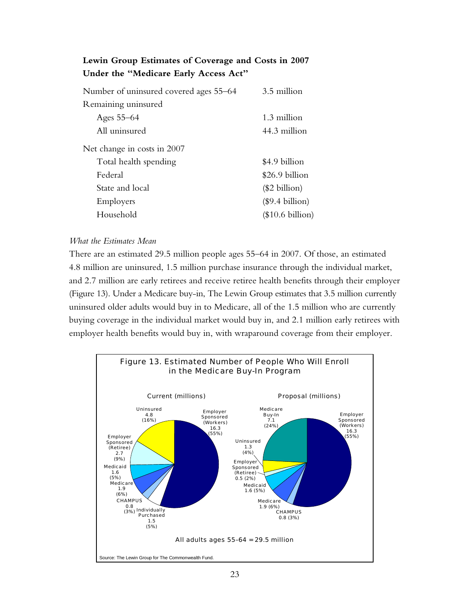# <span id="page-42-0"></span>**Lewin Group Estimates of Coverage and Costs in 2007 Under the "Medicare Early Access Act"**

| Number of uninsured covered ages 55–64 | 3.5 million       |
|----------------------------------------|-------------------|
| Remaining uninsured                    |                   |
| Ages 55–64                             | 1.3 million       |
| All uninsured                          | 44.3 million      |
| Net change in costs in 2007            |                   |
| Total health spending                  | \$4.9 billion     |
| Federal                                | \$26.9 billion    |
| State and local                        | (\$2 billion)     |
| Employers                              | $(\$9.4 billion)$ |
| Household                              | (\$10.6 billion)  |

#### *What the Estimates Mean*

There are an estimated 29.5 million people ages 55–64 in 2007. Of those, an estimated 4.8 million are uninsured, 1.5 million purchase insurance through the individual market, and 2.7 million are early retirees and receive retiree health benefits through their employer (Figure 13). Under a Medicare buy-in, The Lewin Group estimates that 3.5 million currently uninsured older adults would buy in to Medicare, all of the 1.5 million who are currently buying coverage in the individual market would buy in, and 2.1 million early retirees with employer health benefits would buy in, with wraparound coverage from their employer.

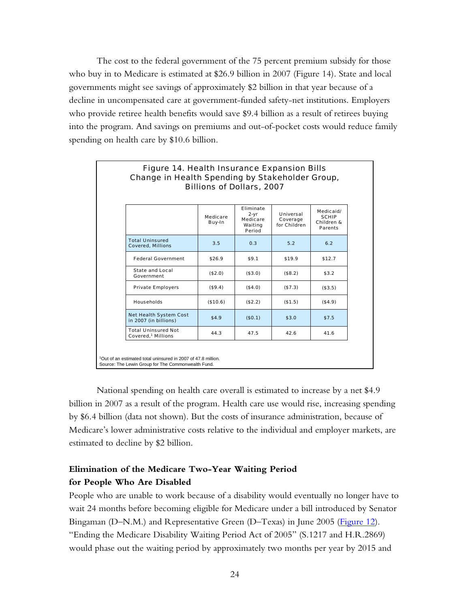<span id="page-43-0"></span>The cost to the federal government of the 75 percent premium subsidy for those who buy in to Medicare is estimated at \$26.9 billion in 2007 (Figure 14). State and local governments might see savings of approximately \$2 billion in that year because of a decline in uncompensated care at government-funded safety-net institutions. Employers who provide retiree health benefits would save \$9.4 billion as a result of retirees buying into the program. And savings on premiums and out-of-pocket costs would reduce family spending on health care by \$10.6 billion.

|                                                              | Medicare<br>Buy-In | Eliminate<br>2-yr<br><b>Medicare</b><br>Waiting<br>Period | Universal<br>Coverage<br>for Children | Medicaid/<br><b>SCHIP</b><br>Children &<br><b>Parents</b> |
|--------------------------------------------------------------|--------------------|-----------------------------------------------------------|---------------------------------------|-----------------------------------------------------------|
| <b>Total Uninsured</b><br><b>Covered, Millions</b>           | 3.5                | 0.3                                                       | 5.2                                   | 6.2                                                       |
| <b>Federal Government</b>                                    | \$26.9             | \$9.1                                                     | \$19.9                                | \$12.7                                                    |
| <b>State and Local</b><br>Government                         | (\$2.0)            | (\$3.0)                                                   | (\$8.2)                               | \$3.2\$                                                   |
| <b>Private Employers</b>                                     | (\$9.4)            | (\$4.0)                                                   | (57.3)                                | ( \$3.5)                                                  |
| <b>Households</b>                                            | (\$10.6)           | (\$2.2)                                                   | (\$1.5)                               | (\$4.9)                                                   |
| <b>Net Health System Cost</b><br>in 2007 (in billions)       | \$4.9              | (\$0.1)                                                   | \$3.0                                 | \$7.5                                                     |
| <b>Total Uninsured Not</b><br>Covered, <sup>1</sup> Millions | 44.3               | 47.5                                                      | 42.6                                  | 41.6                                                      |

National spending on health care overall is estimated to increase by a net \$4.9 billion in 2007 as a result of the program. Health care use would rise, increasing spending by \$6.4 billion (data not shown). But the costs of insurance administration, because of Medicare's lower administrative costs relative to the individual and employer markets, are estimated to decline by \$2 billion.

# **Elimination of the Medicare Two-Year Waiting Period for People Who Are Disabled**

People who are unable to work because of a disability would eventually no longer have to wait 24 months before becoming eligible for Medicare under a bill introduced by Senator Bingaman (D–N.M.) and Representative Green (D–Texas) in June 2005 [\(Figure 12\)](#page-41-0). "Ending the Medicare Disability Waiting Period Act of 2005" (S.1217 and H.R.2869) would phase out the waiting period by approximately two months per year by 2015 and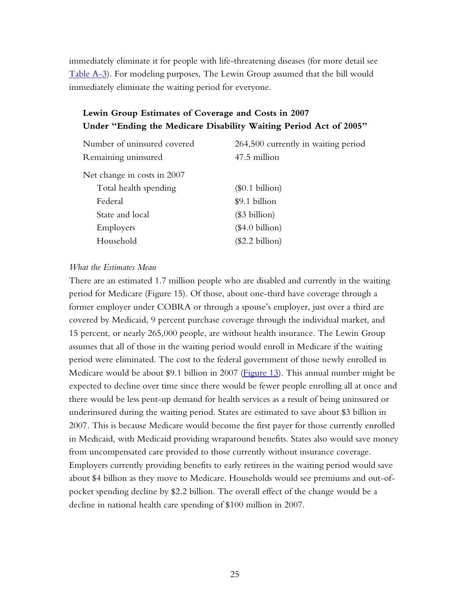immediately eliminate it for people with life-threatening diseases (for more detail see [Table A-3\)](#page-80-0). For modeling purposes, The Lewin Group assumed that the bill would immediately eliminate the waiting period for everyone.

## **Lewin Group Estimates of Coverage and Costs in 2007 Under "Ending the Medicare Disability Waiting Period Act of 2005"**

| 264,500 currently in waiting period |
|-------------------------------------|
| 47.5 million                        |
|                                     |
| (\$0.1 billion)                     |
| \$9.1 billion                       |
| (\$3 billion)                       |
| (\$4.0 billion)                     |
| (\$2.2 billion)                     |
|                                     |

#### *What the Estimates Mean*

There are an estimated 1.7 million people who are disabled and currently in the waiting period for Medicare (Figure 15). Of those, about one-third have coverage through a former employer under COBRA or through a spouse's employer, just over a third are covered by Medicaid, 9 percent purchase coverage through the individual market, and 15 percent, or nearly 265,000 people, are without health insurance. The Lewin Group assumes that all of those in the waiting period would enroll in Medicare if the waiting period were eliminated. The cost to the federal government of those newly enrolled in Medicare would be about \$9.1 billion in 2007 [\(Figure 13\)](#page-42-0). This annual number might be expected to decline over time since there would be fewer people enrolling all at once and there would be less pent-up demand for health services as a result of being uninsured or underinsured during the waiting period. States are estimated to save about \$3 billion in 2007. This is because Medicare would become the first payer for those currently enrolled in Medicaid, with Medicaid providing wraparound benefits. States also would save money from uncompensated care provided to those currently without insurance coverage. Employers currently providing benefits to early retirees in the waiting period would save about \$4 billion as they move to Medicare. Households would see premiums and out-ofpocket spending decline by \$2.2 billion. The overall effect of the change would be a decline in national health care spending of \$100 million in 2007.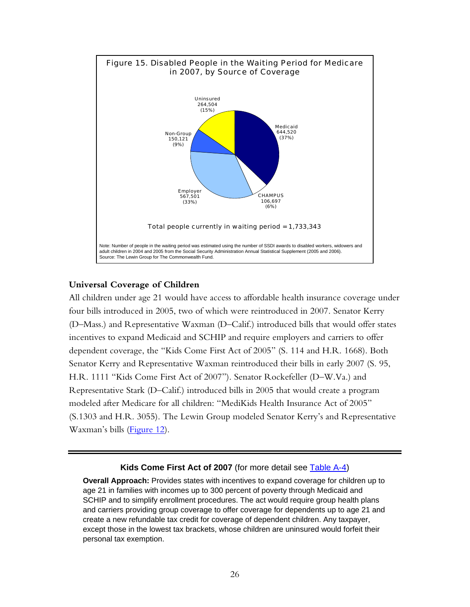<span id="page-45-0"></span>

### **Universal Coverage of Children**

All children under age 21 would have access to affordable health insurance coverage under four bills introduced in 2005, two of which were reintroduced in 2007. Senator Kerry (D–Mass.) and Representative Waxman (D–Calif.) introduced bills that would offer states incentives to expand Medicaid and SCHIP and require employers and carriers to offer dependent coverage, the "Kids Come First Act of 2005" (S. 114 and H.R. 1668). Both Senator Kerry and Representative Waxman reintroduced their bills in early 2007 (S. 95, H.R. 1111 "Kids Come First Act of 2007"). Senator Rockefeller (D–W.Va.) and Representative Stark (D–Calif.) introduced bills in 2005 that would create a program modeled after Medicare for all children: "MediKids Health Insurance Act of 2005" (S.1303 and H.R. 3055). The Lewin Group modeled Senator Kerry's and Representative Waxman's bills [\(Figure 12\)](#page-41-0).

#### Kids Come First Act of 2007 (for more detail see [Table A-4\)](#page-83-0)

**Overall Approach:** Provides states with incentives to expand coverage for children up to age 21 in families with incomes up to 300 percent of poverty through Medicaid and SCHIP and to simplify enrollment procedures. The act would require group health plans and carriers providing group coverage to offer coverage for dependents up to age 21 and create a new refundable tax credit for coverage of dependent children. Any taxpayer, except those in the lowest tax brackets, whose children are uninsured would forfeit their personal tax exemption.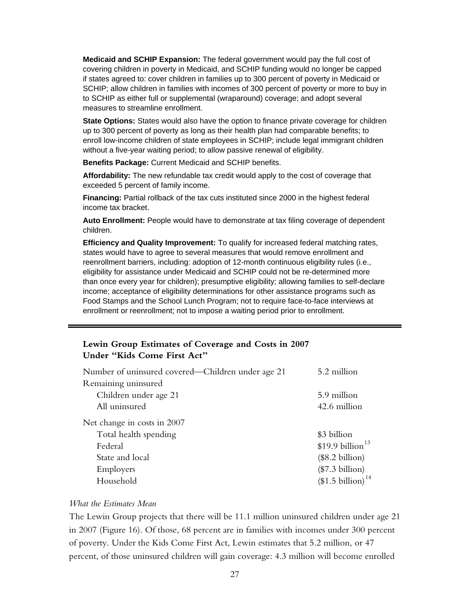**Medicaid and SCHIP Expansion:** The federal government would pay the full cost of covering children in poverty in Medicaid, and SCHIP funding would no longer be capped if states agreed to: cover children in families up to 300 percent of poverty in Medicaid or SCHIP; allow children in families with incomes of 300 percent of poverty or more to buy in to SCHIP as either full or supplemental (wraparound) coverage; and adopt several measures to streamline enrollment.

**State Options:** States would also have the option to finance private coverage for children up to 300 percent of poverty as long as their health plan had comparable benefits; to enroll low-income children of state employees in SCHIP; include legal immigrant children without a five-year waiting period; to allow passive renewal of eligibility.

**Benefits Package:** Current Medicaid and SCHIP benefits.

**Affordability:** The new refundable tax credit would apply to the cost of coverage that exceeded 5 percent of family income.

**Financing:** Partial rollback of the tax cuts instituted since 2000 in the highest federal income tax bracket.

**Auto Enrollment:** People would have to demonstrate at tax filing coverage of dependent children.

**Efficiency and Quality Improvement:** To qualify for increased federal matching rates, states would have to agree to several measures that would remove enrollment and reenrollment barriers, including: adoption of 12-month continuous eligibility rules (i.e., eligibility for assistance under Medicaid and SCHIP could not be re-determined more than once every year for children); presumptive eligibility; allowing families to self-declare income; acceptance of eligibility determinations for other assistance programs such as Food Stamps and the School Lunch Program; not to require face-to-face interviews at enrollment or reenrollment; not to impose a waiting period prior to enrollment.

### **Lewin Group Estimates of Coverage and Costs in 2007 Under "Kids Come First Act"**

| 5.2 million                   |
|-------------------------------|
|                               |
| 5.9 million                   |
| 42.6 million                  |
|                               |
| \$3 billion                   |
| $$19.9$ billion <sup>13</sup> |
| (\$8.2 billion)               |
| $(\$7.3 billion)$             |
| $($1.5 \text{ billion})^{14}$ |
|                               |

#### *What the Estimates Mean*

The Lewin Group projects that there will be 11.1 million uninsured children under age 21 in 2007 (Figure 16). Of those, 68 percent are in families with incomes under 300 percent of poverty. Under the Kids Come First Act, Lewin estimates that 5.2 million, or 47 percent, of those uninsured children will gain coverage: 4.3 million will become enrolled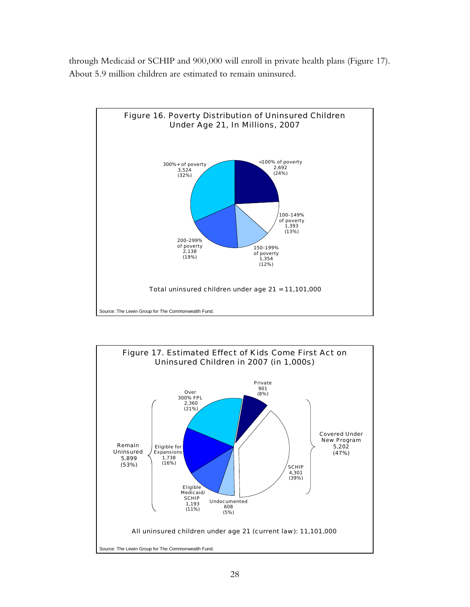<span id="page-47-0"></span>through Medicaid or SCHIP and 900,000 will enroll in private health plans (Figure 17). About 5.9 million children are estimated to remain uninsured.



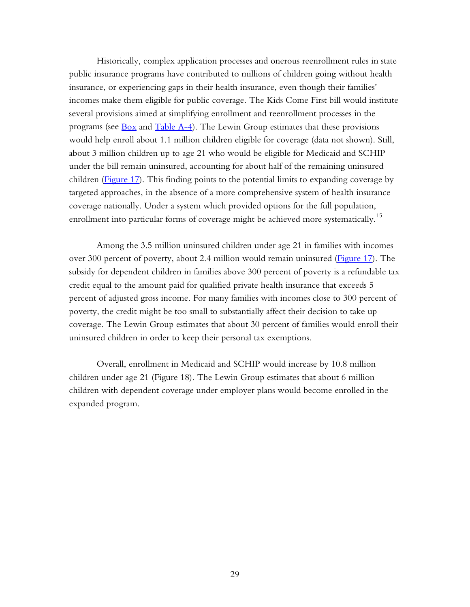Historically, complex application processes and onerous reenrollment rules in state public insurance programs have contributed to millions of children going without health insurance, or experiencing gaps in their health insurance, even though their families' incomes make them eligible for public coverage. The Kids Come First bill would institute several provisions aimed at simplifying enrollment and reenrollment processes in the programs (see [Box](#page-45-0) and [Table A-4\)](#page-83-0). The Lewin Group estimates that these provisions would help enroll about 1.1 million children eligible for coverage (data not shown). Still, about 3 million children up to age 21 who would be eligible for Medicaid and SCHIP under the bill remain uninsured, accounting for about half of the remaining uninsured children [\(Figure 17\)](#page-47-0). This finding points to the potential limits to expanding coverage by targeted approaches, in the absence of a more comprehensive system of health insurance coverage nationally. Under a system which provided options for the full population, enrollment into particular forms of coverage might be achieved more systematically.<sup>15</sup>

Among the 3.5 million uninsured children under age 21 in families with incomes over 300 percent of poverty, about 2.4 million would remain uninsured [\(Figure 17](#page-47-0)). The subsidy for dependent children in families above 300 percent of poverty is a refundable tax credit equal to the amount paid for qualified private health insurance that exceeds 5 percent of adjusted gross income. For many families with incomes close to 300 percent of poverty, the credit might be too small to substantially affect their decision to take up coverage. The Lewin Group estimates that about 30 percent of families would enroll their uninsured children in order to keep their personal tax exemptions.

Overall, enrollment in Medicaid and SCHIP would increase by 10.8 million children under age 21 (Figure 18). The Lewin Group estimates that about 6 million children with dependent coverage under employer plans would become enrolled in the expanded program.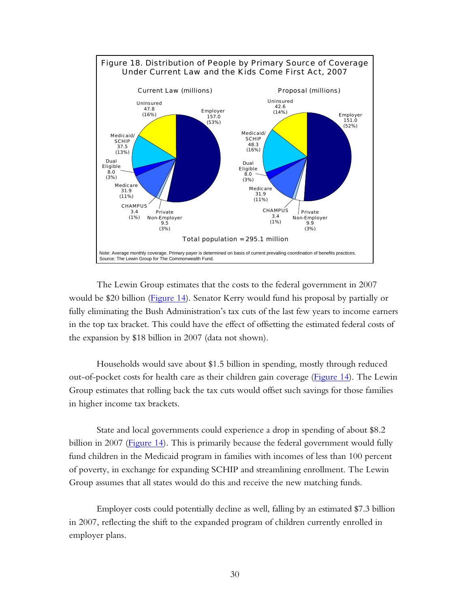

The Lewin Group estimates that the costs to the federal government in 2007 would be \$20 billion [\(Figure 14\)](#page-43-0). Senator Kerry would fund his proposal by partially or fully eliminating the Bush Administration's tax cuts of the last few years to income earners in the top tax bracket. This could have the effect of offsetting the estimated federal costs of the expansion by \$18 billion in 2007 (data not shown).

Households would save about \$1.5 billion in spending, mostly through reduced out-of-pocket costs for health care as their children gain coverage ([Figure 14\)](#page-43-0). The Lewin Group estimates that rolling back the tax cuts would offset such savings for those families in higher income tax brackets.

State and local governments could experience a drop in spending of about \$8.2 billion in 2007 [\(Figure 14\)](#page-43-0). This is primarily because the federal government would fully fund children in the Medicaid program in families with incomes of less than 100 percent of poverty, in exchange for expanding SCHIP and streamlining enrollment. The Lewin Group assumes that all states would do this and receive the new matching funds.

Employer costs could potentially decline as well, falling by an estimated \$7.3 billion in 2007, reflecting the shift to the expanded program of children currently enrolled in employer plans.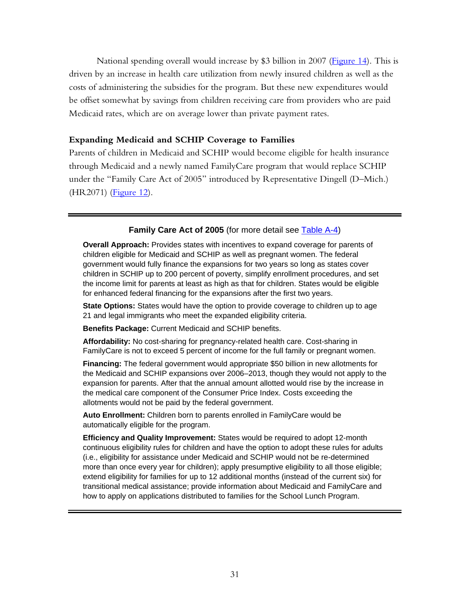National spending overall would increase by \$3 billion in 2007 [\(Figure 14\)](#page-43-0). This is driven by an increase in health care utilization from newly insured children as well as the costs of administering the subsidies for the program. But these new expenditures would be offset somewhat by savings from children receiving care from providers who are paid Medicaid rates, which are on average lower than private payment rates.

#### **Expanding Medicaid and SCHIP Coverage to Families**

Parents of children in Medicaid and SCHIP would become eligible for health insurance through Medicaid and a newly named FamilyCare program that would replace SCHIP under the "Family Care Act of 2005" introduced by Representative Dingell (D–Mich.)  $(HR2071)$  [\(Figure 12\)](#page-41-0).

#### **Family Care Act of 2005** (for more detail see [Table A-4\)](#page-83-0)

**Overall Approach:** Provides states with incentives to expand coverage for parents of children eligible for Medicaid and SCHIP as well as pregnant women. The federal government would fully finance the expansions for two years so long as states cover children in SCHIP up to 200 percent of poverty, simplify enrollment procedures, and set the income limit for parents at least as high as that for children. States would be eligible for enhanced federal financing for the expansions after the first two years.

**State Options:** States would have the option to provide coverage to children up to age 21 and legal immigrants who meet the expanded eligibility criteria.

**Benefits Package:** Current Medicaid and SCHIP benefits.

**Affordability:** No cost-sharing for pregnancy-related health care. Cost-sharing in FamilyCare is not to exceed 5 percent of income for the full family or pregnant women.

**Financing:** The federal government would appropriate \$50 billion in new allotments for the Medicaid and SCHIP expansions over 2006–2013, though they would not apply to the expansion for parents. After that the annual amount allotted would rise by the increase in the medical care component of the Consumer Price Index. Costs exceeding the allotments would not be paid by the federal government.

**Auto Enrollment:** Children born to parents enrolled in FamilyCare would be automatically eligible for the program.

**Efficiency and Quality Improvement:** States would be required to adopt 12-month continuous eligibility rules for children and have the option to adopt these rules for adults (i.e., eligibility for assistance under Medicaid and SCHIP would not be re-determined more than once every year for children); apply presumptive eligibility to all those eligible; extend eligibility for families for up to 12 additional months (instead of the current six) for transitional medical assistance; provide information about Medicaid and FamilyCare and how to apply on applications distributed to families for the School Lunch Program.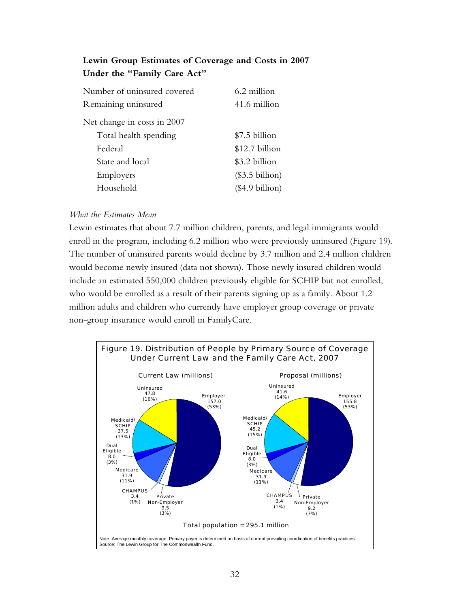# **Lewin Group Estimates of Coverage and Costs in 2007 Under the "Family Care Act"**

| 6.2 million     |
|-----------------|
| 41.6 million    |
|                 |
| \$7.5 billion   |
| \$12.7 billion  |
| \$3.2 billion   |
| (\$3.5 billion) |
| (\$4.9 billion) |
|                 |

#### *What the Estimates Mean*

Lewin estimates that about 7.7 million children, parents, and legal immigrants would enroll in the program, including 6.2 million who were previously uninsured (Figure 19). The number of uninsured parents would decline by 3.7 million and 2.4 million children would become newly insured (data not shown). Those newly insured children would include an estimated 550,000 children previously eligible for SCHIP but not enrolled, who would be enrolled as a result of their parents signing up as a family. About 1.2 million adults and children who currently have employer group coverage or private non-group insurance would enroll in FamilyCare.

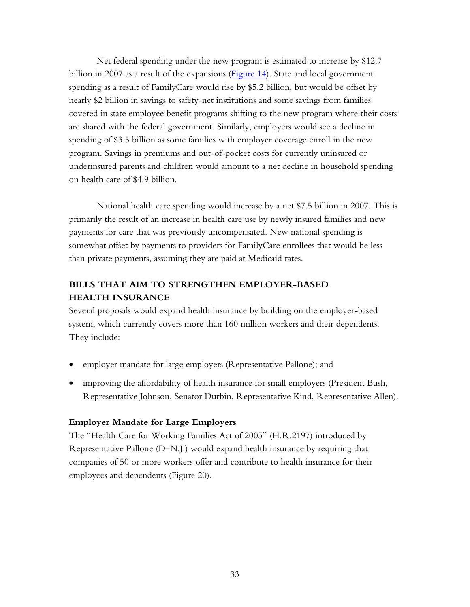Net federal spending under the new program is estimated to increase by \$12.7 billion in 2007 as a result of the expansions  $(Figure 14)$ . State and local government spending as a result of FamilyCare would rise by \$5.2 billion, but would be offset by nearly \$2 billion in savings to safety-net institutions and some savings from families covered in state employee benefit programs shifting to the new program where their costs are shared with the federal government. Similarly, employers would see a decline in spending of \$3.5 billion as some families with employer coverage enroll in the new program. Savings in premiums and out-of-pocket costs for currently uninsured or underinsured parents and children would amount to a net decline in household spending on health care of \$4.9 billion.

National health care spending would increase by a net \$7.5 billion in 2007. This is primarily the result of an increase in health care use by newly insured families and new payments for care that was previously uncompensated. New national spending is somewhat offset by payments to providers for FamilyCare enrollees that would be less than private payments, assuming they are paid at Medicaid rates.

# **BILLS THAT AIM TO STRENGTHEN EMPLOYER-BASED HEALTH INSURANCE**

Several proposals would expand health insurance by building on the employer-based system, which currently covers more than 160 million workers and their dependents. They include:

- employer mandate for large employers (Representative Pallone); and
- improving the affordability of health insurance for small employers (President Bush, Representative Johnson, Senator Durbin, Representative Kind, Representative Allen).

#### **Employer Mandate for Large Employers**

The "Health Care for Working Families Act of 2005" (H.R.2197) introduced by Representative Pallone (D–N.J.) would expand health insurance by requiring that companies of 50 or more workers offer and contribute to health insurance for their employees and dependents (Figure 20).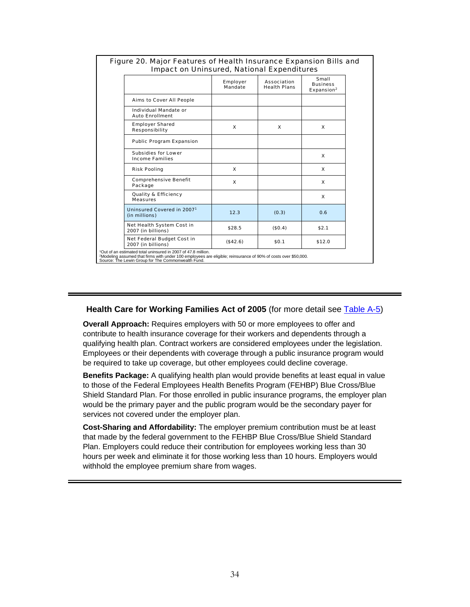<span id="page-53-0"></span>

|                                                         | <b>Employer</b><br><b>Mandate</b> | Association<br><b>Health Plans</b> | Small<br><b>Business</b><br>Expansion <sup>2</sup> |
|---------------------------------------------------------|-----------------------------------|------------------------------------|----------------------------------------------------|
| <b>Aims to Cover All People</b>                         |                                   |                                    |                                                    |
| Individual Mandate or<br><b>Auto Enrollment</b>         |                                   |                                    |                                                    |
| <b>Employer Shared</b><br><b>Responsibility</b>         | x                                 | x                                  | X                                                  |
| <b>Public Program Expansion</b>                         |                                   |                                    |                                                    |
| <b>Subsidies for Lower</b><br><b>Income Families</b>    |                                   |                                    | x                                                  |
| <b>Risk Pooling</b>                                     | x                                 |                                    | x                                                  |
| <b>Comprehensive Benefit</b><br>Package                 | x                                 |                                    | x                                                  |
| <b>Quality &amp; Efficiency</b><br><b>Measures</b>      |                                   |                                    | x                                                  |
| Uninsured Covered in 2007 <sup>1</sup><br>(in millions) | 12.3                              | (0.3)                              | 0.6                                                |
| Net Health System Cost in<br>2007 (in billions)         | \$28.5                            | (\$0.4)                            | \$2.1                                              |
| Net Federal Budget Cost in<br>2007 (in billions)        | (\$42.6)                          | \$0.1                              | \$12.0                                             |

# Figure 20. Major Features of Health Insurance Expansion Bills and

**Health Care for Working Families Act of 2005** (for more detail see [Table A-5\)](#page-90-0)

**Overall Approach:** Requires employers with 50 or more employees to offer and contribute to health insurance coverage for their workers and dependents through a qualifying health plan. Contract workers are considered employees under the legislation. Employees or their dependents with coverage through a public insurance program would be required to take up coverage, but other employees could decline coverage.

**Benefits Package:** A qualifying health plan would provide benefits at least equal in value to those of the Federal Employees Health Benefits Program (FEHBP) Blue Cross/Blue Shield Standard Plan. For those enrolled in public insurance programs, the employer plan would be the primary payer and the public program would be the secondary payer for services not covered under the employer plan.

**Cost-Sharing and Affordability:** The employer premium contribution must be at least that made by the federal government to the FEHBP Blue Cross/Blue Shield Standard Plan. Employers could reduce their contribution for employees working less than 30 hours per week and eliminate it for those working less than 10 hours. Employers would withhold the employee premium share from wages.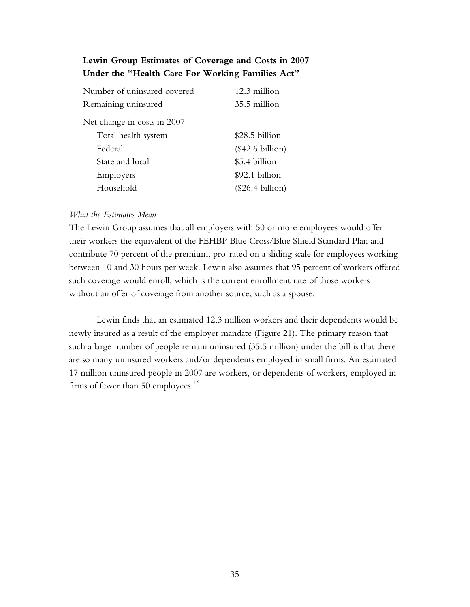# **Lewin Group Estimates of Coverage and Costs in 2007 Under the "Health Care For Working Families Act"**

| Number of uninsured covered | 12.3 million       |
|-----------------------------|--------------------|
| Remaining uninsured         | 35.5 million       |
| Net change in costs in 2007 |                    |
| Total health system         | \$28.5 billion     |
| Federal                     | $(\$42.6 billion)$ |
| State and local             | \$5.4 billion      |
| Employers                   | \$92.1 billion     |
| Household                   | $(\$26.4 billion)$ |

#### *What the Estimates Mean*

The Lewin Group assumes that all employers with 50 or more employees would offer their workers the equivalent of the FEHBP Blue Cross/Blue Shield Standard Plan and contribute 70 percent of the premium, pro-rated on a sliding scale for employees working between 10 and 30 hours per week. Lewin also assumes that 95 percent of workers offered such coverage would enroll, which is the current enrollment rate of those workers without an offer of coverage from another source, such as a spouse.

Lewin finds that an estimated 12.3 million workers and their dependents would be newly insured as a result of the employer mandate (Figure 21). The primary reason that such a large number of people remain uninsured (35.5 million) under the bill is that there are so many uninsured workers and/or dependents employed in small firms. An estimated 17 million uninsured people in 2007 are workers, or dependents of workers, employed in firms of fewer than 50 employees. $^{16}$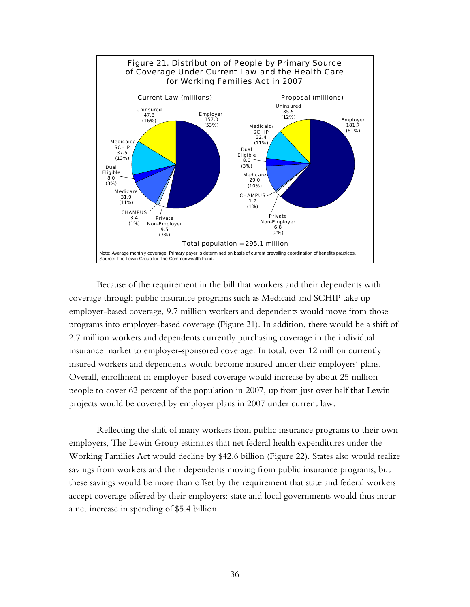

Because of the requirement in the bill that workers and their dependents with coverage through public insurance programs such as Medicaid and SCHIP take up employer-based coverage, 9.7 million workers and dependents would move from those programs into employer-based coverage (Figure 21). In addition, there would be a shift of 2.7 million workers and dependents currently purchasing coverage in the individual insurance market to employer-sponsored coverage. In total, over 12 million currently insured workers and dependents would become insured under their employers' plans. Overall, enrollment in employer-based coverage would increase by about 25 million people to cover 62 percent of the population in 2007, up from just over half that Lewin projects would be covered by employer plans in 2007 under current law.

Reflecting the shift of many workers from public insurance programs to their own employers, The Lewin Group estimates that net federal health expenditures under the Working Families Act would decline by \$42.6 billion (Figure 22). States also would realize savings from workers and their dependents moving from public insurance programs, but these savings would be more than offset by the requirement that state and federal workers accept coverage offered by their employers: state and local governments would thus incur a net increase in spending of \$5.4 billion.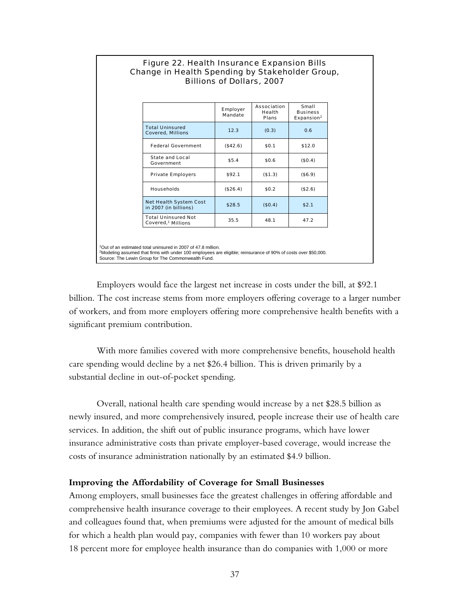|                                                              | <b>Employer</b><br><b>Mandate</b> | Association<br>Health | Small<br><b>Business</b> |
|--------------------------------------------------------------|-----------------------------------|-----------------------|--------------------------|
|                                                              |                                   | <b>Plans</b>          | Expansion <sup>2</sup>   |
| <b>Total Uninsured</b><br><b>Covered, Millions</b>           | 12.3                              | (0.3)                 | 0.6                      |
| <b>Federal Government</b>                                    | (\$42.6)                          | \$0.1                 | \$12.0                   |
| <b>State and Local</b><br>Government                         | \$5.4                             | \$0.6                 | (\$0.4)                  |
| <b>Private Employers</b>                                     | \$92.1                            | (\$1.3)               | (\$6.9)                  |
| <b>Households</b>                                            | (\$26.4)                          | \$0.2\$               | (\$2.6)                  |
| <b>Net Health System Cost</b><br>in 2007 (in billions)       | \$28.5                            | (50.4)                | \$2.1                    |
| <b>Total Uninsured Not</b><br>Covered, <sup>1</sup> Millions | 35.5                              | 48.1                  | 47.2                     |

<span id="page-56-0"></span>Г

Employers would face the largest net increase in costs under the bill, at \$92.1 billion. The cost increase stems from more employers offering coverage to a larger number of workers, and from more employers offering more comprehensive health benefits with a significant premium contribution.

With more families covered with more comprehensive benefits, household health care spending would decline by a net \$26.4 billion. This is driven primarily by a substantial decline in out-of-pocket spending.

Overall, national health care spending would increase by a net \$28.5 billion as newly insured, and more comprehensively insured, people increase their use of health care services. In addition, the shift out of public insurance programs, which have lower insurance administrative costs than private employer-based coverage, would increase the costs of insurance administration nationally by an estimated \$4.9 billion.

#### **Improving the Affordability of Coverage for Small Businesses**

Among employers, small businesses face the greatest challenges in offering affordable and comprehensive health insurance coverage to their employees. A recent study by Jon Gabel and colleagues found that, when premiums were adjusted for the amount of medical bills for which a health plan would pay, companies with fewer than 10 workers pay about 18 percent more for employee health insurance than do companies with 1,000 or more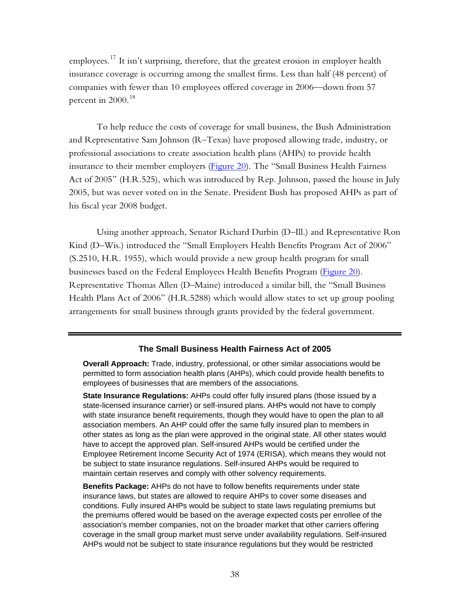employees.<sup>17</sup> It isn't surprising, therefore, that the greatest erosion in employer health insurance coverage is occurring among the smallest firms. Less than half (48 percent) of companies with fewer than 10 employees offered coverage in 2006—down from 57 percent in  $2000$ .<sup>18</sup>

To help reduce the costs of coverage for small business, the Bush Administration and Representative Sam Johnson (R–Texas) have proposed allowing trade, industry, or professional associations to create association health plans (AHPs) to provide health insurance to their member employers [\(Figure 20\)](#page-53-0). The "Small Business Health Fairness Act of 2005" (H.R.525), which was introduced by Rep. Johnson, passed the house in July 2005, but was never voted on in the Senate. President Bush has proposed AHPs as part of his fiscal year 2008 budget.

Using another approach, Senator Richard Durbin (D–Ill.) and Representative Ron Kind (D–Wis.) introduced the "Small Employers Health Benefits Program Act of 2006" (S.2510, H.R. 1955), which would provide a new group health program for small businesses based on the Federal Employees Health Benefits Program [\(Figure 20\)](#page-53-0). Representative Thomas Allen (D–Maine) introduced a similar bill, the "Small Business Health Plans Act of 2006" (H.R.5288) which would allow states to set up group pooling arrangements for small business through grants provided by the federal government.

#### **The Small Business Health Fairness Act of 2005**

**Overall Approach:** Trade, industry, professional, or other similar associations would be permitted to form association health plans (AHPs), which could provide health benefits to employees of businesses that are members of the associations.

**State Insurance Regulations:** AHPs could offer fully insured plans (those issued by a state-licensed insurance carrier) or self-insured plans. AHPs would not have to comply with state insurance benefit requirements, though they would have to open the plan to all association members. An AHP could offer the same fully insured plan to members in other states as long as the plan were approved in the original state. All other states would have to accept the approved plan. Self-insured AHPs would be certified under the Employee Retirement Income Security Act of 1974 (ERISA), which means they would not be subject to state insurance regulations. Self-insured AHPs would be required to maintain certain reserves and comply with other solvency requirements.

**Benefits Package:** AHPs do not have to follow benefits requirements under state insurance laws, but states are allowed to require AHPs to cover some diseases and conditions. Fully insured AHPs would be subject to state laws regulating premiums but the premiums offered would be based on the average expected costs per enrollee of the association's member companies, not on the broader market that other carriers offering coverage in the small group market must serve under availability regulations. Self-insured AHPs would not be subject to state insurance regulations but they would be restricted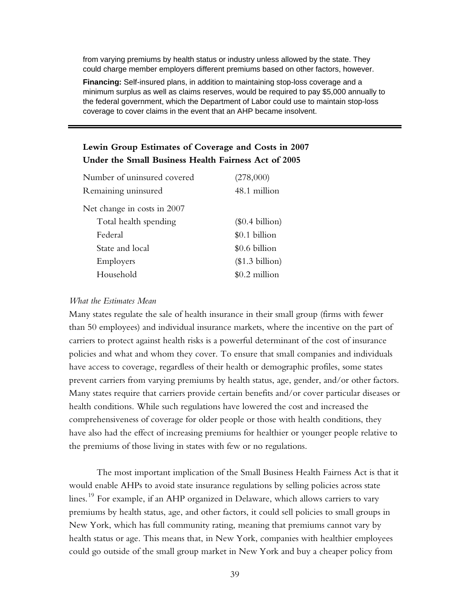from varying premiums by health status or industry unless allowed by the state. They could charge member employers different premiums based on other factors, however.

**Financing:** Self-insured plans, in addition to maintaining stop-loss coverage and a minimum surplus as well as claims reserves, would be required to pay \$5,000 annually to the federal government, which the Department of Labor could use to maintain stop-loss coverage to cover claims in the event that an AHP became insolvent.

# **Lewin Group Estimates of Coverage and Costs in 2007 Under the Small Business Health Fairness Act of 2005**

| (278,000)         |
|-------------------|
| 48.1 million      |
|                   |
| $(\$0.4 billion)$ |
| \$0.1 billion     |
| \$0.6 billion     |
| (\$1.3 billion)   |
| $$0.2$ million    |
|                   |

#### *What the Estimates Mean*

Many states regulate the sale of health insurance in their small group (firms with fewer than 50 employees) and individual insurance markets, where the incentive on the part of carriers to protect against health risks is a powerful determinant of the cost of insurance policies and what and whom they cover. To ensure that small companies and individuals have access to coverage, regardless of their health or demographic profiles, some states prevent carriers from varying premiums by health status, age, gender, and/or other factors. Many states require that carriers provide certain benefits and/or cover particular diseases or health conditions. While such regulations have lowered the cost and increased the comprehensiveness of coverage for older people or those with health conditions, they have also had the effect of increasing premiums for healthier or younger people relative to the premiums of those living in states with few or no regulations.

The most important implication of the Small Business Health Fairness Act is that it would enable AHPs to avoid state insurance regulations by selling policies across state lines.<sup>19</sup> For example, if an AHP organized in Delaware, which allows carriers to vary premiums by health status, age, and other factors, it could sell policies to small groups in New York, which has full community rating, meaning that premiums cannot vary by health status or age. This means that, in New York, companies with healthier employees could go outside of the small group market in New York and buy a cheaper policy from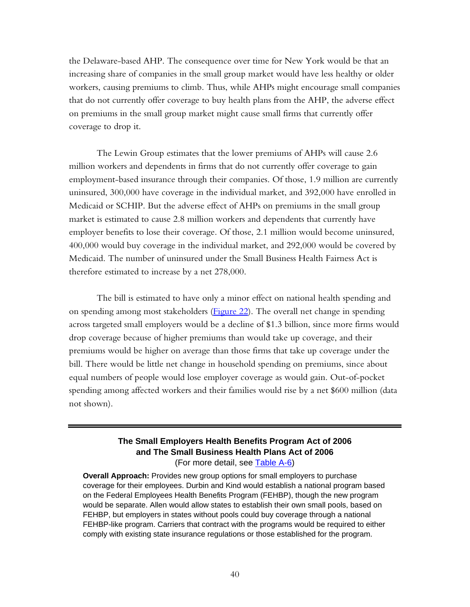the Delaware-based AHP. The consequence over time for New York would be that an increasing share of companies in the small group market would have less healthy or older workers, causing premiums to climb. Thus, while AHPs might encourage small companies that do not currently offer coverage to buy health plans from the AHP, the adverse effect on premiums in the small group market might cause small firms that currently offer coverage to drop it.

The Lewin Group estimates that the lower premiums of AHPs will cause 2.6 million workers and dependents in firms that do not currently offer coverage to gain employment-based insurance through their companies. Of those, 1.9 million are currently uninsured, 300,000 have coverage in the individual market, and 392,000 have enrolled in Medicaid or SCHIP. But the adverse effect of AHPs on premiums in the small group market is estimated to cause 2.8 million workers and dependents that currently have employer benefits to lose their coverage. Of those, 2.1 million would become uninsured, 400,000 would buy coverage in the individual market, and 292,000 would be covered by Medicaid. The number of uninsured under the Small Business Health Fairness Act is therefore estimated to increase by a net 278,000.

The bill is estimated to have only a minor effect on national health spending and on spending among most stakeholders [\(Figure 22\)](#page-56-0). The overall net change in spending across targeted small employers would be a decline of \$1.3 billion, since more firms would drop coverage because of higher premiums than would take up coverage, and their premiums would be higher on average than those firms that take up coverage under the bill. There would be little net change in household spending on premiums, since about equal numbers of people would lose employer coverage as would gain. Out-of-pocket spending among affected workers and their families would rise by a net \$600 million (data not shown).

#### **The Small Employers Health Benefits Program Act of 2006 and The Small Business Health Plans Act of 2006** (For more detail, see [Table A-6\)](#page-92-0)

**Overall Approach:** Provides new group options for small employers to purchase coverage for their employees. Durbin and Kind would establish a national program based on the Federal Employees Health Benefits Program (FEHBP), though the new program would be separate. Allen would allow states to establish their own small pools, based on FEHBP, but employers in states without pools could buy coverage through a national FEHBP-like program. Carriers that contract with the programs would be required to either comply with existing state insurance regulations or those established for the program.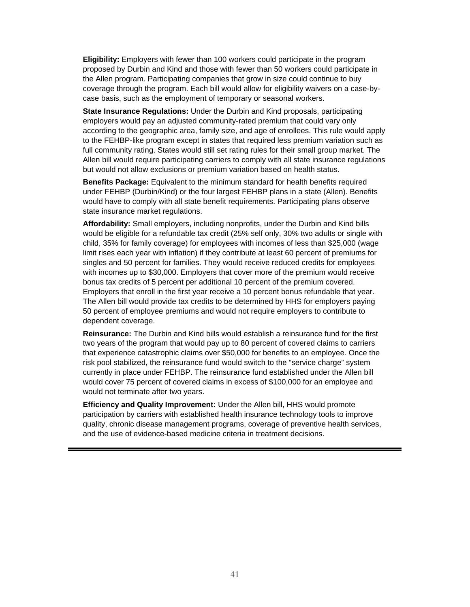**Eligibility:** Employers with fewer than 100 workers could participate in the program proposed by Durbin and Kind and those with fewer than 50 workers could participate in the Allen program. Participating companies that grow in size could continue to buy coverage through the program. Each bill would allow for eligibility waivers on a case-bycase basis, such as the employment of temporary or seasonal workers.

**State Insurance Regulations:** Under the Durbin and Kind proposals, participating employers would pay an adjusted community-rated premium that could vary only according to the geographic area, family size, and age of enrollees. This rule would apply to the FEHBP-like program except in states that required less premium variation such as full community rating. States would still set rating rules for their small group market. The Allen bill would require participating carriers to comply with all state insurance regulations but would not allow exclusions or premium variation based on health status.

**Benefits Package:** Equivalent to the minimum standard for health benefits required under FEHBP (Durbin/Kind) or the four largest FEHBP plans in a state (Allen). Benefits would have to comply with all state benefit requirements. Participating plans observe state insurance market regulations.

**Affordability:** Small employers, including nonprofits, under the Durbin and Kind bills would be eligible for a refundable tax credit (25% self only, 30% two adults or single with child, 35% for family coverage) for employees with incomes of less than \$25,000 (wage limit rises each year with inflation) if they contribute at least 60 percent of premiums for singles and 50 percent for families. They would receive reduced credits for employees with incomes up to \$30,000. Employers that cover more of the premium would receive bonus tax credits of 5 percent per additional 10 percent of the premium covered. Employers that enroll in the first year receive a 10 percent bonus refundable that year. The Allen bill would provide tax credits to be determined by HHS for employers paying 50 percent of employee premiums and would not require employers to contribute to dependent coverage.

**Reinsurance:** The Durbin and Kind bills would establish a reinsurance fund for the first two years of the program that would pay up to 80 percent of covered claims to carriers that experience catastrophic claims over \$50,000 for benefits to an employee. Once the risk pool stabilized, the reinsurance fund would switch to the "service charge" system currently in place under FEHBP. The reinsurance fund established under the Allen bill would cover 75 percent of covered claims in excess of \$100,000 for an employee and would not terminate after two years.

**Efficiency and Quality Improvement:** Under the Allen bill, HHS would promote participation by carriers with established health insurance technology tools to improve quality, chronic disease management programs, coverage of preventive health services, and the use of evidence-based medicine criteria in treatment decisions.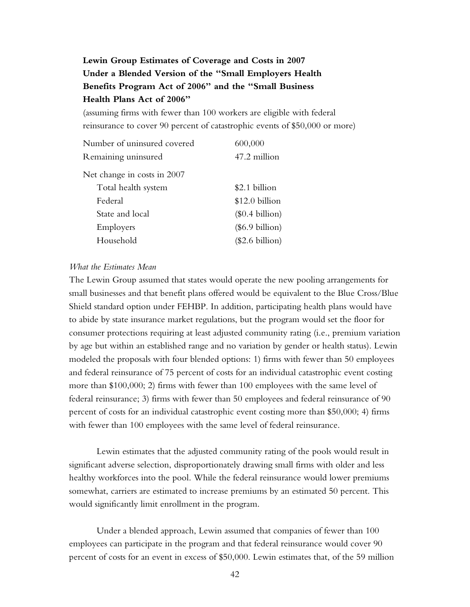# **Lewin Group Estimates of Coverage and Costs in 2007 Under a Blended Version of the "Small Employers Health Benefits Program Act of 2006" and the "Small Business Health Plans Act of 2006"**

(assuming firms with fewer than 100 workers are eligible with federal reinsurance to cover 90 percent of catastrophic events of \$50,000 or more)

| Number of uninsured covered | 600,000           |  |  |
|-----------------------------|-------------------|--|--|
| Remaining uninsured         | 47.2 million      |  |  |
| Net change in costs in 2007 |                   |  |  |
| Total health system         | \$2.1 billion     |  |  |
| Federal                     | \$12.0 billion    |  |  |
| State and local             | $(\$0.4 billion)$ |  |  |
| Employers                   | $(\$6.9 billion)$ |  |  |
| Household                   | $(\$2.6 billion)$ |  |  |

#### *What the Estimates Mean*

The Lewin Group assumed that states would operate the new pooling arrangements for small businesses and that benefit plans offered would be equivalent to the Blue Cross/Blue Shield standard option under FEHBP. In addition, participating health plans would have to abide by state insurance market regulations, but the program would set the floor for consumer protections requiring at least adjusted community rating (i.e., premium variation by age but within an established range and no variation by gender or health status). Lewin modeled the proposals with four blended options: 1) firms with fewer than 50 employees and federal reinsurance of 75 percent of costs for an individual catastrophic event costing more than \$100,000; 2) firms with fewer than 100 employees with the same level of federal reinsurance; 3) firms with fewer than 50 employees and federal reinsurance of 90 percent of costs for an individual catastrophic event costing more than \$50,000; 4) firms with fewer than 100 employees with the same level of federal reinsurance.

Lewin estimates that the adjusted community rating of the pools would result in significant adverse selection, disproportionately drawing small firms with older and less healthy workforces into the pool. While the federal reinsurance would lower premiums somewhat, carriers are estimated to increase premiums by an estimated 50 percent. This would significantly limit enrollment in the program.

Under a blended approach, Lewin assumed that companies of fewer than 100 employees can participate in the program and that federal reinsurance would cover 90 percent of costs for an event in excess of \$50,000. Lewin estimates that, of the 59 million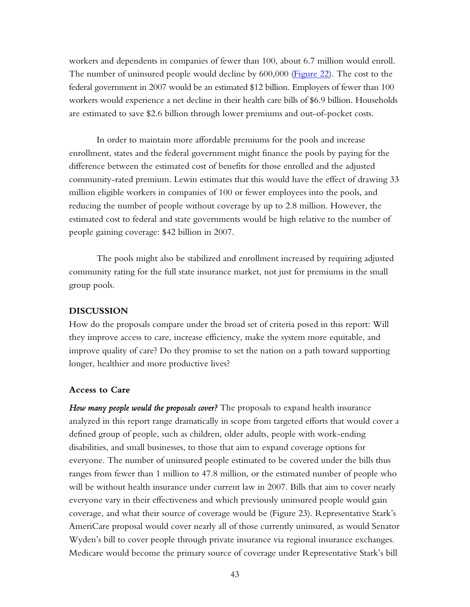workers and dependents in companies of fewer than 100, about 6.7 million would enroll. The number of uninsured people would decline by 600,000 [\(Figure 22\)](#page-56-0). The cost to the federal government in 2007 would be an estimated \$12 billion. Employers of fewer than 100 workers would experience a net decline in their health care bills of \$6.9 billion. Households are estimated to save \$2.6 billion through lower premiums and out-of-pocket costs.

In order to maintain more affordable premiums for the pools and increase enrollment, states and the federal government might finance the pools by paying for the difference between the estimated cost of benefits for those enrolled and the adjusted community-rated premium. Lewin estimates that this would have the effect of drawing 33 million eligible workers in companies of 100 or fewer employees into the pools, and reducing the number of people without coverage by up to 2.8 million. However, the estimated cost to federal and state governments would be high relative to the number of people gaining coverage: \$42 billion in 2007.

The pools might also be stabilized and enrollment increased by requiring adjusted community rating for the full state insurance market, not just for premiums in the small group pools.

#### **DISCUSSION**

How do the proposals compare under the broad set of criteria posed in this report: Will they improve access to care, increase efficiency, make the system more equitable, and improve quality of care? Do they promise to set the nation on a path toward supporting longer, healthier and more productive lives?

#### **Access to Care**

*How many people would the proposals cover?* The proposals to expand health insurance analyzed in this report range dramatically in scope from targeted efforts that would cover a defined group of people, such as children, older adults, people with work-ending disabilities, and small businesses, to those that aim to expand coverage options for everyone. The number of uninsured people estimated to be covered under the bills thus ranges from fewer than 1 million to 47.8 million, or the estimated number of people who will be without health insurance under current law in 2007. Bills that aim to cover nearly everyone vary in their effectiveness and which previously uninsured people would gain coverage, and what their source of coverage would be (Figure 23). Representative Stark's AmeriCare proposal would cover nearly all of those currently uninsured, as would Senator Wyden's bill to cover people through private insurance via regional insurance exchanges. Medicare would become the primary source of coverage under Representative Stark's bill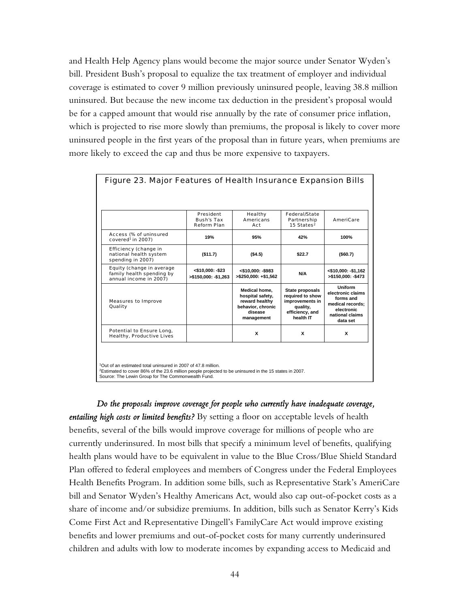and Health Help Agency plans would become the major source under Senator Wyden's bill. President Bush's proposal to equalize the tax treatment of employer and individual coverage is estimated to cover 9 million previously uninsured people, leaving 38.8 million uninsured. But because the new income tax deduction in the president's proposal would be for a capped amount that would rise annually by the rate of consumer price inflation, which is projected to rise more slowly than premiums, the proposal is likely to cover more uninsured people in the first years of the proposal than in future years, when premiums are more likely to exceed the cap and thus be more expensive to taxpayers.

Figure 23. Major Features of Health Insurance Expansion Bills

|                                                                                                                                                                                                                                                       | President<br><b>Bush's Tax</b><br><b>Reform Plan</b> | <b>Healthy</b><br><b>Americans</b><br>Act                                                         | <b>Federal/State</b><br>Partnership<br>15 States $2$                                               | AmeriCare                                                                                                  |  |
|-------------------------------------------------------------------------------------------------------------------------------------------------------------------------------------------------------------------------------------------------------|------------------------------------------------------|---------------------------------------------------------------------------------------------------|----------------------------------------------------------------------------------------------------|------------------------------------------------------------------------------------------------------------|--|
| Access (% of uninsured<br>covered in 2007)                                                                                                                                                                                                            | 19%                                                  | 95%                                                                                               | 42%                                                                                                | 100%                                                                                                       |  |
| Efficiency (change in<br>national health system<br>spending in 2007)                                                                                                                                                                                  | (\$11.7)                                             | (\$4.5)                                                                                           | \$22.7                                                                                             | (\$60.7)                                                                                                   |  |
| Equity (change in average<br>family health spending by<br>annual income in 2007)                                                                                                                                                                      | $<$ \$10.000: -\$23<br>>\$150,000: -\$1,263          | $<$ \$10.000: -\$983<br>$>$ \$250,000: +\$1,562                                                   | N/A                                                                                                | <\$10.000: -\$1.162<br>>\$150.000: -\$473                                                                  |  |
| <b>Measures to Improve</b><br>Quality                                                                                                                                                                                                                 |                                                      | Medical home.<br>hospital safety,<br>reward healthy<br>behavior, chronic<br>disease<br>management | State proposals<br>required to show<br>improvements in<br>quality,<br>efficiency, and<br>health IT | Uniform<br>electronic claims<br>forms and<br>medical records:<br>electronic<br>national claims<br>data set |  |
| Potential to Ensure Long,<br><b>Healthy, Productive Lives</b>                                                                                                                                                                                         |                                                      | x                                                                                                 | x                                                                                                  | x                                                                                                          |  |
| <sup>1</sup> Out of an estimated total uninsured in 2007 of 47.8 million.<br><sup>2</sup> Estimated to cover 86% of the 23.6 million people projected to be uninsured in the 15 states in 2007.<br>Source: The Lewin Group for The Commonwealth Fund. |                                                      |                                                                                                   |                                                                                                    |                                                                                                            |  |

*Do the proposals improve coverage for people who currently have inadequate coverage, entailing high costs or limited benefits?* By setting a floor on acceptable levels of health benefits, several of the bills would improve coverage for millions of people who are currently underinsured. In most bills that specify a minimum level of benefits, qualifying health plans would have to be equivalent in value to the Blue Cross/Blue Shield Standard Plan offered to federal employees and members of Congress under the Federal Employees Health Benefits Program. In addition some bills, such as Representative Stark's AmeriCare bill and Senator Wyden's Healthy Americans Act, would also cap out-of-pocket costs as a share of income and/or subsidize premiums. In addition, bills such as Senator Kerry's Kids Come First Act and Representative Dingell's FamilyCare Act would improve existing benefits and lower premiums and out-of-pocket costs for many currently underinsured children and adults with low to moderate incomes by expanding access to Medicaid and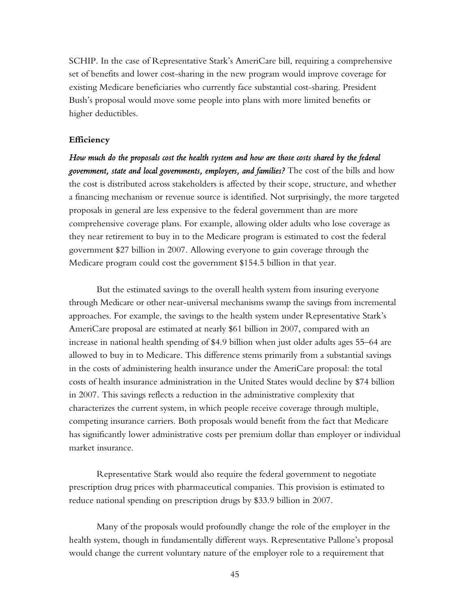SCHIP. In the case of Representative Stark's AmeriCare bill, requiring a comprehensive set of benefits and lower cost-sharing in the new program would improve coverage for existing Medicare beneficiaries who currently face substantial cost-sharing. President Bush's proposal would move some people into plans with more limited benefits or higher deductibles.

#### **Efficiency**

*How much do the proposals cost the health system and how are those costs shared by the federal government, state and local governments, employers, and families?* The cost of the bills and how the cost is distributed across stakeholders is affected by their scope, structure, and whether a financing mechanism or revenue source is identified. Not surprisingly, the more targeted proposals in general are less expensive to the federal government than are more comprehensive coverage plans. For example, allowing older adults who lose coverage as they near retirement to buy in to the Medicare program is estimated to cost the federal government \$27 billion in 2007. Allowing everyone to gain coverage through the Medicare program could cost the government \$154.5 billion in that year.

But the estimated savings to the overall health system from insuring everyone through Medicare or other near-universal mechanisms swamp the savings from incremental approaches. For example, the savings to the health system under Representative Stark's AmeriCare proposal are estimated at nearly \$61 billion in 2007, compared with an increase in national health spending of \$4.9 billion when just older adults ages 55–64 are allowed to buy in to Medicare. This difference stems primarily from a substantial savings in the costs of administering health insurance under the AmeriCare proposal: the total costs of health insurance administration in the United States would decline by \$74 billion in 2007. This savings reflects a reduction in the administrative complexity that characterizes the current system, in which people receive coverage through multiple, competing insurance carriers. Both proposals would benefit from the fact that Medicare has significantly lower administrative costs per premium dollar than employer or individual market insurance.

Representative Stark would also require the federal government to negotiate prescription drug prices with pharmaceutical companies. This provision is estimated to reduce national spending on prescription drugs by \$33.9 billion in 2007.

Many of the proposals would profoundly change the role of the employer in the health system, though in fundamentally different ways. Representative Pallone's proposal would change the current voluntary nature of the employer role to a requirement that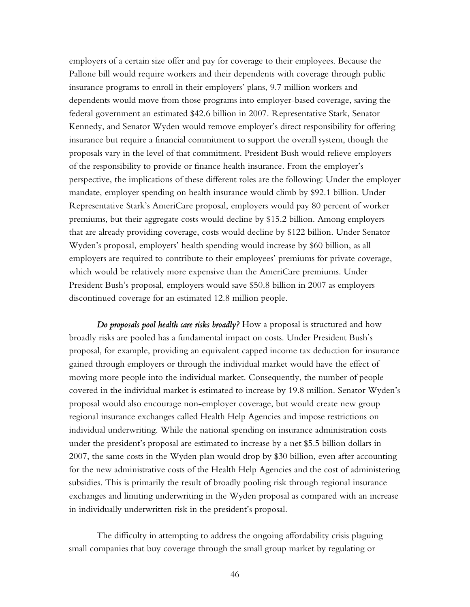employers of a certain size offer and pay for coverage to their employees. Because the Pallone bill would require workers and their dependents with coverage through public insurance programs to enroll in their employers' plans, 9.7 million workers and dependents would move from those programs into employer-based coverage, saving the federal government an estimated \$42.6 billion in 2007. Representative Stark, Senator Kennedy, and Senator Wyden would remove employer's direct responsibility for offering insurance but require a financial commitment to support the overall system, though the proposals vary in the level of that commitment. President Bush would relieve employers of the responsibility to provide or finance health insurance. From the employer's perspective, the implications of these different roles are the following: Under the employer mandate, employer spending on health insurance would climb by \$92.1 billion. Under Representative Stark's AmeriCare proposal, employers would pay 80 percent of worker premiums, but their aggregate costs would decline by \$15.2 billion. Among employers that are already providing coverage, costs would decline by \$122 billion. Under Senator Wyden's proposal, employers' health spending would increase by \$60 billion, as all employers are required to contribute to their employees' premiums for private coverage, which would be relatively more expensive than the AmeriCare premiums. Under President Bush's proposal, employers would save \$50.8 billion in 2007 as employers discontinued coverage for an estimated 12.8 million people.

*Do proposals pool health care risks broadly?* How a proposal is structured and how broadly risks are pooled has a fundamental impact on costs. Under President Bush's proposal, for example, providing an equivalent capped income tax deduction for insurance gained through employers or through the individual market would have the effect of moving more people into the individual market. Consequently, the number of people covered in the individual market is estimated to increase by 19.8 million. Senator Wyden's proposal would also encourage non-employer coverage, but would create new group regional insurance exchanges called Health Help Agencies and impose restrictions on individual underwriting. While the national spending on insurance administration costs under the president's proposal are estimated to increase by a net \$5.5 billion dollars in 2007, the same costs in the Wyden plan would drop by \$30 billion, even after accounting for the new administrative costs of the Health Help Agencies and the cost of administering subsidies. This is primarily the result of broadly pooling risk through regional insurance exchanges and limiting underwriting in the Wyden proposal as compared with an increase in individually underwritten risk in the president's proposal.

The difficulty in attempting to address the ongoing affordability crisis plaguing small companies that buy coverage through the small group market by regulating or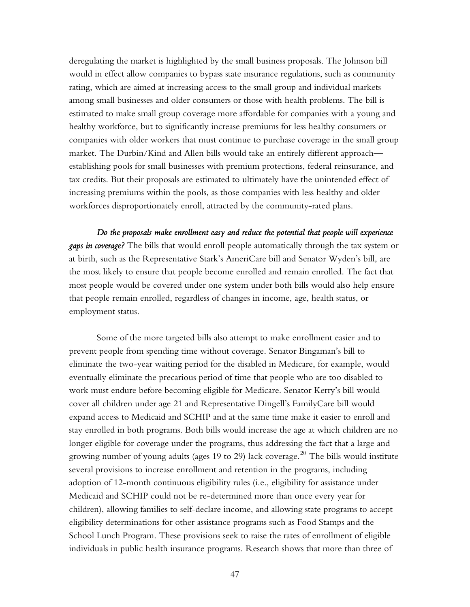deregulating the market is highlighted by the small business proposals. The Johnson bill would in effect allow companies to bypass state insurance regulations, such as community rating, which are aimed at increasing access to the small group and individual markets among small businesses and older consumers or those with health problems. The bill is estimated to make small group coverage more affordable for companies with a young and healthy workforce, but to significantly increase premiums for less healthy consumers or companies with older workers that must continue to purchase coverage in the small group market. The Durbin/Kind and Allen bills would take an entirely different approach establishing pools for small businesses with premium protections, federal reinsurance, and tax credits. But their proposals are estimated to ultimately have the unintended effect of increasing premiums within the pools, as those companies with less healthy and older workforces disproportionately enroll, attracted by the community-rated plans.

*Do the proposals make enrollment easy and reduce the potential that people will experience gaps in coverage?* The bills that would enroll people automatically through the tax system or at birth, such as the Representative Stark's AmeriCare bill and Senator Wyden's bill, are the most likely to ensure that people become enrolled and remain enrolled. The fact that most people would be covered under one system under both bills would also help ensure that people remain enrolled, regardless of changes in income, age, health status, or employment status.

Some of the more targeted bills also attempt to make enrollment easier and to prevent people from spending time without coverage. Senator Bingaman's bill to eliminate the two-year waiting period for the disabled in Medicare, for example, would eventually eliminate the precarious period of time that people who are too disabled to work must endure before becoming eligible for Medicare. Senator Kerry's bill would cover all children under age 21 and Representative Dingell's FamilyCare bill would expand access to Medicaid and SCHIP and at the same time make it easier to enroll and stay enrolled in both programs. Both bills would increase the age at which children are no longer eligible for coverage under the programs, thus addressing the fact that a large and growing number of young adults (ages 19 to 29) lack coverage.<sup>20</sup> The bills would institute several provisions to increase enrollment and retention in the programs, including adoption of 12-month continuous eligibility rules (i.e., eligibility for assistance under Medicaid and SCHIP could not be re-determined more than once every year for children), allowing families to self-declare income, and allowing state programs to accept eligibility determinations for other assistance programs such as Food Stamps and the School Lunch Program. These provisions seek to raise the rates of enrollment of eligible individuals in public health insurance programs. Research shows that more than three of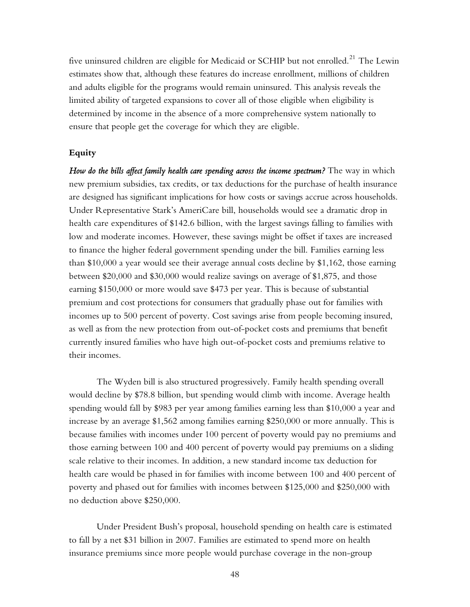five uninsured children are eligible for Medicaid or SCHIP but not enrolled.<sup>21</sup> The Lewin estimates show that, although these features do increase enrollment, millions of children and adults eligible for the programs would remain uninsured. This analysis reveals the limited ability of targeted expansions to cover all of those eligible when eligibility is determined by income in the absence of a more comprehensive system nationally to ensure that people get the coverage for which they are eligible.

#### **Equity**

*How do the bills affect family health care spending across the income spectrum?* The way in which new premium subsidies, tax credits, or tax deductions for the purchase of health insurance are designed has significant implications for how costs or savings accrue across households. Under Representative Stark's AmeriCare bill, households would see a dramatic drop in health care expenditures of \$142.6 billion, with the largest savings falling to families with low and moderate incomes. However, these savings might be offset if taxes are increased to finance the higher federal government spending under the bill. Families earning less than \$10,000 a year would see their average annual costs decline by \$1,162, those earning between \$20,000 and \$30,000 would realize savings on average of \$1,875, and those earning \$150,000 or more would save \$473 per year. This is because of substantial premium and cost protections for consumers that gradually phase out for families with incomes up to 500 percent of poverty. Cost savings arise from people becoming insured, as well as from the new protection from out-of-pocket costs and premiums that benefit currently insured families who have high out-of-pocket costs and premiums relative to their incomes.

The Wyden bill is also structured progressively. Family health spending overall would decline by \$78.8 billion, but spending would climb with income. Average health spending would fall by \$983 per year among families earning less than \$10,000 a year and increase by an average \$1,562 among families earning \$250,000 or more annually. This is because families with incomes under 100 percent of poverty would pay no premiums and those earning between 100 and 400 percent of poverty would pay premiums on a sliding scale relative to their incomes. In addition, a new standard income tax deduction for health care would be phased in for families with income between 100 and 400 percent of poverty and phased out for families with incomes between \$125,000 and \$250,000 with no deduction above \$250,000.

Under President Bush's proposal, household spending on health care is estimated to fall by a net \$31 billion in 2007. Families are estimated to spend more on health insurance premiums since more people would purchase coverage in the non-group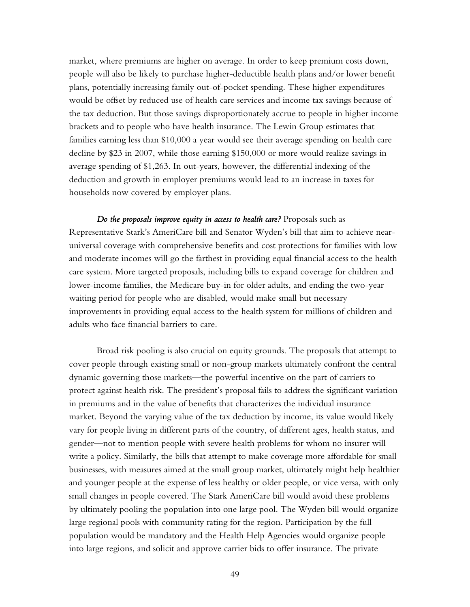market, where premiums are higher on average. In order to keep premium costs down, people will also be likely to purchase higher-deductible health plans and/or lower benefit plans, potentially increasing family out-of-pocket spending. These higher expenditures would be offset by reduced use of health care services and income tax savings because of the tax deduction. But those savings disproportionately accrue to people in higher income brackets and to people who have health insurance. The Lewin Group estimates that families earning less than \$10,000 a year would see their average spending on health care decline by \$23 in 2007, while those earning \$150,000 or more would realize savings in average spending of \$1,263. In out-years, however, the differential indexing of the deduction and growth in employer premiums would lead to an increase in taxes for households now covered by employer plans.

*Do the proposals improve equity in access to health care?* Proposals such as Representative Stark's AmeriCare bill and Senator Wyden's bill that aim to achieve nearuniversal coverage with comprehensive benefits and cost protections for families with low and moderate incomes will go the farthest in providing equal financial access to the health care system. More targeted proposals, including bills to expand coverage for children and lower-income families, the Medicare buy-in for older adults, and ending the two-year waiting period for people who are disabled, would make small but necessary improvements in providing equal access to the health system for millions of children and adults who face financial barriers to care.

Broad risk pooling is also crucial on equity grounds. The proposals that attempt to cover people through existing small or non-group markets ultimately confront the central dynamic governing those markets—the powerful incentive on the part of carriers to protect against health risk. The president's proposal fails to address the significant variation in premiums and in the value of benefits that characterizes the individual insurance market. Beyond the varying value of the tax deduction by income, its value would likely vary for people living in different parts of the country, of different ages, health status, and gender—not to mention people with severe health problems for whom no insurer will write a policy. Similarly, the bills that attempt to make coverage more affordable for small businesses, with measures aimed at the small group market, ultimately might help healthier and younger people at the expense of less healthy or older people, or vice versa, with only small changes in people covered. The Stark AmeriCare bill would avoid these problems by ultimately pooling the population into one large pool. The Wyden bill would organize large regional pools with community rating for the region. Participation by the full population would be mandatory and the Health Help Agencies would organize people into large regions, and solicit and approve carrier bids to offer insurance. The private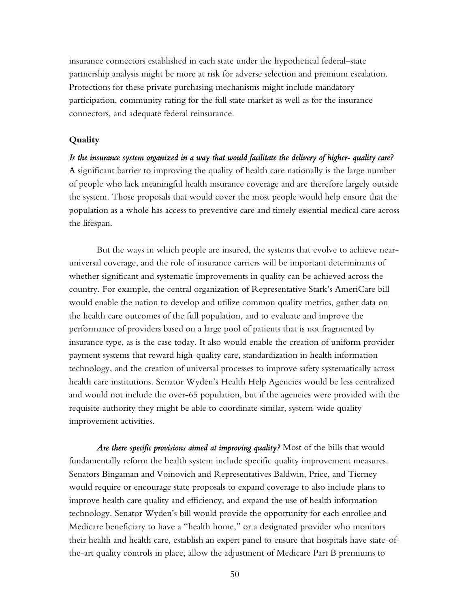insurance connectors established in each state under the hypothetical federal–state partnership analysis might be more at risk for adverse selection and premium escalation. Protections for these private purchasing mechanisms might include mandatory participation, community rating for the full state market as well as for the insurance connectors, and adequate federal reinsurance.

#### **Quality**

the lifespan.

# *Is the insurance system organized in a way that would facilitate the delivery of higher- quality care?* A significant barrier to improving the quality of health care nationally is the large number of people who lack meaningful health insurance coverage and are therefore largely outside the system. Those proposals that would cover the most people would help ensure that the population as a whole has access to preventive care and timely essential medical care across

But the ways in which people are insured, the systems that evolve to achieve nearuniversal coverage, and the role of insurance carriers will be important determinants of whether significant and systematic improvements in quality can be achieved across the country. For example, the central organization of Representative Stark's AmeriCare bill would enable the nation to develop and utilize common quality metrics, gather data on the health care outcomes of the full population, and to evaluate and improve the performance of providers based on a large pool of patients that is not fragmented by insurance type, as is the case today. It also would enable the creation of uniform provider payment systems that reward high-quality care, standardization in health information technology, and the creation of universal processes to improve safety systematically across health care institutions. Senator Wyden's Health Help Agencies would be less centralized and would not include the over-65 population, but if the agencies were provided with the requisite authority they might be able to coordinate similar, system-wide quality improvement activities.

*Are there specific provisions aimed at improving quality?* Most of the bills that would fundamentally reform the health system include specific quality improvement measures. Senators Bingaman and Voinovich and Representatives Baldwin, Price, and Tierney would require or encourage state proposals to expand coverage to also include plans to improve health care quality and efficiency, and expand the use of health information technology. Senator Wyden's bill would provide the opportunity for each enrollee and Medicare beneficiary to have a "health home," or a designated provider who monitors their health and health care, establish an expert panel to ensure that hospitals have state-ofthe-art quality controls in place, allow the adjustment of Medicare Part B premiums to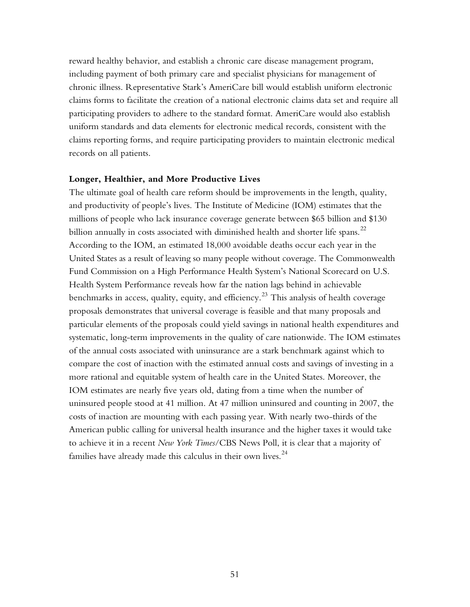reward healthy behavior, and establish a chronic care disease management program, including payment of both primary care and specialist physicians for management of chronic illness. Representative Stark's AmeriCare bill would establish uniform electronic claims forms to facilitate the creation of a national electronic claims data set and require all participating providers to adhere to the standard format. AmeriCare would also establish uniform standards and data elements for electronic medical records, consistent with the claims reporting forms, and require participating providers to maintain electronic medical records on all patients.

#### **Longer, Healthier, and More Productive Lives**

The ultimate goal of health care reform should be improvements in the length, quality, and productivity of people's lives. The Institute of Medicine (IOM) estimates that the millions of people who lack insurance coverage generate between \$65 billion and \$130 billion annually in costs associated with diminished health and shorter life spans.<sup>22</sup> According to the IOM, an estimated 18,000 avoidable deaths occur each year in the United States as a result of leaving so many people without coverage. The Commonwealth Fund Commission on a High Performance Health System's National Scorecard on U.S. Health System Performance reveals how far the nation lags behind in achievable benchmarks in access, quality, equity, and efficiency.<sup>23</sup> This analysis of health coverage proposals demonstrates that universal coverage is feasible and that many proposals and particular elements of the proposals could yield savings in national health expenditures and systematic, long-term improvements in the quality of care nationwide. The IOM estimates of the annual costs associated with uninsurance are a stark benchmark against which to compare the cost of inaction with the estimated annual costs and savings of investing in a more rational and equitable system of health care in the United States. Moreover, the IOM estimates are nearly five years old, dating from a time when the number of uninsured people stood at 41 million. At 47 million uninsured and counting in 2007, the costs of inaction are mounting with each passing year. With nearly two-thirds of the American public calling for universal health insurance and the higher taxes it would take to achieve it in a recent *New York Times*/CBS News Poll, it is clear that a majority of families have already made this calculus in their own lives.  $^{24}$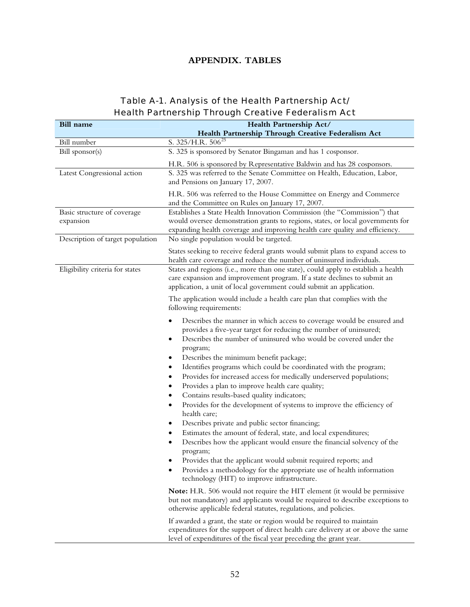#### **APPENDIX. TABLES**

| <b>Bill</b> name                         | Health Partnership Act/<br>Health Partnership Through Creative Federalism Act                                                                                                                                                                                                                                                                                                                                                                                                                                                                                                                                                                                                                                                                                                                                                                                                                                                                                                                                                                         |  |  |  |  |
|------------------------------------------|-------------------------------------------------------------------------------------------------------------------------------------------------------------------------------------------------------------------------------------------------------------------------------------------------------------------------------------------------------------------------------------------------------------------------------------------------------------------------------------------------------------------------------------------------------------------------------------------------------------------------------------------------------------------------------------------------------------------------------------------------------------------------------------------------------------------------------------------------------------------------------------------------------------------------------------------------------------------------------------------------------------------------------------------------------|--|--|--|--|
| Bill number                              | S. $325/H.R. \overline{506^{25}}$                                                                                                                                                                                                                                                                                                                                                                                                                                                                                                                                                                                                                                                                                                                                                                                                                                                                                                                                                                                                                     |  |  |  |  |
| Bill sponsor(s)                          | S. 325 is sponsored by Senator Bingaman and has 1 cosponsor.                                                                                                                                                                                                                                                                                                                                                                                                                                                                                                                                                                                                                                                                                                                                                                                                                                                                                                                                                                                          |  |  |  |  |
|                                          | H.R. 506 is sponsored by Representative Baldwin and has 28 cosponsors.                                                                                                                                                                                                                                                                                                                                                                                                                                                                                                                                                                                                                                                                                                                                                                                                                                                                                                                                                                                |  |  |  |  |
| Latest Congressional action              | S. 325 was referred to the Senate Committee on Health, Education, Labor,<br>and Pensions on January 17, 2007.                                                                                                                                                                                                                                                                                                                                                                                                                                                                                                                                                                                                                                                                                                                                                                                                                                                                                                                                         |  |  |  |  |
|                                          | H.R. 506 was referred to the House Committee on Energy and Commerce<br>and the Committee on Rules on January 17, 2007.                                                                                                                                                                                                                                                                                                                                                                                                                                                                                                                                                                                                                                                                                                                                                                                                                                                                                                                                |  |  |  |  |
| Basic structure of coverage<br>expansion | Establishes a State Health Innovation Commission (the "Commission") that<br>would oversee demonstration grants to regions, states, or local governments for<br>expanding health coverage and improving health care quality and efficiency.                                                                                                                                                                                                                                                                                                                                                                                                                                                                                                                                                                                                                                                                                                                                                                                                            |  |  |  |  |
| Description of target population         | No single population would be targeted.                                                                                                                                                                                                                                                                                                                                                                                                                                                                                                                                                                                                                                                                                                                                                                                                                                                                                                                                                                                                               |  |  |  |  |
|                                          | States seeking to receive federal grants would submit plans to expand access to<br>health care coverage and reduce the number of uninsured individuals.                                                                                                                                                                                                                                                                                                                                                                                                                                                                                                                                                                                                                                                                                                                                                                                                                                                                                               |  |  |  |  |
| Eligibility criteria for states          | States and regions (i.e., more than one state), could apply to establish a health<br>care expansion and improvement program. If a state declines to submit an<br>application, a unit of local government could submit an application.                                                                                                                                                                                                                                                                                                                                                                                                                                                                                                                                                                                                                                                                                                                                                                                                                 |  |  |  |  |
|                                          | The application would include a health care plan that complies with the<br>following requirements:                                                                                                                                                                                                                                                                                                                                                                                                                                                                                                                                                                                                                                                                                                                                                                                                                                                                                                                                                    |  |  |  |  |
|                                          | Describes the manner in which access to coverage would be ensured and<br>provides a five-year target for reducing the number of uninsured;<br>Describes the number of uninsured who would be covered under the<br>٠<br>program;<br>Describes the minimum benefit package;<br>٠<br>Identifies programs which could be coordinated with the program;<br>٠<br>Provides for increased access for medically underserved populations;<br>٠<br>Provides a plan to improve health care quality;<br>٠<br>Contains results-based quality indicators;<br>٠<br>Provides for the development of systems to improve the efficiency of<br>٠<br>health care;<br>Describes private and public sector financing;<br>Estimates the amount of federal, state, and local expenditures;<br>٠<br>Describes how the applicant would ensure the financial solvency of the<br>program;<br>Provides that the applicant would submit required reports; and<br>Provides a methodology for the appropriate use of health information<br>technology (HIT) to improve infrastructure. |  |  |  |  |
|                                          | Note: H.R. 506 would not require the HIT element (it would be permissive<br>but not mandatory) and applicants would be required to describe exceptions to<br>otherwise applicable federal statutes, regulations, and policies.                                                                                                                                                                                                                                                                                                                                                                                                                                                                                                                                                                                                                                                                                                                                                                                                                        |  |  |  |  |
|                                          | If awarded a grant, the state or region would be required to maintain<br>expenditures for the support of direct health care delivery at or above the same<br>level of expenditures of the fiscal year preceding the grant year.                                                                                                                                                                                                                                                                                                                                                                                                                                                                                                                                                                                                                                                                                                                                                                                                                       |  |  |  |  |

### Table A-1. Analysis of the Health Partnership Act/ Health Partnership Through Creative Federalism Act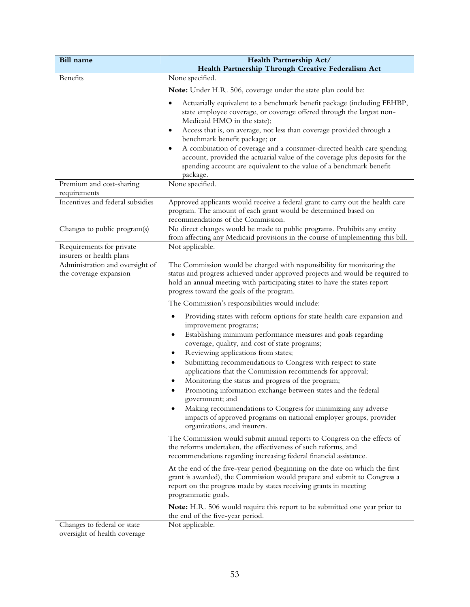| <b>Bill</b> name                                            | Health Partnership Act/<br>Health Partnership Through Creative Federalism Act                                                                                                                                                                                                                                                                                                                                                                                                                                                                                                                                                                                                                                       |
|-------------------------------------------------------------|---------------------------------------------------------------------------------------------------------------------------------------------------------------------------------------------------------------------------------------------------------------------------------------------------------------------------------------------------------------------------------------------------------------------------------------------------------------------------------------------------------------------------------------------------------------------------------------------------------------------------------------------------------------------------------------------------------------------|
| Benefits                                                    | None specified.                                                                                                                                                                                                                                                                                                                                                                                                                                                                                                                                                                                                                                                                                                     |
|                                                             | <b>Note:</b> Under H.R. 506, coverage under the state plan could be:                                                                                                                                                                                                                                                                                                                                                                                                                                                                                                                                                                                                                                                |
|                                                             | Actuarially equivalent to a benchmark benefit package (including FEHBP,<br>state employee coverage, or coverage offered through the largest non-<br>Medicaid HMO in the state);<br>Access that is, on average, not less than coverage provided through a<br>٠<br>benchmark benefit package; or<br>A combination of coverage and a consumer-directed health care spending<br>٠<br>account, provided the actuarial value of the coverage plus deposits for the<br>spending account are equivalent to the value of a benchmark benefit<br>package.                                                                                                                                                                     |
| Premium and cost-sharing<br>requirements                    | None specified.                                                                                                                                                                                                                                                                                                                                                                                                                                                                                                                                                                                                                                                                                                     |
| Incentives and federal subsidies                            | Approved applicants would receive a federal grant to carry out the health care<br>program. The amount of each grant would be determined based on<br>recommendations of the Commission.                                                                                                                                                                                                                                                                                                                                                                                                                                                                                                                              |
| Changes to public program(s)                                | No direct changes would be made to public programs. Prohibits any entity<br>from affecting any Medicaid provisions in the course of implementing this bill.                                                                                                                                                                                                                                                                                                                                                                                                                                                                                                                                                         |
| Requirements for private<br>insurers or health plans        | Not applicable.                                                                                                                                                                                                                                                                                                                                                                                                                                                                                                                                                                                                                                                                                                     |
| Administration and oversight of<br>the coverage expansion   | The Commission would be charged with responsibility for monitoring the<br>status and progress achieved under approved projects and would be required to<br>hold an annual meeting with participating states to have the states report<br>progress toward the goals of the program.                                                                                                                                                                                                                                                                                                                                                                                                                                  |
|                                                             | The Commission's responsibilities would include:                                                                                                                                                                                                                                                                                                                                                                                                                                                                                                                                                                                                                                                                    |
|                                                             | Providing states with reform options for state health care expansion and<br>٠<br>improvement programs;<br>Establishing minimum performance measures and goals regarding<br>٠<br>coverage, quality, and cost of state programs;<br>Reviewing applications from states;<br>Submitting recommendations to Congress with respect to state<br>applications that the Commission recommends for approval;<br>Monitoring the status and progress of the program;<br>Promoting information exchange between states and the federal<br>government; and<br>Making recommendations to Congress for minimizing any adverse<br>impacts of approved programs on national employer groups, provider<br>organizations, and insurers. |
|                                                             | The Commission would submit annual reports to Congress on the effects of<br>the reforms undertaken, the effectiveness of such reforms, and<br>recommendations regarding increasing federal financial assistance.                                                                                                                                                                                                                                                                                                                                                                                                                                                                                                    |
|                                                             | At the end of the five-year period (beginning on the date on which the first<br>grant is awarded), the Commission would prepare and submit to Congress a<br>report on the progress made by states receiving grants in meeting<br>programmatic goals.                                                                                                                                                                                                                                                                                                                                                                                                                                                                |
|                                                             | <b>Note:</b> H.R. 506 would require this report to be submitted one year prior to<br>the end of the five-year period.                                                                                                                                                                                                                                                                                                                                                                                                                                                                                                                                                                                               |
| Changes to federal or state<br>oversight of health coverage | Not applicable.                                                                                                                                                                                                                                                                                                                                                                                                                                                                                                                                                                                                                                                                                                     |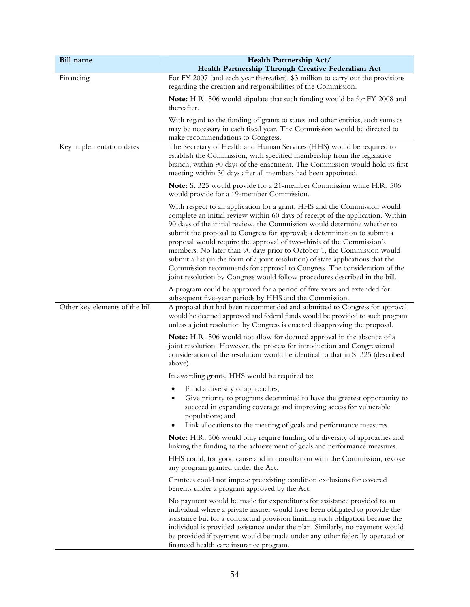| <b>Bill</b> name               | Health Partnership Act/<br>Health Partnership Through Creative Federalism Act                                                                                                                                                                                                                                                                                                                                                                                                                                                                                                                                                                                                                                           |  |
|--------------------------------|-------------------------------------------------------------------------------------------------------------------------------------------------------------------------------------------------------------------------------------------------------------------------------------------------------------------------------------------------------------------------------------------------------------------------------------------------------------------------------------------------------------------------------------------------------------------------------------------------------------------------------------------------------------------------------------------------------------------------|--|
| Financing                      | For FY 2007 (and each year thereafter), \$3 million to carry out the provisions<br>regarding the creation and responsibilities of the Commission.                                                                                                                                                                                                                                                                                                                                                                                                                                                                                                                                                                       |  |
|                                | Note: H.R. 506 would stipulate that such funding would be for FY 2008 and<br>thereafter.                                                                                                                                                                                                                                                                                                                                                                                                                                                                                                                                                                                                                                |  |
|                                | With regard to the funding of grants to states and other entities, such sums as<br>may be necessary in each fiscal year. The Commission would be directed to<br>make recommendations to Congress.                                                                                                                                                                                                                                                                                                                                                                                                                                                                                                                       |  |
| Key implementation dates       | The Secretary of Health and Human Services (HHS) would be required to<br>establish the Commission, with specified membership from the legislative<br>branch, within 90 days of the enactment. The Commission would hold its first<br>meeting within 30 days after all members had been appointed.                                                                                                                                                                                                                                                                                                                                                                                                                       |  |
|                                | Note: S. 325 would provide for a 21-member Commission while H.R. 506<br>would provide for a 19-member Commission.                                                                                                                                                                                                                                                                                                                                                                                                                                                                                                                                                                                                       |  |
|                                | With respect to an application for a grant, HHS and the Commission would<br>complete an initial review within 60 days of receipt of the application. Within<br>90 days of the initial review, the Commission would determine whether to<br>submit the proposal to Congress for approval; a determination to submit a<br>proposal would require the approval of two-thirds of the Commission's<br>members. No later than 90 days prior to October 1, the Commission would<br>submit a list (in the form of a joint resolution) of state applications that the<br>Commission recommends for approval to Congress. The consideration of the<br>joint resolution by Congress would follow procedures described in the bill. |  |
|                                | A program could be approved for a period of five years and extended for<br>subsequent five-year periods by HHS and the Commission.                                                                                                                                                                                                                                                                                                                                                                                                                                                                                                                                                                                      |  |
| Other key elements of the bill | A proposal that had been recommended and submitted to Congress for approval<br>would be deemed approved and federal funds would be provided to such program<br>unless a joint resolution by Congress is enacted disapproving the proposal.                                                                                                                                                                                                                                                                                                                                                                                                                                                                              |  |
|                                | Note: H.R. 506 would not allow for deemed approval in the absence of a<br>joint resolution. However, the process for introduction and Congressional<br>consideration of the resolution would be identical to that in S. 325 (described<br>above).                                                                                                                                                                                                                                                                                                                                                                                                                                                                       |  |
|                                | In awarding grants, HHS would be required to:                                                                                                                                                                                                                                                                                                                                                                                                                                                                                                                                                                                                                                                                           |  |
|                                | Fund a diversity of approaches;<br>٠<br>Give priority to programs determined to have the greatest opportunity to<br>succeed in expanding coverage and improving access for vulnerable<br>populations; and<br>Link allocations to the meeting of goals and performance measures.                                                                                                                                                                                                                                                                                                                                                                                                                                         |  |
|                                | Note: H.R. 506 would only require funding of a diversity of approaches and<br>linking the funding to the achievement of goals and performance measures.                                                                                                                                                                                                                                                                                                                                                                                                                                                                                                                                                                 |  |
|                                | HHS could, for good cause and in consultation with the Commission, revoke<br>any program granted under the Act.                                                                                                                                                                                                                                                                                                                                                                                                                                                                                                                                                                                                         |  |
|                                | Grantees could not impose preexisting condition exclusions for covered<br>benefits under a program approved by the Act.                                                                                                                                                                                                                                                                                                                                                                                                                                                                                                                                                                                                 |  |
|                                | No payment would be made for expenditures for assistance provided to an<br>individual where a private insurer would have been obligated to provide the<br>assistance but for a contractual provision limiting such obligation because the<br>individual is provided assistance under the plan. Similarly, no payment would<br>be provided if payment would be made under any other federally operated or<br>financed health care insurance program.                                                                                                                                                                                                                                                                     |  |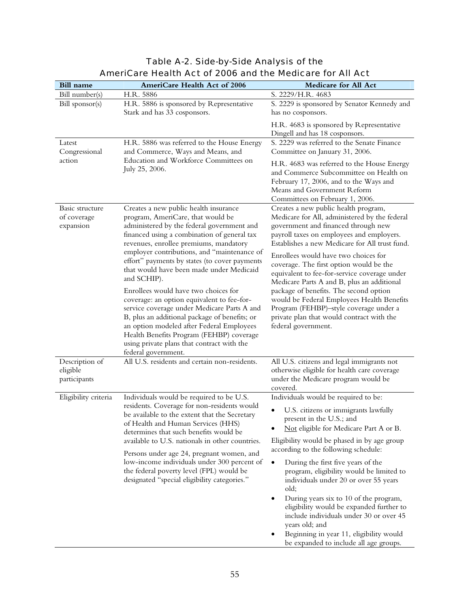| <b>Bill</b> name                            | AmeriCare Health Act of 2006                                                                                                                                                                                                                                                                                                                                                                                            | Medicare for All Act                                                                                                                                                                                                        |
|---------------------------------------------|-------------------------------------------------------------------------------------------------------------------------------------------------------------------------------------------------------------------------------------------------------------------------------------------------------------------------------------------------------------------------------------------------------------------------|-----------------------------------------------------------------------------------------------------------------------------------------------------------------------------------------------------------------------------|
| Bill number(s)                              | H.R. 5886                                                                                                                                                                                                                                                                                                                                                                                                               | S. 2229/H.R. 4683                                                                                                                                                                                                           |
| Bill sponsor(s)                             | H.R. 5886 is sponsored by Representative<br>Stark and has 33 cosponsors.                                                                                                                                                                                                                                                                                                                                                | S. 2229 is sponsored by Senator Kennedy and<br>has no cosponsors.                                                                                                                                                           |
|                                             |                                                                                                                                                                                                                                                                                                                                                                                                                         | H.R. 4683 is sponsored by Representative<br>Dingell and has 18 cosponsors.                                                                                                                                                  |
| Latest<br>Congressional                     | H.R. 5886 was referred to the House Energy<br>and Commerce, Ways and Means, and                                                                                                                                                                                                                                                                                                                                         | S. 2229 was referred to the Senate Finance<br>Committee on January 31, 2006.                                                                                                                                                |
|                                             | Education and Workforce Committees on<br>action<br>July 25, 2006.                                                                                                                                                                                                                                                                                                                                                       | H.R. 4683 was referred to the House Energy<br>and Commerce Subcommittee on Health on<br>February 17, 2006, and to the Ways and<br>Means and Government Reform<br>Committees on February 1, 2006.                            |
| Basic structure<br>of coverage<br>expansion | Creates a new public health insurance<br>program, AmeriCare, that would be<br>administered by the federal government and<br>financed using a combination of general tax<br>revenues, enrollee premiums, mandatory                                                                                                                                                                                                       | Creates a new public health program,<br>Medicare for All, administered by the federal<br>government and financed through new<br>payroll taxes on employees and employers.<br>Establishes a new Medicare for All trust fund. |
|                                             | employer contributions, and "maintenance of<br>effort" payments by states (to cover payments<br>that would have been made under Medicaid<br>and SCHIP).                                                                                                                                                                                                                                                                 | Enrollees would have two choices for<br>coverage. The first option would be the<br>equivalent to fee-for-service coverage under<br>Medicare Parts A and B, plus an additional                                               |
|                                             | Enrollees would have two choices for<br>coverage: an option equivalent to fee-for-<br>service coverage under Medicare Parts A and                                                                                                                                                                                                                                                                                       | package of benefits. The second option<br>would be Federal Employees Health Benefits<br>Program (FEHBP)-style coverage under a                                                                                              |
|                                             | B, plus an additional package of benefits; or<br>an option modeled after Federal Employees<br>Health Benefits Program (FEHBP) coverage<br>using private plans that contract with the<br>federal government.                                                                                                                                                                                                             | private plan that would contract with the<br>federal government.                                                                                                                                                            |
| Description of<br>eligible<br>participants  | All U.S. residents and certain non-residents.                                                                                                                                                                                                                                                                                                                                                                           | All U.S. citizens and legal immigrants not<br>otherwise eligible for health care coverage<br>under the Medicare program would be<br>covered.                                                                                |
| Eligibility criteria                        | Individuals would be required to be U.S.                                                                                                                                                                                                                                                                                                                                                                                | Individuals would be required to be:                                                                                                                                                                                        |
|                                             | residents. Coverage for non-residents would<br>be available to the extent that the Secretary<br>of Health and Human Services (HHS)<br>determines that such benefits would be<br>available to U.S. nationals in other countries.<br>Persons under age 24, pregnant women, and<br>low-income individuals under 300 percent of<br>the federal poverty level (FPL) would be<br>designated "special eligibility categories." | U.S. citizens or immigrants lawfully<br>present in the U.S.; and<br>Not eligible for Medicare Part A or B.                                                                                                                  |
|                                             |                                                                                                                                                                                                                                                                                                                                                                                                                         | Eligibility would be phased in by age group<br>according to the following schedule:                                                                                                                                         |
|                                             |                                                                                                                                                                                                                                                                                                                                                                                                                         | During the first five years of the<br>$\bullet$<br>program, eligibility would be limited to<br>individuals under 20 or over 55 years<br>old;                                                                                |
|                                             |                                                                                                                                                                                                                                                                                                                                                                                                                         | During years six to 10 of the program,<br>$\bullet$<br>eligibility would be expanded further to<br>include individuals under 30 or over 45<br>years old; and                                                                |
|                                             |                                                                                                                                                                                                                                                                                                                                                                                                                         | Beginning in year 11, eligibility would<br>٠<br>be expanded to include all age groups.                                                                                                                                      |

## Table A-2. Side-by-Side Analysis of the AmeriCare Health Act of 2006 and the Medicare for All Act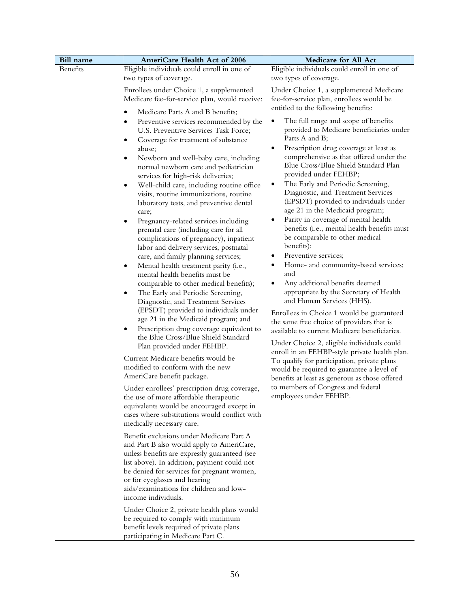| <b>Bill</b> name | AmeriCare Health Act of 2006                                                                                                                                                                                                                                                                                                                                                                                                                                                                                                                                                                                                                                                                                                                                                                                                                                                                                                                                                                                                                                                                                                                                                                                                                                                                                                                                                                                                                                                            | Medicare for All Act                                                                                                                                                                                                                                                                                                                                                                                                                                                                                                                                                                                                                                                                                                                                                                                                                                                                                                                                                                                                                                                                 |
|------------------|-----------------------------------------------------------------------------------------------------------------------------------------------------------------------------------------------------------------------------------------------------------------------------------------------------------------------------------------------------------------------------------------------------------------------------------------------------------------------------------------------------------------------------------------------------------------------------------------------------------------------------------------------------------------------------------------------------------------------------------------------------------------------------------------------------------------------------------------------------------------------------------------------------------------------------------------------------------------------------------------------------------------------------------------------------------------------------------------------------------------------------------------------------------------------------------------------------------------------------------------------------------------------------------------------------------------------------------------------------------------------------------------------------------------------------------------------------------------------------------------|--------------------------------------------------------------------------------------------------------------------------------------------------------------------------------------------------------------------------------------------------------------------------------------------------------------------------------------------------------------------------------------------------------------------------------------------------------------------------------------------------------------------------------------------------------------------------------------------------------------------------------------------------------------------------------------------------------------------------------------------------------------------------------------------------------------------------------------------------------------------------------------------------------------------------------------------------------------------------------------------------------------------------------------------------------------------------------------|
| Benefits         | Eligible individuals could enroll in one of<br>two types of coverage.                                                                                                                                                                                                                                                                                                                                                                                                                                                                                                                                                                                                                                                                                                                                                                                                                                                                                                                                                                                                                                                                                                                                                                                                                                                                                                                                                                                                                   | Eligible individuals could enroll in one of<br>two types of coverage.                                                                                                                                                                                                                                                                                                                                                                                                                                                                                                                                                                                                                                                                                                                                                                                                                                                                                                                                                                                                                |
|                  | Enrollees under Choice 1, a supplemented<br>Medicare fee-for-service plan, would receive:                                                                                                                                                                                                                                                                                                                                                                                                                                                                                                                                                                                                                                                                                                                                                                                                                                                                                                                                                                                                                                                                                                                                                                                                                                                                                                                                                                                               | Under Choice 1, a supplemented Medicare<br>fee-for-service plan, enrollees would be<br>entitled to the following benefits:                                                                                                                                                                                                                                                                                                                                                                                                                                                                                                                                                                                                                                                                                                                                                                                                                                                                                                                                                           |
|                  | Medicare Parts A and B benefits;<br>Preventive services recommended by the<br>٠<br>٠<br>U.S. Preventive Services Task Force;<br>Parts A and B;<br>Coverage for treatment of substance<br>٠<br>٠<br>abuse:<br>Newborn and well-baby care, including<br>٠<br>normal newborn care and pediatrician<br>services for high-risk deliveries;<br>٠<br>Well-child care, including routine office<br>visits, routine immunizations, routine<br>laboratory tests, and preventive dental<br>care;<br>٠<br>Pregnancy-related services including<br>prenatal care (including care for all<br>complications of pregnancy), inpatient<br>benefits);<br>labor and delivery services, postnatal<br>care, and family planning services;<br>٠<br>Mental health treatment parity (i.e.,<br>٠<br>٠<br>and<br>mental health benefits must be<br>comparable to other medical benefits);<br>٠<br>The Early and Periodic Screening,<br>٠<br>Diagnostic, and Treatment Services<br>(EPSDT) provided to individuals under<br>age 21 in the Medicaid program; and<br>Prescription drug coverage equivalent to<br>٠<br>the Blue Cross/Blue Shield Standard<br>Plan provided under FEHBP.<br>Current Medicare benefits would be<br>modified to conform with the new<br>AmeriCare benefit package.<br>Under enrollees' prescription drug coverage,<br>the use of more affordable therapeutic<br>equivalents would be encouraged except in<br>cases where substitutions would conflict with<br>medically necessary care. | The full range and scope of benefits<br>provided to Medicare beneficiaries under<br>Prescription drug coverage at least as<br>comprehensive as that offered under the<br>Blue Cross/Blue Shield Standard Plan<br>provided under FEHBP;<br>The Early and Periodic Screening,<br>Diagnostic, and Treatment Services<br>(EPSDT) provided to individuals under<br>age 21 in the Medicaid program;<br>Parity in coverage of mental health<br>benefits (i.e., mental health benefits must<br>be comparable to other medical<br>Preventive services;<br>Home- and community-based services;<br>Any additional benefits deemed<br>appropriate by the Secretary of Health<br>and Human Services (HHS).<br>Enrollees in Choice 1 would be guaranteed<br>the same free choice of providers that is<br>available to current Medicare beneficiaries.<br>Under Choice 2, eligible individuals could<br>enroll in an FEHBP-style private health plan.<br>To qualify for participation, private plans<br>would be required to guarantee a level of<br>benefits at least as generous as those offered |
|                  |                                                                                                                                                                                                                                                                                                                                                                                                                                                                                                                                                                                                                                                                                                                                                                                                                                                                                                                                                                                                                                                                                                                                                                                                                                                                                                                                                                                                                                                                                         | to members of Congress and federal<br>employees under FEHBP.                                                                                                                                                                                                                                                                                                                                                                                                                                                                                                                                                                                                                                                                                                                                                                                                                                                                                                                                                                                                                         |
|                  | Benefit exclusions under Medicare Part A<br>and Part B also would apply to AmeriCare,<br>unless benefits are expressly guaranteed (see<br>list above). In addition, payment could not<br>be denied for services for pregnant women,<br>or for eyeglasses and hearing<br>aids/examinations for children and low-<br>income individuals.                                                                                                                                                                                                                                                                                                                                                                                                                                                                                                                                                                                                                                                                                                                                                                                                                                                                                                                                                                                                                                                                                                                                                  |                                                                                                                                                                                                                                                                                                                                                                                                                                                                                                                                                                                                                                                                                                                                                                                                                                                                                                                                                                                                                                                                                      |
|                  | Under Choice 2, private health plans would<br>be required to comply with minimum<br>benefit levels required of private plans<br>participating in Medicare Part C.                                                                                                                                                                                                                                                                                                                                                                                                                                                                                                                                                                                                                                                                                                                                                                                                                                                                                                                                                                                                                                                                                                                                                                                                                                                                                                                       |                                                                                                                                                                                                                                                                                                                                                                                                                                                                                                                                                                                                                                                                                                                                                                                                                                                                                                                                                                                                                                                                                      |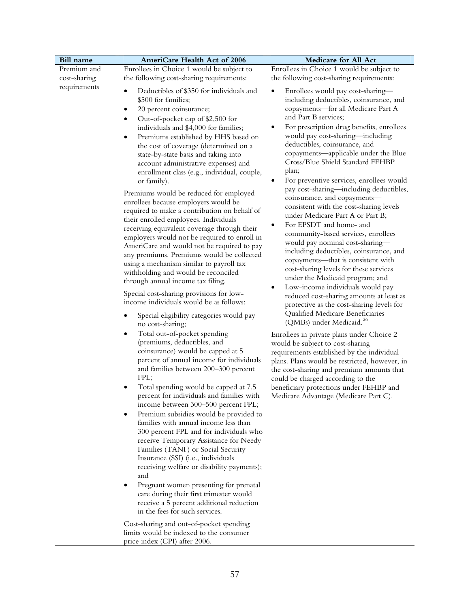| <b>Bill</b> name            | AmeriCare Health Act of 2006                                                                                                                                                                                                                                                                                                                                                                                                                                                                                                                                                                                                                                                                                                                                                                                                                                                                                                                                                                                                                                                                                                                                                                                                                                                                                                                                                                                                                                                                                                                                                                                                                                                                                                                                                                                                                                                                                                                                                                                        | Medicare for All Act                                                                                                                                                                                                                                                                                                                                                                                                                                                                                                                                                                                                                                                                                                                                                                                                                                                                                                                                                                                                                                                                                                                                                                                                                                                                                                                                                                                                  |
|-----------------------------|---------------------------------------------------------------------------------------------------------------------------------------------------------------------------------------------------------------------------------------------------------------------------------------------------------------------------------------------------------------------------------------------------------------------------------------------------------------------------------------------------------------------------------------------------------------------------------------------------------------------------------------------------------------------------------------------------------------------------------------------------------------------------------------------------------------------------------------------------------------------------------------------------------------------------------------------------------------------------------------------------------------------------------------------------------------------------------------------------------------------------------------------------------------------------------------------------------------------------------------------------------------------------------------------------------------------------------------------------------------------------------------------------------------------------------------------------------------------------------------------------------------------------------------------------------------------------------------------------------------------------------------------------------------------------------------------------------------------------------------------------------------------------------------------------------------------------------------------------------------------------------------------------------------------------------------------------------------------------------------------------------------------|-----------------------------------------------------------------------------------------------------------------------------------------------------------------------------------------------------------------------------------------------------------------------------------------------------------------------------------------------------------------------------------------------------------------------------------------------------------------------------------------------------------------------------------------------------------------------------------------------------------------------------------------------------------------------------------------------------------------------------------------------------------------------------------------------------------------------------------------------------------------------------------------------------------------------------------------------------------------------------------------------------------------------------------------------------------------------------------------------------------------------------------------------------------------------------------------------------------------------------------------------------------------------------------------------------------------------------------------------------------------------------------------------------------------------|
| Premium and<br>cost-sharing | Enrollees in Choice 1 would be subject to<br>the following cost-sharing requirements:                                                                                                                                                                                                                                                                                                                                                                                                                                                                                                                                                                                                                                                                                                                                                                                                                                                                                                                                                                                                                                                                                                                                                                                                                                                                                                                                                                                                                                                                                                                                                                                                                                                                                                                                                                                                                                                                                                                               | Enrollees in Choice 1 would be subject to<br>the following cost-sharing requirements:                                                                                                                                                                                                                                                                                                                                                                                                                                                                                                                                                                                                                                                                                                                                                                                                                                                                                                                                                                                                                                                                                                                                                                                                                                                                                                                                 |
| requirements                | Deductibles of \$350 for individuals and<br>\$500 for families;<br>20 percent coinsurance;<br>٠<br>Out-of-pocket cap of \$2,500 for<br>٠<br>individuals and \$4,000 for families;<br>Premiums established by HHS based on<br>٠<br>the cost of coverage (determined on a<br>state-by-state basis and taking into<br>account administrative expenses) and<br>enrollment class (e.g., individual, couple,<br>or family).<br>Premiums would be reduced for employed<br>enrollees because employers would be<br>required to make a contribution on behalf of<br>their enrolled employees. Individuals<br>receiving equivalent coverage through their<br>employers would not be required to enroll in<br>AmeriCare and would not be required to pay<br>any premiums. Premiums would be collected<br>using a mechanism similar to payroll tax<br>withholding and would be reconciled<br>through annual income tax filing.<br>Special cost-sharing provisions for low-<br>income individuals would be as follows:<br>Special eligibility categories would pay<br>no cost-sharing;<br>Total out-of-pocket spending<br>٠<br>(premiums, deductibles, and<br>coinsurance) would be capped at 5<br>percent of annual income for individuals<br>and families between 200-300 percent<br>FPL;<br>Total spending would be capped at 7.5<br>percent for individuals and families with<br>income between 300-500 percent FPL;<br>Premium subsidies would be provided to<br>٠<br>families with annual income less than<br>300 percent FPL and for individuals who<br>receive Temporary Assistance for Needy<br>Families (TANF) or Social Security<br>Insurance (SSI) (i.e., individuals<br>receiving welfare or disability payments);<br>and<br>Pregnant women presenting for prenatal<br>care during their first trimester would<br>receive a 5 percent additional reduction<br>in the fees for such services.<br>Cost-sharing and out-of-pocket spending<br>limits would be indexed to the consumer<br>price index (CPI) after 2006. | Enrollees would pay cost-sharing-<br>including deductibles, coinsurance, and<br>copayments-for all Medicare Part A<br>and Part B services;<br>For prescription drug benefits, enrollees<br>$\bullet$<br>would pay cost-sharing-including<br>deductibles, coinsurance, and<br>copayments—applicable under the Blue<br>Cross/Blue Shield Standard FEHBP<br>plan;<br>For preventive services, enrollees would<br>٠<br>pay cost-sharing-including deductibles,<br>coinsurance, and copayments-<br>consistent with the cost-sharing levels<br>under Medicare Part A or Part B;<br>For EPSDT and home- and<br>٠<br>community-based services, enrollees<br>would pay nominal cost-sharing-<br>including deductibles, coinsurance, and<br>copayments-that is consistent with<br>cost-sharing levels for these services<br>under the Medicaid program; and<br>Low-income individuals would pay<br>٠<br>reduced cost-sharing amounts at least as<br>protective as the cost-sharing levels for<br>Qualified Medicare Beneficiaries<br>(QMBs) under Medicaid. <sup>26</sup><br>Enrollees in private plans under Choice 2<br>would be subject to cost-sharing<br>requirements established by the individual<br>plans. Plans would be restricted, however, in<br>the cost-sharing and premium amounts that<br>could be charged according to the<br>beneficiary protections under FEHBP and<br>Medicare Advantage (Medicare Part C). |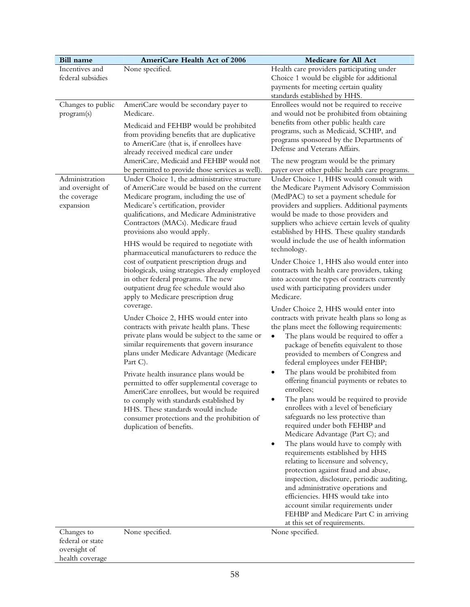| <b>Bill</b> name                                                | AmeriCare Health Act of 2006                                                                                                                                                                                                                                                                                                                                                                                                                                                                                                                                                                                                                                                                                                                                                                                                                                                                                                                                                                                                                                                                                                                                                     | Medicare for All Act                                                                                                                                                                                                                                                                                                                                                                                                                                                                                                                                                                                                                                                                                                                                                                                                                                                                                                                                                                                                                                                                                                                                                                                                                                                                                                                                                                                                                                                                                                                                                     |
|-----------------------------------------------------------------|----------------------------------------------------------------------------------------------------------------------------------------------------------------------------------------------------------------------------------------------------------------------------------------------------------------------------------------------------------------------------------------------------------------------------------------------------------------------------------------------------------------------------------------------------------------------------------------------------------------------------------------------------------------------------------------------------------------------------------------------------------------------------------------------------------------------------------------------------------------------------------------------------------------------------------------------------------------------------------------------------------------------------------------------------------------------------------------------------------------------------------------------------------------------------------|--------------------------------------------------------------------------------------------------------------------------------------------------------------------------------------------------------------------------------------------------------------------------------------------------------------------------------------------------------------------------------------------------------------------------------------------------------------------------------------------------------------------------------------------------------------------------------------------------------------------------------------------------------------------------------------------------------------------------------------------------------------------------------------------------------------------------------------------------------------------------------------------------------------------------------------------------------------------------------------------------------------------------------------------------------------------------------------------------------------------------------------------------------------------------------------------------------------------------------------------------------------------------------------------------------------------------------------------------------------------------------------------------------------------------------------------------------------------------------------------------------------------------------------------------------------------------|
| Incentives and<br>federal subsidies                             | None specified.                                                                                                                                                                                                                                                                                                                                                                                                                                                                                                                                                                                                                                                                                                                                                                                                                                                                                                                                                                                                                                                                                                                                                                  | Health care providers participating under<br>Choice 1 would be eligible for additional<br>payments for meeting certain quality<br>standards established by HHS.                                                                                                                                                                                                                                                                                                                                                                                                                                                                                                                                                                                                                                                                                                                                                                                                                                                                                                                                                                                                                                                                                                                                                                                                                                                                                                                                                                                                          |
| Changes to public<br>program(s)                                 | AmeriCare would be secondary payer to<br>Medicare.<br>Medicaid and FEHBP would be prohibited<br>from providing benefits that are duplicative<br>to AmeriCare (that is, if enrollees have<br>already received medical care under<br>AmeriCare, Medicaid and FEHBP would not<br>be permitted to provide those services as well).                                                                                                                                                                                                                                                                                                                                                                                                                                                                                                                                                                                                                                                                                                                                                                                                                                                   | Enrollees would not be required to receive<br>and would not be prohibited from obtaining<br>benefits from other public health care<br>programs, such as Medicaid, SCHIP, and<br>programs sponsored by the Departments of<br>Defense and Veterans Affairs.<br>The new program would be the primary<br>payer over other public health care programs.                                                                                                                                                                                                                                                                                                                                                                                                                                                                                                                                                                                                                                                                                                                                                                                                                                                                                                                                                                                                                                                                                                                                                                                                                       |
| Administration<br>and oversight of<br>the coverage<br>expansion | Under Choice 1, the administrative structure<br>of AmeriCare would be based on the current<br>Medicare program, including the use of<br>Medicare's certification, provider<br>qualifications, and Medicare Administrative<br>Contractors (MACs). Medicare fraud<br>provisions also would apply.<br>HHS would be required to negotiate with<br>pharmaceutical manufacturers to reduce the<br>cost of outpatient prescription drugs and<br>biologicals, using strategies already employed<br>in other federal programs. The new<br>outpatient drug fee schedule would also<br>apply to Medicare prescription drug<br>coverage.<br>Under Choice 2, HHS would enter into<br>contracts with private health plans. These<br>private plans would be subject to the same or<br>similar requirements that govern insurance<br>plans under Medicare Advantage (Medicare<br>Part $C$ ).<br>Private health insurance plans would be<br>permitted to offer supplemental coverage to<br>AmeriCare enrollees, but would be required<br>to comply with standards established by<br>HHS. These standards would include<br>consumer protections and the prohibition of<br>duplication of benefits. | Under Choice 1, HHS would consult with<br>the Medicare Payment Advisory Commission<br>(MedPAC) to set a payment schedule for<br>providers and suppliers. Additional payments<br>would be made to those providers and<br>suppliers who achieve certain levels of quality<br>established by HHS. These quality standards<br>would include the use of health information<br>technology.<br>Under Choice 1, HHS also would enter into<br>contracts with health care providers, taking<br>into account the types of contracts currently<br>used with participating providers under<br>Medicare.<br>Under Choice 2, HHS would enter into<br>contracts with private health plans so long as<br>the plans meet the following requirements:<br>The plans would be required to offer a<br>package of benefits equivalent to those<br>provided to members of Congress and<br>federal employees under FEHBP;<br>The plans would be prohibited from<br>٠<br>offering financial payments or rebates to<br>enrollees;<br>The plans would be required to provide<br>enrollees with a level of beneficiary<br>safeguards no less protective than<br>required under both FEHBP and<br>Medicare Advantage (Part C); and<br>The plans would have to comply with<br>٠<br>requirements established by HHS<br>relating to licensure and solvency,<br>protection against fraud and abuse,<br>inspection, disclosure, periodic auditing,<br>and administrative operations and<br>efficiencies. HHS would take into<br>account similar requirements under<br>FEHBP and Medicare Part C in arriving |
| Changes to                                                      | None specified.                                                                                                                                                                                                                                                                                                                                                                                                                                                                                                                                                                                                                                                                                                                                                                                                                                                                                                                                                                                                                                                                                                                                                                  | at this set of requirements.<br>None specified.                                                                                                                                                                                                                                                                                                                                                                                                                                                                                                                                                                                                                                                                                                                                                                                                                                                                                                                                                                                                                                                                                                                                                                                                                                                                                                                                                                                                                                                                                                                          |
| federal or state<br>oversight of                                |                                                                                                                                                                                                                                                                                                                                                                                                                                                                                                                                                                                                                                                                                                                                                                                                                                                                                                                                                                                                                                                                                                                                                                                  |                                                                                                                                                                                                                                                                                                                                                                                                                                                                                                                                                                                                                                                                                                                                                                                                                                                                                                                                                                                                                                                                                                                                                                                                                                                                                                                                                                                                                                                                                                                                                                          |

health coverage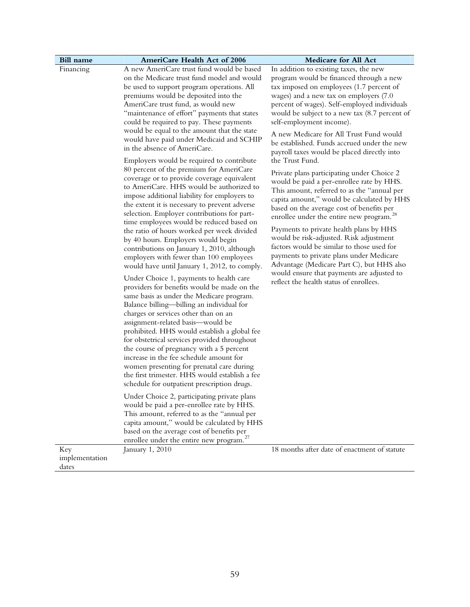| <b>Bill</b> name        | <b>AmeriCare Health Act of 2006</b>                                                                                                                                                                                                                                                                                                                                                                                                                                                                                                                                                                                                                                                                                                                                                                                                                                                                                                                                                                                                                                                                                                                                                                                                                                                                                                                                                                                                                                                                                                                                                                                                                                                                                                                                                                                                                                                                                                                       | Medicare for All Act                                                                                                                                                                                                                                                                                                                                                                                                                                                                                                                                                                                                                                                                                                                                                                                                                                                                                                                                                                                                                                                                |
|-------------------------|-----------------------------------------------------------------------------------------------------------------------------------------------------------------------------------------------------------------------------------------------------------------------------------------------------------------------------------------------------------------------------------------------------------------------------------------------------------------------------------------------------------------------------------------------------------------------------------------------------------------------------------------------------------------------------------------------------------------------------------------------------------------------------------------------------------------------------------------------------------------------------------------------------------------------------------------------------------------------------------------------------------------------------------------------------------------------------------------------------------------------------------------------------------------------------------------------------------------------------------------------------------------------------------------------------------------------------------------------------------------------------------------------------------------------------------------------------------------------------------------------------------------------------------------------------------------------------------------------------------------------------------------------------------------------------------------------------------------------------------------------------------------------------------------------------------------------------------------------------------------------------------------------------------------------------------------------------------|-------------------------------------------------------------------------------------------------------------------------------------------------------------------------------------------------------------------------------------------------------------------------------------------------------------------------------------------------------------------------------------------------------------------------------------------------------------------------------------------------------------------------------------------------------------------------------------------------------------------------------------------------------------------------------------------------------------------------------------------------------------------------------------------------------------------------------------------------------------------------------------------------------------------------------------------------------------------------------------------------------------------------------------------------------------------------------------|
| Financing               | A new AmeriCare trust fund would be based<br>on the Medicare trust fund model and would<br>be used to support program operations. All<br>premiums would be deposited into the<br>AmeriCare trust fund, as would new<br>"maintenance of effort" payments that states<br>could be required to pay. These payments<br>would be equal to the amount that the state<br>would have paid under Medicaid and SCHIP<br>in the absence of AmeriCare.<br>Employers would be required to contribute<br>80 percent of the premium for AmeriCare<br>coverage or to provide coverage equivalent<br>to AmeriCare. HHS would be authorized to<br>impose additional liability for employers to<br>the extent it is necessary to prevent adverse<br>selection. Employer contributions for part-<br>time employees would be reduced based on<br>the ratio of hours worked per week divided<br>by 40 hours. Employers would begin<br>contributions on January 1, 2010, although<br>employers with fewer than 100 employees<br>would have until January 1, 2012, to comply.<br>Under Choice 1, payments to health care<br>providers for benefits would be made on the<br>same basis as under the Medicare program.<br>Balance billing-billing an individual for<br>charges or services other than on an<br>assignment-related basis-would be<br>prohibited. HHS would establish a global fee<br>for obstetrical services provided throughout<br>the course of pregnancy with a 5 percent<br>increase in the fee schedule amount for<br>women presenting for prenatal care during<br>the first trimester. HHS would establish a fee<br>schedule for outpatient prescription drugs.<br>Under Choice 2, participating private plans<br>would be paid a per-enrollee rate by HHS.<br>This amount, referred to as the "annual per<br>capita amount," would be calculated by HHS<br>based on the average cost of benefits per<br>enrollee under the entire new program. <sup>27</sup> | In addition to existing taxes, the new<br>program would be financed through a new<br>tax imposed on employees (1.7 percent of<br>wages) and a new tax on employers (7.0<br>percent of wages). Self-employed individuals<br>would be subject to a new tax (8.7 percent of<br>self-employment income).<br>A new Medicare for All Trust Fund would<br>be established. Funds accrued under the new<br>payroll taxes would be placed directly into<br>the Trust Fund.<br>Private plans participating under Choice 2<br>would be paid a per-enrollee rate by HHS.<br>This amount, referred to as the "annual per<br>capita amount," would be calculated by HHS<br>based on the average cost of benefits per<br>enrollee under the entire new program. <sup>28</sup><br>Payments to private health plans by HHS<br>would be risk-adjusted. Risk adjustment<br>factors would be similar to those used for<br>payments to private plans under Medicare<br>Advantage (Medicare Part C), but HHS also<br>would ensure that payments are adjusted to<br>reflect the health status of enrollees. |
| Key                     | January 1, 2010                                                                                                                                                                                                                                                                                                                                                                                                                                                                                                                                                                                                                                                                                                                                                                                                                                                                                                                                                                                                                                                                                                                                                                                                                                                                                                                                                                                                                                                                                                                                                                                                                                                                                                                                                                                                                                                                                                                                           | 18 months after date of enactment of statute                                                                                                                                                                                                                                                                                                                                                                                                                                                                                                                                                                                                                                                                                                                                                                                                                                                                                                                                                                                                                                        |
| implementation<br>dates |                                                                                                                                                                                                                                                                                                                                                                                                                                                                                                                                                                                                                                                                                                                                                                                                                                                                                                                                                                                                                                                                                                                                                                                                                                                                                                                                                                                                                                                                                                                                                                                                                                                                                                                                                                                                                                                                                                                                                           |                                                                                                                                                                                                                                                                                                                                                                                                                                                                                                                                                                                                                                                                                                                                                                                                                                                                                                                                                                                                                                                                                     |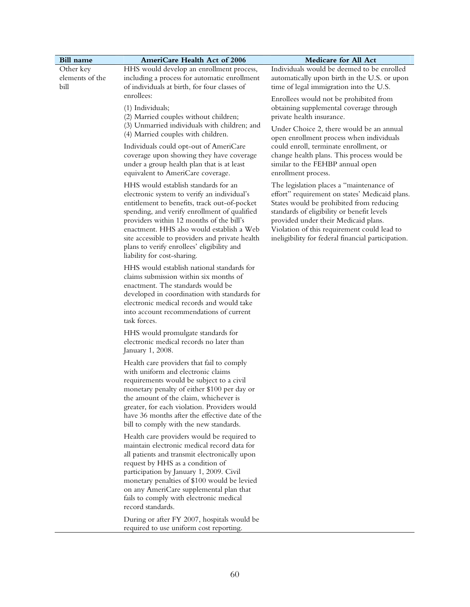| Other key<br>HHS would develop an enrollment process,<br>elements of the<br>including a process for automatic enrollment<br>bill<br>of individuals at birth, for four classes of<br>enrollees:<br>(1) Individuals;<br>(2) Married couples without children;<br>(3) Unmarried individuals with children; and                                                                                                  | Individuals would be deemed to be enrolled<br>automatically upon birth in the U.S. or upon<br>time of legal immigration into the U.S.<br>Enrollees would not be prohibited from<br>obtaining supplemental coverage through<br>private health insurance.<br>Under Choice 2, there would be an annual<br>open enrollment process when individuals<br>could enroll, terminate enrollment, or<br>change health plans. This process would be |
|--------------------------------------------------------------------------------------------------------------------------------------------------------------------------------------------------------------------------------------------------------------------------------------------------------------------------------------------------------------------------------------------------------------|-----------------------------------------------------------------------------------------------------------------------------------------------------------------------------------------------------------------------------------------------------------------------------------------------------------------------------------------------------------------------------------------------------------------------------------------|
|                                                                                                                                                                                                                                                                                                                                                                                                              |                                                                                                                                                                                                                                                                                                                                                                                                                                         |
|                                                                                                                                                                                                                                                                                                                                                                                                              |                                                                                                                                                                                                                                                                                                                                                                                                                                         |
| (4) Married couples with children.                                                                                                                                                                                                                                                                                                                                                                           |                                                                                                                                                                                                                                                                                                                                                                                                                                         |
| Individuals could opt-out of AmeriCare<br>coverage upon showing they have coverage<br>under a group health plan that is at least<br>equivalent to AmeriCare coverage.                                                                                                                                                                                                                                        | similar to the FEHBP annual open<br>enrollment process.                                                                                                                                                                                                                                                                                                                                                                                 |
| HHS would establish standards for an<br>electronic system to verify an individual's<br>entitlement to benefits, track out-of-pocket<br>spending, and verify enrollment of qualified<br>providers within 12 months of the bill's<br>enactment. HHS also would establish a Web<br>site accessible to providers and private health<br>plans to verify enrollees' eligibility and<br>liability for cost-sharing. | The legislation places a "maintenance of<br>effort" requirement on states' Medicaid plans.<br>States would be prohibited from reducing<br>standards of eligibility or benefit levels<br>provided under their Medicaid plans.<br>Violation of this requirement could lead to<br>ineligibility for federal financial participation.                                                                                                       |
| HHS would establish national standards for<br>claims submission within six months of<br>enactment. The standards would be<br>developed in coordination with standards for<br>electronic medical records and would take<br>into account recommendations of current<br>task forces.                                                                                                                            |                                                                                                                                                                                                                                                                                                                                                                                                                                         |
| HHS would promulgate standards for<br>electronic medical records no later than<br>January 1, 2008.                                                                                                                                                                                                                                                                                                           |                                                                                                                                                                                                                                                                                                                                                                                                                                         |
| Health care providers that fail to comply<br>with uniform and electronic claims<br>requirements would be subject to a civil<br>monetary penalty of either \$100 per day or<br>the amount of the claim, whichever is<br>greater, for each violation. Providers would<br>have 36 months after the effective date of the<br>bill to comply with the new standards.                                              |                                                                                                                                                                                                                                                                                                                                                                                                                                         |
| Health care providers would be required to<br>maintain electronic medical record data for<br>all patients and transmit electronically upon<br>request by HHS as a condition of<br>participation by January 1, 2009. Civil<br>monetary penalties of \$100 would be levied<br>on any AmeriCare supplemental plan that<br>fails to comply with electronic medical<br>record standards.                          |                                                                                                                                                                                                                                                                                                                                                                                                                                         |
| During or after FY 2007, hospitals would be<br>required to use uniform cost reporting.                                                                                                                                                                                                                                                                                                                       |                                                                                                                                                                                                                                                                                                                                                                                                                                         |

 $\overline{\phantom{0}}$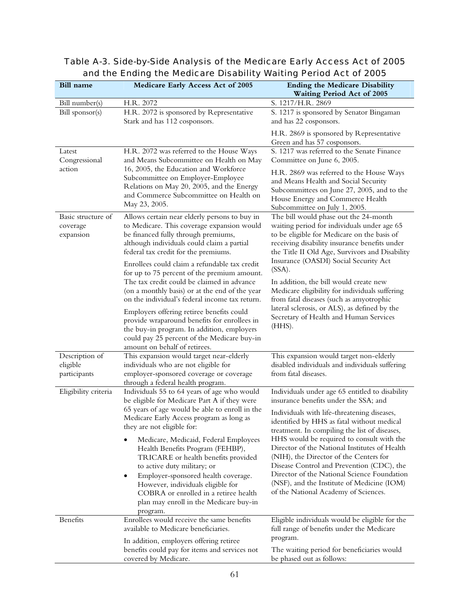| <b>Bill name</b>                            | Medicare Early Access Act of 2005                                                                                                                                                                                                                                                                                               | <b>Ending the Medicare Disability</b>                                                                                                                                                                                                                                                                                  |
|---------------------------------------------|---------------------------------------------------------------------------------------------------------------------------------------------------------------------------------------------------------------------------------------------------------------------------------------------------------------------------------|------------------------------------------------------------------------------------------------------------------------------------------------------------------------------------------------------------------------------------------------------------------------------------------------------------------------|
|                                             |                                                                                                                                                                                                                                                                                                                                 | Waiting Period Act of 2005                                                                                                                                                                                                                                                                                             |
| Bill number(s)                              | H.R. 2072                                                                                                                                                                                                                                                                                                                       | S. 1217/H.R. 2869                                                                                                                                                                                                                                                                                                      |
| Bill sponsor(s)                             | H.R. 2072 is sponsored by Representative<br>Stark and has 112 cosponsors.                                                                                                                                                                                                                                                       | S. 1217 is sponsored by Senator Bingaman<br>and has 22 cosponsors.                                                                                                                                                                                                                                                     |
|                                             |                                                                                                                                                                                                                                                                                                                                 | H.R. 2869 is sponsored by Representative<br>Green and has 57 cosponsors.                                                                                                                                                                                                                                               |
| Latest<br>Congressional                     | H.R. 2072 was referred to the House Ways<br>and Means Subcommittee on Health on May                                                                                                                                                                                                                                             | S. 1217 was referred to the Senate Finance<br>Committee on June 6, 2005.                                                                                                                                                                                                                                               |
| action                                      | 16, 2005, the Education and Workforce<br>Subcommittee on Employer-Employee<br>Relations on May 20, 2005, and the Energy<br>and Commerce Subcommittee on Health on<br>May 23, 2005.                                                                                                                                              | H.R. 2869 was referred to the House Ways<br>and Means Health and Social Security<br>Subcommittees on June 27, 2005, and to the<br>House Energy and Commerce Health<br>Subcommittee on July 1, 2005.                                                                                                                    |
| Basic structure of<br>coverage<br>expansion | Allows certain near elderly persons to buy in<br>to Medicare. This coverage expansion would<br>be financed fully through premiums,<br>although individuals could claim a partial<br>federal tax credit for the premiums.                                                                                                        | The bill would phase out the 24-month<br>waiting period for individuals under age 65<br>to be eligible for Medicare on the basis of<br>receiving disability insurance benefits under<br>the Title II Old Age, Survivors and Disability                                                                                 |
|                                             | Enrollees could claim a refundable tax credit<br>for up to 75 percent of the premium amount.                                                                                                                                                                                                                                    | Insurance (OASDI) Social Security Act<br>$(SSA)$ .                                                                                                                                                                                                                                                                     |
|                                             | The tax credit could be claimed in advance<br>(on a monthly basis) or at the end of the year<br>on the individual's federal income tax return.                                                                                                                                                                                  | In addition, the bill would create new<br>Medicare eligibility for individuals suffering<br>from fatal diseases (such as amyotrophic                                                                                                                                                                                   |
|                                             | Employers offering retiree benefits could<br>provide wraparound benefits for enrollees in<br>the buy-in program. In addition, employers<br>could pay 25 percent of the Medicare buy-in<br>amount on behalf of retirees.                                                                                                         | lateral sclerosis, or ALS), as defined by the<br>Secretary of Health and Human Services<br>$(HHS)$ .                                                                                                                                                                                                                   |
| Description of<br>eligible<br>participants  | This expansion would target near-elderly<br>individuals who are not eligible for<br>employer-sponsored coverage or coverage<br>through a federal health program.                                                                                                                                                                | This expansion would target non-elderly<br>disabled individuals and individuals suffering<br>from fatal diseases.                                                                                                                                                                                                      |
| Eligibility criteria                        | Individuals 55 to 64 years of age who would<br>be eligible for Medicare Part A if they were                                                                                                                                                                                                                                     | Individuals under age 65 entitled to disability<br>insurance benefits under the SSA; and                                                                                                                                                                                                                               |
|                                             | 65 years of age would be able to enroll in the<br>Medicare Early Access program as long as<br>they are not eligible for:                                                                                                                                                                                                        | Individuals with life-threatening diseases,<br>identified by HHS as fatal without medical<br>treatment. In compiling the list of diseases,                                                                                                                                                                             |
|                                             | Medicare, Medicaid, Federal Employees<br>Health Benefits Program (FEHBP),<br>TRICARE or health benefits provided<br>to active duty military; or<br>Employer-sponsored health coverage.<br>٠<br>However, individuals eligible for<br>COBRA or enrolled in a retiree health<br>plan may enroll in the Medicare buy-in<br>program. | HHS would be required to consult with the<br>Director of the National Institutes of Health<br>(NIH), the Director of the Centers for<br>Disease Control and Prevention (CDC), the<br>Director of the National Science Foundation<br>(NSF), and the Institute of Medicine (IOM)<br>of the National Academy of Sciences. |
| Benefits                                    | Enrollees would receive the same benefits<br>available to Medicare beneficiaries.                                                                                                                                                                                                                                               | Eligible individuals would be eligible for the<br>full range of benefits under the Medicare<br>program.                                                                                                                                                                                                                |
|                                             | In addition, employers offering retiree<br>benefits could pay for items and services not<br>covered by Medicare.                                                                                                                                                                                                                | The waiting period for beneficiaries would<br>be phased out as follows:                                                                                                                                                                                                                                                |

# Table A-3. Side-by-Side Analysis of the Medicare Early Access Act of 2005 and the Ending the Medicare Disability Waiting Period Act of 2005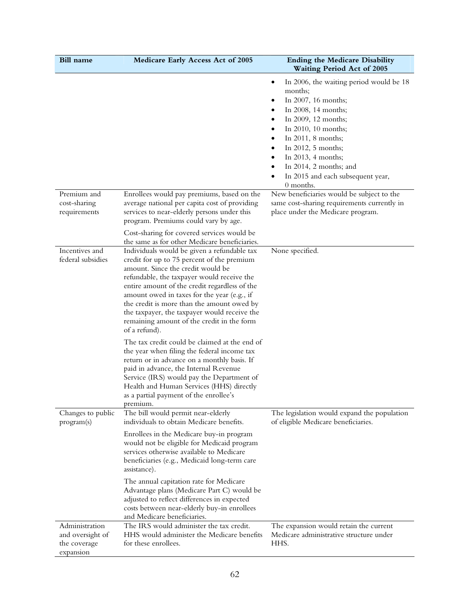| <b>Bill name</b>                                                | Medicare Early Access Act of 2005                                                                                                                                                                                                                                                                                                                                                                                                                                                                                                                                                        | <b>Ending the Medicare Disability</b><br>Waiting Period Act of 2005                                                                                                                                                                                                                                                                            |
|-----------------------------------------------------------------|------------------------------------------------------------------------------------------------------------------------------------------------------------------------------------------------------------------------------------------------------------------------------------------------------------------------------------------------------------------------------------------------------------------------------------------------------------------------------------------------------------------------------------------------------------------------------------------|------------------------------------------------------------------------------------------------------------------------------------------------------------------------------------------------------------------------------------------------------------------------------------------------------------------------------------------------|
|                                                                 |                                                                                                                                                                                                                                                                                                                                                                                                                                                                                                                                                                                          | In 2006, the waiting period would be 18<br>٠<br>months;<br>In 2007, 16 months;<br>٠<br>In 2008, 14 months;<br>٠<br>In 2009, 12 months;<br>٠<br>In 2010, 10 months;<br>٠<br>In 2011, 8 months;<br>٠<br>In 2012, $5$ months;<br>٠<br>In $2013$ , 4 months;<br>In 2014, 2 months; and<br>٠<br>In 2015 and each subsequent year,<br>٠<br>0 months. |
| Premium and<br>cost-sharing<br>requirements                     | Enrollees would pay premiums, based on the<br>average national per capita cost of providing<br>services to near-elderly persons under this<br>program. Premiums could vary by age.                                                                                                                                                                                                                                                                                                                                                                                                       | New beneficiaries would be subject to the<br>same cost-sharing requirements currently in<br>place under the Medicare program.                                                                                                                                                                                                                  |
|                                                                 | Cost-sharing for covered services would be<br>the same as for other Medicare beneficiaries.                                                                                                                                                                                                                                                                                                                                                                                                                                                                                              |                                                                                                                                                                                                                                                                                                                                                |
| Incentives and<br>federal subsidies                             | Individuals would be given a refundable tax<br>credit for up to 75 percent of the premium<br>amount. Since the credit would be<br>refundable, the taxpayer would receive the<br>entire amount of the credit regardless of the<br>amount owed in taxes for the year (e.g., if<br>the credit is more than the amount owed by<br>the taxpayer, the taxpayer would receive the<br>remaining amount of the credit in the form<br>of a refund).<br>The tax credit could be claimed at the end of<br>the year when filing the federal income tax<br>return or in advance on a monthly basis. If | None specified.                                                                                                                                                                                                                                                                                                                                |
|                                                                 | paid in advance, the Internal Revenue<br>Service (IRS) would pay the Department of<br>Health and Human Services (HHS) directly<br>as a partial payment of the enrollee's<br>premium.                                                                                                                                                                                                                                                                                                                                                                                                     |                                                                                                                                                                                                                                                                                                                                                |
| Changes to public<br>program(s)                                 | The bill would permit near-elderly<br>individuals to obtain Medicare benefits.                                                                                                                                                                                                                                                                                                                                                                                                                                                                                                           | The legislation would expand the population<br>of eligible Medicare beneficiaries.                                                                                                                                                                                                                                                             |
|                                                                 | Enrollees in the Medicare buy-in program<br>would not be eligible for Medicaid program<br>services otherwise available to Medicare<br>beneficiaries (e.g., Medicaid long-term care<br>assistance).                                                                                                                                                                                                                                                                                                                                                                                       |                                                                                                                                                                                                                                                                                                                                                |
|                                                                 | The annual capitation rate for Medicare<br>Advantage plans (Medicare Part C) would be<br>adjusted to reflect differences in expected<br>costs between near-elderly buy-in enrollees<br>and Medicare beneficiaries.                                                                                                                                                                                                                                                                                                                                                                       |                                                                                                                                                                                                                                                                                                                                                |
| Administration<br>and oversight of<br>the coverage<br>expansion | The IRS would administer the tax credit.<br>HHS would administer the Medicare benefits<br>for these enrollees.                                                                                                                                                                                                                                                                                                                                                                                                                                                                           | The expansion would retain the current<br>Medicare administrative structure under<br>HHS.                                                                                                                                                                                                                                                      |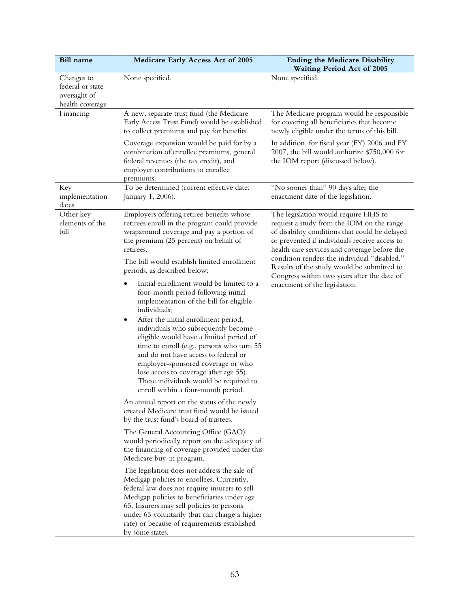| <b>Bill</b> name                                                  | Medicare Early Access Act of 2005                                                                                                                                                                                                                                                                                                                                                                                                                                                                                                                                                                                                                                                                                                                                                                                                                                                                                                                                                                                                                                                                                                                                                                                                                                                                                                                                                                                                                                                      | <b>Ending the Medicare Disability</b><br>Waiting Period Act of 2005                                                                                                                                                                                                                                                                                                                                                |
|-------------------------------------------------------------------|----------------------------------------------------------------------------------------------------------------------------------------------------------------------------------------------------------------------------------------------------------------------------------------------------------------------------------------------------------------------------------------------------------------------------------------------------------------------------------------------------------------------------------------------------------------------------------------------------------------------------------------------------------------------------------------------------------------------------------------------------------------------------------------------------------------------------------------------------------------------------------------------------------------------------------------------------------------------------------------------------------------------------------------------------------------------------------------------------------------------------------------------------------------------------------------------------------------------------------------------------------------------------------------------------------------------------------------------------------------------------------------------------------------------------------------------------------------------------------------|--------------------------------------------------------------------------------------------------------------------------------------------------------------------------------------------------------------------------------------------------------------------------------------------------------------------------------------------------------------------------------------------------------------------|
| Changes to<br>federal or state<br>oversight of<br>health coverage | None specified.                                                                                                                                                                                                                                                                                                                                                                                                                                                                                                                                                                                                                                                                                                                                                                                                                                                                                                                                                                                                                                                                                                                                                                                                                                                                                                                                                                                                                                                                        | None specified.                                                                                                                                                                                                                                                                                                                                                                                                    |
| Financing                                                         | A new, separate trust fund (the Medicare<br>Early Access Trust Fund) would be established<br>to collect premiums and pay for benefits.                                                                                                                                                                                                                                                                                                                                                                                                                                                                                                                                                                                                                                                                                                                                                                                                                                                                                                                                                                                                                                                                                                                                                                                                                                                                                                                                                 | The Medicare program would be responsible<br>for covering all beneficiaries that become<br>newly eligible under the terms of this bill.                                                                                                                                                                                                                                                                            |
|                                                                   | Coverage expansion would be paid for by a<br>combination of enrollee premiums, general<br>federal revenues (the tax credit), and<br>employer contributions to enrollee<br>premiums.                                                                                                                                                                                                                                                                                                                                                                                                                                                                                                                                                                                                                                                                                                                                                                                                                                                                                                                                                                                                                                                                                                                                                                                                                                                                                                    | In addition, for fiscal year (FY) 2006 and FY<br>2007, the bill would authorize \$750,000 for<br>the IOM report (discussed below).                                                                                                                                                                                                                                                                                 |
| Key<br>implementation<br>dates                                    | To be determined (current effective date:<br>January 1, 2006).                                                                                                                                                                                                                                                                                                                                                                                                                                                                                                                                                                                                                                                                                                                                                                                                                                                                                                                                                                                                                                                                                                                                                                                                                                                                                                                                                                                                                         | "No sooner than" 90 days after the<br>enactment date of the legislation.                                                                                                                                                                                                                                                                                                                                           |
| Other key<br>elements of the<br>bill                              | Employers offering retiree benefits whose<br>retirees enroll in the program could provide<br>wraparound coverage and pay a portion of<br>the premium (25 percent) on behalf of<br>retirees.<br>The bill would establish limited enrollment<br>periods, as described below:<br>Initial enrollment would be limited to a<br>four-month period following initial<br>implementation of the bill for eligible<br>individuals;<br>After the initial enrollment period,<br>٠<br>individuals who subsequently become<br>eligible would have a limited period of<br>time to enroll (e.g., persons who turn 55<br>and do not have access to federal or<br>employer-sponsored coverage or who<br>lose access to coverage after age 55).<br>These individuals would be required to<br>enroll within a four-month period.<br>An annual report on the status of the newly<br>created Medicare trust fund would be issued<br>by the trust fund's board of trustees.<br>The General Accounting Office (GAO)<br>would periodically report on the adequacy of<br>the financing of coverage provided under this<br>Medicare buy-in program.<br>The legislation does not address the sale of<br>Medigap policies to enrollees. Currently,<br>federal law does not require insurers to sell<br>Medigap policies to beneficiaries under age<br>65. Insurers may sell policies to persons<br>under 65 voluntarily (but can charge a higher<br>rate) or because of requirements established<br>by some states. | The legislation would require HHS to<br>request a study from the IOM on the range<br>of disability conditions that could be delayed<br>or prevented if individuals receive access to<br>health care services and coverage before the<br>condition renders the individual "disabled."<br>Results of the study would be submitted to<br>Congress within two years after the date of<br>enactment of the legislation. |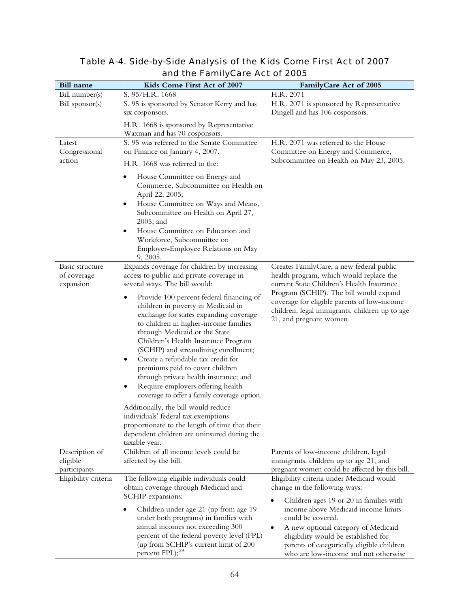| <b>Bill</b> name                                                   | .<br>Kids Come First Act of 2007                                                                                                                                                                                                                                                                                                                                                                                                                                                                                                                                                                                                                                                                                                                                                                                                     | FamilyCare Act of 2005                                                                                                                                                                                                                                                                                                                                                                                     |
|--------------------------------------------------------------------|--------------------------------------------------------------------------------------------------------------------------------------------------------------------------------------------------------------------------------------------------------------------------------------------------------------------------------------------------------------------------------------------------------------------------------------------------------------------------------------------------------------------------------------------------------------------------------------------------------------------------------------------------------------------------------------------------------------------------------------------------------------------------------------------------------------------------------------|------------------------------------------------------------------------------------------------------------------------------------------------------------------------------------------------------------------------------------------------------------------------------------------------------------------------------------------------------------------------------------------------------------|
| Bill number(s)                                                     | S. 95/H.R. 1668                                                                                                                                                                                                                                                                                                                                                                                                                                                                                                                                                                                                                                                                                                                                                                                                                      | H.R. 2071                                                                                                                                                                                                                                                                                                                                                                                                  |
| Bill sponsor(s)                                                    | S. 95 is sponsored by Senator Kerry and has<br>six cosponsors.                                                                                                                                                                                                                                                                                                                                                                                                                                                                                                                                                                                                                                                                                                                                                                       | H.R. 2071 is sponsored by Representative<br>Dingell and has 106 cosponsors.                                                                                                                                                                                                                                                                                                                                |
|                                                                    | H.R. 1668 is sponsored by Representative<br>Waxman and has 70 cosponsors.                                                                                                                                                                                                                                                                                                                                                                                                                                                                                                                                                                                                                                                                                                                                                            |                                                                                                                                                                                                                                                                                                                                                                                                            |
| Latest<br>Congressional<br>action                                  | S. 95 was referred to the Senate Committee<br>on Finance on January 4, 2007.<br>H.R. 1668 was referred to the:<br>House Committee on Energy and<br>Commerce, Subcommittee on Health on<br>April 22, 2005;<br>House Committee on Ways and Means,<br>٠<br>Subcommittee on Health on April 27,<br>2005; and<br>House Committee on Education and<br>٠<br>Workforce, Subcommittee on<br>Employer-Employee Relations on May                                                                                                                                                                                                                                                                                                                                                                                                                | H.R. 2071 was referred to the House<br>Committee on Energy and Commerce,<br>Subcommittee on Health on May 23, 2005.                                                                                                                                                                                                                                                                                        |
| Basic structure<br>of coverage<br>expansion                        | 9, 2005.<br>Expands coverage for children by increasing<br>access to public and private coverage in<br>several ways. The bill would:<br>Provide 100 percent federal financing of<br>children in poverty in Medicaid in<br>exchange for states expanding coverage<br>to children in higher-income families<br>through Medicaid or the State<br>Children's Health Insurance Program<br>(SCHIP) and streamlining enrollment;<br>Create a refundable tax credit for<br>٠<br>premiums paid to cover children<br>through private health insurance; and<br>Require employers offering health<br>coverage to offer a family coverage option.<br>Additionally, the bill would reduce<br>individuals' federal tax exemptions<br>proportionate to the length of time that their<br>dependent children are uninsured during the<br>taxable year. | Creates FamilyCare, a new federal public<br>health program, which would replace the<br>current State Children's Health Insurance<br>Program (SCHIP). The bill would expand<br>coverage for eligible parents of low-income<br>children, legal immigrants, children up to age<br>21, and pregnant women.                                                                                                     |
| Description of<br>eligible<br>participants<br>Eligibility criteria | Children of all income levels could be<br>affected by the bill.<br>The following eligible individuals could<br>obtain coverage through Medicaid and<br>SCHIP expansions:<br>Children under age 21 (up from age 19<br>under both programs) in families with<br>annual incomes not exceeding 300<br>percent of the federal poverty level (FPL)                                                                                                                                                                                                                                                                                                                                                                                                                                                                                         | Parents of low-income children, legal<br>immigrants, children up to age 21, and<br>pregnant women could be affected by this bill.<br>Eligibility criteria under Medicaid would<br>change in the following ways:<br>Children ages 19 or 20 in families with<br>income above Medicaid income limits<br>could be covered.<br>A new optional category of Medicaid<br>٠<br>eligibility would be established for |
|                                                                    | (up from SCHIP's current limit of 200<br>percent FPL); <sup>29</sup>                                                                                                                                                                                                                                                                                                                                                                                                                                                                                                                                                                                                                                                                                                                                                                 | parents of categorically eligible children<br>who are low-income and not otherwise                                                                                                                                                                                                                                                                                                                         |

# Table A-4. Side-by-Side Analysis of the Kids Come First Act of 2007 and the FamilyCare Act of 2005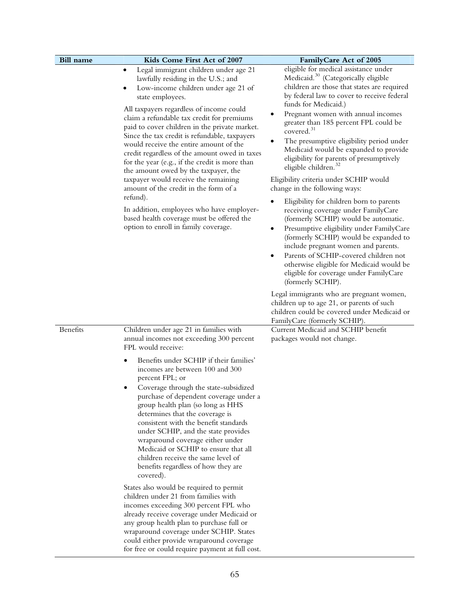| <b>Bill</b> name | Kids Come First Act of 2007                                                                                                                                                                                                                                                                                                                                                                                                                                                                                                                                                                                                                                                                                                                                                                                                                                                                                                                                                                      | FamilyCare Act of 2005                                                                                                                                                                                                                                                                                                                                                                                                                                                                                                                                                                                                                                                                                                                                                                                                                                                                                                                                                                                                                                                                                                                   |
|------------------|--------------------------------------------------------------------------------------------------------------------------------------------------------------------------------------------------------------------------------------------------------------------------------------------------------------------------------------------------------------------------------------------------------------------------------------------------------------------------------------------------------------------------------------------------------------------------------------------------------------------------------------------------------------------------------------------------------------------------------------------------------------------------------------------------------------------------------------------------------------------------------------------------------------------------------------------------------------------------------------------------|------------------------------------------------------------------------------------------------------------------------------------------------------------------------------------------------------------------------------------------------------------------------------------------------------------------------------------------------------------------------------------------------------------------------------------------------------------------------------------------------------------------------------------------------------------------------------------------------------------------------------------------------------------------------------------------------------------------------------------------------------------------------------------------------------------------------------------------------------------------------------------------------------------------------------------------------------------------------------------------------------------------------------------------------------------------------------------------------------------------------------------------|
|                  | Legal immigrant children under age 21<br>$\bullet$<br>lawfully residing in the U.S.; and<br>Low-income children under age 21 of<br>٠<br>state employees.<br>All taxpayers regardless of income could<br>claim a refundable tax credit for premiums<br>paid to cover children in the private market.<br>Since the tax credit is refundable, taxpayers<br>would receive the entire amount of the<br>credit regardless of the amount owed in taxes<br>for the year (e.g., if the credit is more than<br>the amount owed by the taxpayer, the<br>taxpayer would receive the remaining<br>amount of the credit in the form of a<br>refund).<br>In addition, employees who have employer-<br>based health coverage must be offered the<br>option to enroll in family coverage.                                                                                                                                                                                                                         | eligible for medical assistance under<br>Medicaid. <sup>30</sup> (Categorically eligible<br>children are those that states are required<br>by federal law to cover to receive federal<br>funds for Medicaid.)<br>Pregnant women with annual incomes<br>٠<br>greater than 185 percent FPL could be<br>covered. <sup>31</sup><br>The presumptive eligibility period under<br>٠<br>Medicaid would be expanded to provide<br>eligibility for parents of presumptively<br>eligible children. <sup>32</sup><br>Eligibility criteria under SCHIP would<br>change in the following ways:<br>Eligibility for children born to parents<br>receiving coverage under FamilyCare<br>(formerly SCHIP) would be automatic.<br>Presumptive eligibility under FamilyCare<br>٠<br>(formerly SCHIP) would be expanded to<br>include pregnant women and parents.<br>Parents of SCHIP-covered children not<br>otherwise eligible for Medicaid would be<br>eligible for coverage under FamilyCare<br>(formerly SCHIP).<br>Legal immigrants who are pregnant women,<br>children up to age 21, or parents of such<br>children could be covered under Medicaid or |
| Benefits         | Children under age 21 in families with<br>annual incomes not exceeding 300 percent<br>FPL would receive:<br>Benefits under SCHIP if their families'<br>٠<br>incomes are between 100 and 300<br>percent FPL; or<br>Coverage through the state-subsidized<br>purchase of dependent coverage under a<br>group health plan (so long as HHS<br>determines that the coverage is<br>consistent with the benefit standards<br>under SCHIP, and the state provides<br>wraparound coverage either under<br>Medicaid or SCHIP to ensure that all<br>children receive the same level of<br>benefits regardless of how they are<br>covered).<br>States also would be required to permit<br>children under 21 from families with<br>incomes exceeding 300 percent FPL who<br>already receive coverage under Medicaid or<br>any group health plan to purchase full or<br>wraparound coverage under SCHIP. States<br>could either provide wraparound coverage<br>for free or could require payment at full cost. | FamilyCare (formerly SCHIP).<br>Current Medicaid and SCHIP benefit<br>packages would not change.                                                                                                                                                                                                                                                                                                                                                                                                                                                                                                                                                                                                                                                                                                                                                                                                                                                                                                                                                                                                                                         |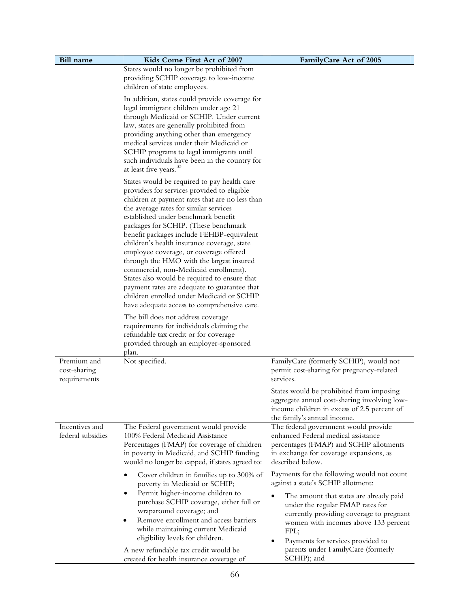| <b>Bill</b> name                            | Kids Come First Act of 2007                                                                                                                                                                                                                                                                                                                                                                                                                                                                                                                                                                                                                                                                                                                                                                                                                                         | FamilyCare Act of 2005                                                                                                                                                                                       |
|---------------------------------------------|---------------------------------------------------------------------------------------------------------------------------------------------------------------------------------------------------------------------------------------------------------------------------------------------------------------------------------------------------------------------------------------------------------------------------------------------------------------------------------------------------------------------------------------------------------------------------------------------------------------------------------------------------------------------------------------------------------------------------------------------------------------------------------------------------------------------------------------------------------------------|--------------------------------------------------------------------------------------------------------------------------------------------------------------------------------------------------------------|
|                                             | States would no longer be prohibited from<br>providing SCHIP coverage to low-income<br>children of state employees.                                                                                                                                                                                                                                                                                                                                                                                                                                                                                                                                                                                                                                                                                                                                                 |                                                                                                                                                                                                              |
|                                             | In addition, states could provide coverage for<br>legal immigrant children under age 21<br>through Medicaid or SCHIP. Under current<br>law, states are generally prohibited from<br>providing anything other than emergency<br>medical services under their Medicaid or<br>SCHIP programs to legal immigrants until<br>such individuals have been in the country for<br>at least five years. <sup>33</sup>                                                                                                                                                                                                                                                                                                                                                                                                                                                          |                                                                                                                                                                                                              |
|                                             | States would be required to pay health care<br>providers for services provided to eligible<br>children at payment rates that are no less than<br>the average rates for similar services<br>established under benchmark benefit<br>packages for SCHIP. (These benchmark<br>benefit packages include FEHBP-equivalent<br>children's health insurance coverage, state<br>employee coverage, or coverage offered<br>through the HMO with the largest insured<br>commercial, non-Medicaid enrollment).<br>States also would be required to ensure that<br>payment rates are adequate to guarantee that<br>children enrolled under Medicaid or SCHIP<br>have adequate access to comprehensive care.<br>The bill does not address coverage<br>requirements for individuals claiming the<br>refundable tax credit or for coverage<br>provided through an employer-sponsored |                                                                                                                                                                                                              |
| Premium and<br>cost-sharing<br>requirements | plan.<br>Not specified.                                                                                                                                                                                                                                                                                                                                                                                                                                                                                                                                                                                                                                                                                                                                                                                                                                             | FamilyCare (formerly SCHIP), would not<br>permit cost-sharing for pregnancy-related<br>services.                                                                                                             |
|                                             |                                                                                                                                                                                                                                                                                                                                                                                                                                                                                                                                                                                                                                                                                                                                                                                                                                                                     | States would be prohibited from imposing<br>aggregate annual cost-sharing involving low-<br>income children in excess of 2.5 percent of<br>the family's annual income.                                       |
| Incentives and<br>federal subsidies         | The Federal government would provide<br>100% Federal Medicaid Assistance<br>Percentages (FMAP) for coverage of children<br>in poverty in Medicaid, and SCHIP funding<br>would no longer be capped, if states agreed to:                                                                                                                                                                                                                                                                                                                                                                                                                                                                                                                                                                                                                                             | The federal government would provide<br>enhanced Federal medical assistance<br>percentages (FMAP) and SCHIP allotments<br>in exchange for coverage expansions, as<br>described below.                        |
|                                             | Cover children in families up to 300% of<br>٠<br>poverty in Medicaid or SCHIP;<br>Permit higher-income children to<br>٠                                                                                                                                                                                                                                                                                                                                                                                                                                                                                                                                                                                                                                                                                                                                             | Payments for the following would not count<br>against a state's SCHIP allotment:                                                                                                                             |
|                                             | purchase SCHIP coverage, either full or<br>wraparound coverage; and<br>Remove enrollment and access barriers<br>while maintaining current Medicaid<br>eligibility levels for children.                                                                                                                                                                                                                                                                                                                                                                                                                                                                                                                                                                                                                                                                              | The amount that states are already paid<br>under the regular FMAP rates for<br>currently providing coverage to pregnant<br>women with incomes above 133 percent<br>FPL;<br>Payments for services provided to |
|                                             | A new refundable tax credit would be<br>created for health insurance coverage of                                                                                                                                                                                                                                                                                                                                                                                                                                                                                                                                                                                                                                                                                                                                                                                    | parents under FamilyCare (formerly<br>SCHIP); and                                                                                                                                                            |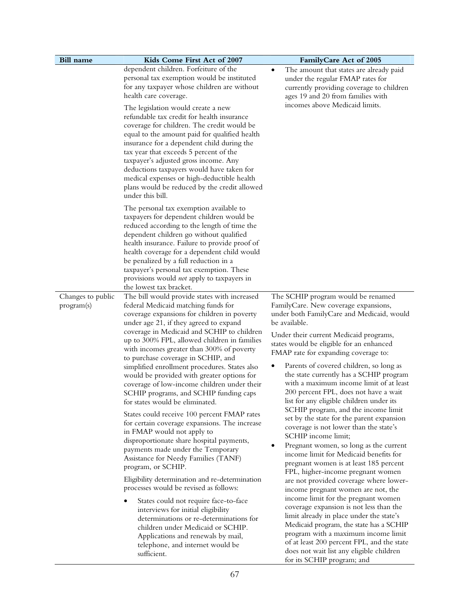| <b>Bill name</b>                | Kids Come First Act of 2007                                                                                                                                                                                                                                                                                                                                                                                                                                                                                                                                                                                                                                                                                                                                                                                                                                                                                                                                                                                                                                                                                                                                                                                                | FamilyCare Act of 2005                                                                                                                                                                                                                                                                                                                                                                                                                                                                                                                                                                                                                                                                                                                                                                                                                                                                                                                                                                                                                                                                                                                                                                                                                                 |
|---------------------------------|----------------------------------------------------------------------------------------------------------------------------------------------------------------------------------------------------------------------------------------------------------------------------------------------------------------------------------------------------------------------------------------------------------------------------------------------------------------------------------------------------------------------------------------------------------------------------------------------------------------------------------------------------------------------------------------------------------------------------------------------------------------------------------------------------------------------------------------------------------------------------------------------------------------------------------------------------------------------------------------------------------------------------------------------------------------------------------------------------------------------------------------------------------------------------------------------------------------------------|--------------------------------------------------------------------------------------------------------------------------------------------------------------------------------------------------------------------------------------------------------------------------------------------------------------------------------------------------------------------------------------------------------------------------------------------------------------------------------------------------------------------------------------------------------------------------------------------------------------------------------------------------------------------------------------------------------------------------------------------------------------------------------------------------------------------------------------------------------------------------------------------------------------------------------------------------------------------------------------------------------------------------------------------------------------------------------------------------------------------------------------------------------------------------------------------------------------------------------------------------------|
|                                 | dependent children. Forfeiture of the<br>personal tax exemption would be instituted<br>for any taxpayer whose children are without<br>health care coverage.<br>The legislation would create a new<br>refundable tax credit for health insurance<br>coverage for children. The credit would be<br>equal to the amount paid for qualified health<br>insurance for a dependent child during the                                                                                                                                                                                                                                                                                                                                                                                                                                                                                                                                                                                                                                                                                                                                                                                                                               | The amount that states are already paid<br>under the regular FMAP rates for<br>currently providing coverage to children<br>ages 19 and 20 from families with<br>incomes above Medicaid limits.                                                                                                                                                                                                                                                                                                                                                                                                                                                                                                                                                                                                                                                                                                                                                                                                                                                                                                                                                                                                                                                         |
|                                 | tax year that exceeds 5 percent of the<br>taxpayer's adjusted gross income. Any<br>deductions taxpayers would have taken for<br>medical expenses or high-deductible health<br>plans would be reduced by the credit allowed<br>under this bill.                                                                                                                                                                                                                                                                                                                                                                                                                                                                                                                                                                                                                                                                                                                                                                                                                                                                                                                                                                             |                                                                                                                                                                                                                                                                                                                                                                                                                                                                                                                                                                                                                                                                                                                                                                                                                                                                                                                                                                                                                                                                                                                                                                                                                                                        |
|                                 | The personal tax exemption available to<br>taxpayers for dependent children would be<br>reduced according to the length of time the<br>dependent children go without qualified<br>health insurance. Failure to provide proof of<br>health coverage for a dependent child would<br>be penalized by a full reduction in a<br>taxpayer's personal tax exemption. These<br>provisions would <i>not</i> apply to taxpayers in<br>the lowest tax bracket.                                                                                                                                                                                                                                                                                                                                                                                                                                                                                                                                                                                                                                                                                                                                                                        |                                                                                                                                                                                                                                                                                                                                                                                                                                                                                                                                                                                                                                                                                                                                                                                                                                                                                                                                                                                                                                                                                                                                                                                                                                                        |
| Changes to public<br>program(s) | The bill would provide states with increased<br>federal Medicaid matching funds for<br>coverage expansions for children in poverty<br>under age 21, if they agreed to expand<br>coverage in Medicaid and SCHIP to children<br>up to 300% FPL, allowed children in families<br>with incomes greater than 300% of poverty<br>to purchase coverage in SCHIP, and<br>simplified enrollment procedures. States also<br>would be provided with greater options for<br>coverage of low-income children under their<br>SCHIP programs, and SCHIP funding caps<br>for states would be eliminated.<br>States could receive 100 percent FMAP rates<br>for certain coverage expansions. The increase<br>in FMAP would not apply to<br>disproportionate share hospital payments,<br>payments made under the Temporary<br>Assistance for Needy Families (TANF)<br>program, or SCHIP.<br>Eligibility determination and re-determination<br>processes would be revised as follows:<br>States could not require face-to-face<br>interviews for initial eligibility<br>determinations or re-determinations for<br>children under Medicaid or SCHIP.<br>Applications and renewals by mail,<br>telephone, and internet would be<br>sufficient. | The SCHIP program would be renamed<br>FamilyCare. New coverage expansions,<br>under both FamilyCare and Medicaid, would<br>be available.<br>Under their current Medicaid programs,<br>states would be eligible for an enhanced<br>FMAP rate for expanding coverage to:<br>Parents of covered children, so long as<br>٠<br>the state currently has a SCHIP program<br>with a maximum income limit of at least<br>200 percent FPL, does not have a wait<br>list for any eligible children under its<br>SCHIP program, and the income limit<br>set by the state for the parent expansion<br>coverage is not lower than the state's<br>SCHIP income limit;<br>Pregnant women, so long as the current<br>٠<br>income limit for Medicaid benefits for<br>pregnant women is at least 185 percent<br>FPL, higher-income pregnant women<br>are not provided coverage where lower-<br>income pregnant women are not, the<br>income limit for the pregnant women<br>coverage expansion is not less than the<br>limit already in place under the state's<br>Medicaid program, the state has a SCHIP<br>program with a maximum income limit<br>of at least 200 percent FPL, and the state<br>does not wait list any eligible children<br>for its SCHIP program; and |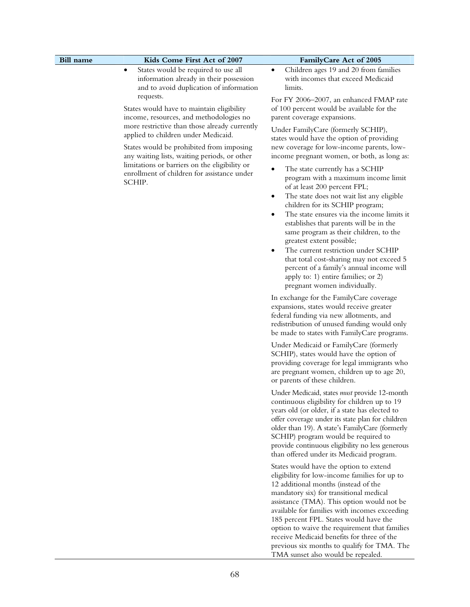| <b>Bill name</b> | Kids Come First Act of 2007                                                                                                                                                                                                                                                                                                                                                                                                                                                                                                               | FamilyCare Act of 2005                                                                                                                                                                                                                                                                                                                                                                                                                                                                                                                                                                                                                                                                                                                    |
|------------------|-------------------------------------------------------------------------------------------------------------------------------------------------------------------------------------------------------------------------------------------------------------------------------------------------------------------------------------------------------------------------------------------------------------------------------------------------------------------------------------------------------------------------------------------|-------------------------------------------------------------------------------------------------------------------------------------------------------------------------------------------------------------------------------------------------------------------------------------------------------------------------------------------------------------------------------------------------------------------------------------------------------------------------------------------------------------------------------------------------------------------------------------------------------------------------------------------------------------------------------------------------------------------------------------------|
|                  | States would be required to use all<br>$\bullet$<br>information already in their possession<br>and to avoid duplication of information<br>requests.<br>States would have to maintain eligibility<br>income, resources, and methodologies no<br>more restrictive than those already currently<br>applied to children under Medicaid.<br>States would be prohibited from imposing<br>any waiting lists, waiting periods, or other<br>limitations or barriers on the eligibility or<br>enrollment of children for assistance under<br>SCHIP. | Children ages 19 and 20 from families<br>$\bullet$<br>with incomes that exceed Medicaid<br>limits.<br>For FY 2006-2007, an enhanced FMAP rate<br>of 100 percent would be available for the<br>parent coverage expansions.<br>Under FamilyCare (formerly SCHIP),                                                                                                                                                                                                                                                                                                                                                                                                                                                                           |
|                  |                                                                                                                                                                                                                                                                                                                                                                                                                                                                                                                                           | states would have the option of providing<br>new coverage for low-income parents, low-<br>income pregnant women, or both, as long as:<br>The state currently has a SCHIP<br>$\bullet$<br>program with a maximum income limit<br>of at least 200 percent FPL;<br>The state does not wait list any eligible<br>٠<br>children for its SCHIP program;<br>The state ensures via the income limits it<br>٠<br>establishes that parents will be in the<br>same program as their children, to the<br>greatest extent possible;<br>The current restriction under SCHIP<br>$\bullet$<br>that total cost-sharing may not exceed 5<br>percent of a family's annual income will<br>apply to: 1) entire families; or 2)<br>pregnant women individually. |
|                  |                                                                                                                                                                                                                                                                                                                                                                                                                                                                                                                                           | In exchange for the FamilyCare coverage<br>expansions, states would receive greater<br>federal funding via new allotments, and<br>redistribution of unused funding would only<br>be made to states with FamilyCare programs.                                                                                                                                                                                                                                                                                                                                                                                                                                                                                                              |
|                  |                                                                                                                                                                                                                                                                                                                                                                                                                                                                                                                                           | Under Medicaid or FamilyCare (formerly<br>SCHIP), states would have the option of<br>providing coverage for legal immigrants who<br>are pregnant women, children up to age 20,<br>or parents of these children.                                                                                                                                                                                                                                                                                                                                                                                                                                                                                                                           |

Under Medicaid, states *must* provide 12-month continuous eligibility for children up to 19 years old (or older, if a state has elected to offer coverage under its state plan for children older than 19). A state's FamilyCare (formerly SCHIP) program would be required to provide continuous eligibility no less generous than offered under its Medicaid program.

States would have the option to extend eligibility for low-income families for up to 12 additional months (instead of the mandatory six) for transitional medical assistance (TMA). This option would not be available for families with incomes exceeding 185 percent FPL. States would have the option to waive the requirement that families receive Medicaid benefits for three of the previous six months to qualify for TMA. The TMA sunset also would be repealed.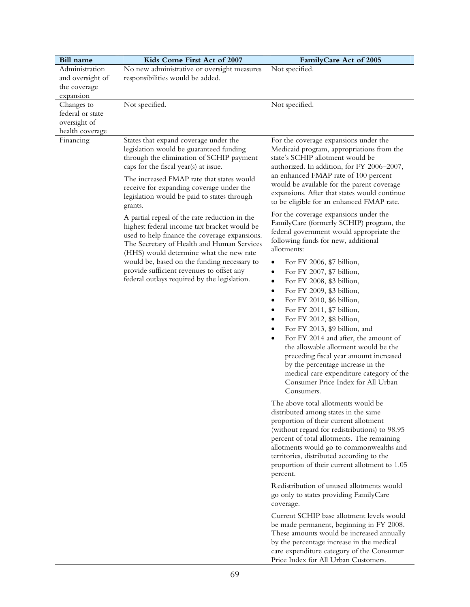| <b>Bill name</b>                                                  | Kids Come First Act of 2007                                                                                                                                                                                                                                                                                                                                               | FamilyCare Act of 2005                                                                                                                                                                                                                                                                                                                                                                                                                                                                                                                                                                                                                                          |
|-------------------------------------------------------------------|---------------------------------------------------------------------------------------------------------------------------------------------------------------------------------------------------------------------------------------------------------------------------------------------------------------------------------------------------------------------------|-----------------------------------------------------------------------------------------------------------------------------------------------------------------------------------------------------------------------------------------------------------------------------------------------------------------------------------------------------------------------------------------------------------------------------------------------------------------------------------------------------------------------------------------------------------------------------------------------------------------------------------------------------------------|
| Administration<br>and oversight of<br>the coverage<br>expansion   | No new administrative or oversight measures<br>responsibilities would be added.                                                                                                                                                                                                                                                                                           | Not specified.                                                                                                                                                                                                                                                                                                                                                                                                                                                                                                                                                                                                                                                  |
| Changes to<br>federal or state<br>oversight of<br>health coverage | Not specified.                                                                                                                                                                                                                                                                                                                                                            | Not specified.                                                                                                                                                                                                                                                                                                                                                                                                                                                                                                                                                                                                                                                  |
| Financing                                                         | States that expand coverage under the<br>legislation would be guaranteed funding<br>through the elimination of SCHIP payment<br>caps for the fiscal year(s) at issue.<br>The increased FMAP rate that states would<br>receive for expanding coverage under the<br>legislation would be paid to states through<br>grants.<br>A partial repeal of the rate reduction in the | For the coverage expansions under the<br>Medicaid program, appropriations from the<br>state's SCHIP allotment would be<br>authorized. In addition, for FY 2006-2007,<br>an enhanced FMAP rate of 100 percent<br>would be available for the parent coverage<br>expansions. After that states would continue<br>to be eligible for an enhanced FMAP rate.<br>For the coverage expansions under the<br>FamilyCare (formerly SCHIP) program, the                                                                                                                                                                                                                    |
|                                                                   | highest federal income tax bracket would be<br>used to help finance the coverage expansions.<br>The Secretary of Health and Human Services<br>(HHS) would determine what the new rate<br>would be, based on the funding necessary to<br>provide sufficient revenues to offset any<br>federal outlays required by the legislation.                                         | federal government would appropriate the<br>following funds for new, additional<br>allotments:<br>For FY 2006, \$7 billion,<br>$\bullet$<br>For FY 2007, \$7 billion,<br>٠<br>For FY 2008, \$3 billion,<br>٠<br>For FY 2009, \$3 billion,<br>٠<br>For FY 2010, $$6$ billion,<br>٠<br>For FY 2011, \$7 billion,<br>٠<br>For FY 2012, \$8 billion,<br>٠<br>For FY 2013, \$9 billion, and<br>٠<br>For FY 2014 and after, the amount of<br>٠<br>the allowable allotment would be the<br>preceding fiscal year amount increased<br>by the percentage increase in the<br>medical care expenditure category of the<br>Consumer Price Index for All Urban<br>Consumers. |
|                                                                   |                                                                                                                                                                                                                                                                                                                                                                           | The above total allotments would be<br>distributed among states in the same<br>proportion of their current allotment<br>(without regard for redistributions) to 98.95<br>percent of total allotments. The remaining<br>allotments would go to commonwealths and<br>territories, distributed according to the<br>proportion of their current allotment to 1.05<br>percent.                                                                                                                                                                                                                                                                                       |
|                                                                   |                                                                                                                                                                                                                                                                                                                                                                           | Redistribution of unused allotments would<br>go only to states providing FamilyCare<br>coverage.                                                                                                                                                                                                                                                                                                                                                                                                                                                                                                                                                                |
|                                                                   |                                                                                                                                                                                                                                                                                                                                                                           | Current SCHIP base allotment levels would<br>be made permanent, beginning in FY 2008.<br>These amounts would be increased annually<br>by the percentage increase in the medical<br>care expenditure category of the Consumer<br>Price Index for All Urban Customers.                                                                                                                                                                                                                                                                                                                                                                                            |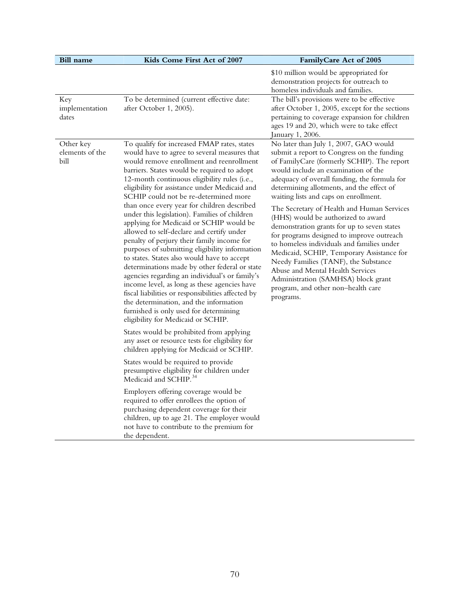| <b>Bill name</b>                     | Kids Come First Act of 2007                                                                                                                                                                                                                                                                                                                                                                                                                                                                                                                                                                                                                                                                                                                                                                                                                                                                                                                                                                                                                                                                                                                                                                                                                                                                                                                                                                                                                                                                                                  | FamilyCare Act of 2005                                                                                                                                                                                                                                                                                                                                                                                                                                                                                                                                                                                                                                                                                                                                          |
|--------------------------------------|------------------------------------------------------------------------------------------------------------------------------------------------------------------------------------------------------------------------------------------------------------------------------------------------------------------------------------------------------------------------------------------------------------------------------------------------------------------------------------------------------------------------------------------------------------------------------------------------------------------------------------------------------------------------------------------------------------------------------------------------------------------------------------------------------------------------------------------------------------------------------------------------------------------------------------------------------------------------------------------------------------------------------------------------------------------------------------------------------------------------------------------------------------------------------------------------------------------------------------------------------------------------------------------------------------------------------------------------------------------------------------------------------------------------------------------------------------------------------------------------------------------------------|-----------------------------------------------------------------------------------------------------------------------------------------------------------------------------------------------------------------------------------------------------------------------------------------------------------------------------------------------------------------------------------------------------------------------------------------------------------------------------------------------------------------------------------------------------------------------------------------------------------------------------------------------------------------------------------------------------------------------------------------------------------------|
|                                      |                                                                                                                                                                                                                                                                                                                                                                                                                                                                                                                                                                                                                                                                                                                                                                                                                                                                                                                                                                                                                                                                                                                                                                                                                                                                                                                                                                                                                                                                                                                              | \$10 million would be appropriated for<br>demonstration projects for outreach to<br>homeless individuals and families.                                                                                                                                                                                                                                                                                                                                                                                                                                                                                                                                                                                                                                          |
| Key<br>implementation<br>dates       | To be determined (current effective date:<br>after October 1, 2005).                                                                                                                                                                                                                                                                                                                                                                                                                                                                                                                                                                                                                                                                                                                                                                                                                                                                                                                                                                                                                                                                                                                                                                                                                                                                                                                                                                                                                                                         | The bill's provisions were to be effective<br>after October 1, 2005, except for the sections<br>pertaining to coverage expansion for children<br>ages 19 and 20, which were to take effect<br>January 1, 2006.                                                                                                                                                                                                                                                                                                                                                                                                                                                                                                                                                  |
| Other key<br>elements of the<br>bill | To qualify for increased FMAP rates, states<br>would have to agree to several measures that<br>would remove enrollment and reenrollment<br>barriers. States would be required to adopt<br>12-month continuous eligibility rules (i.e.,<br>eligibility for assistance under Medicaid and<br>SCHIP could not be re-determined more<br>than once every year for children described<br>under this legislation). Families of children<br>applying for Medicaid or SCHIP would be<br>allowed to self-declare and certify under<br>penalty of perjury their family income for<br>purposes of submitting eligibility information<br>to states. States also would have to accept<br>determinations made by other federal or state<br>agencies regarding an individual's or family's<br>income level, as long as these agencies have<br>fiscal liabilities or responsibilities affected by<br>the determination, and the information<br>furnished is only used for determining<br>eligibility for Medicaid or SCHIP.<br>States would be prohibited from applying<br>any asset or resource tests for eligibility for<br>children applying for Medicaid or SCHIP.<br>States would be required to provide<br>presumptive eligibility for children under<br>Medicaid and SCHIP. <sup>34</sup><br>Employers offering coverage would be<br>required to offer enrollees the option of<br>purchasing dependent coverage for their<br>children, up to age 21. The employer would<br>not have to contribute to the premium for<br>the dependent. | No later than July 1, 2007, GAO would<br>submit a report to Congress on the funding<br>of FamilyCare (formerly SCHIP). The report<br>would include an examination of the<br>adequacy of overall funding, the formula for<br>determining allotments, and the effect of<br>waiting lists and caps on enrollment.<br>The Secretary of Health and Human Services<br>(HHS) would be authorized to award<br>demonstration grants for up to seven states<br>for programs designed to improve outreach<br>to homeless individuals and families under<br>Medicaid, SCHIP, Temporary Assistance for<br>Needy Families (TANF), the Substance<br>Abuse and Mental Health Services<br>Administration (SAMHSA) block grant<br>program, and other non-health care<br>programs. |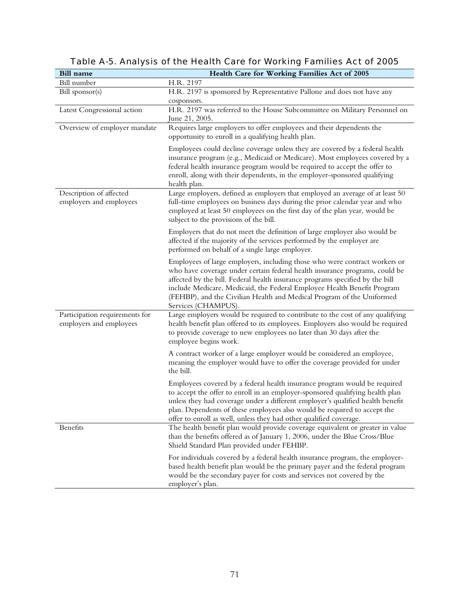| <b>Bill</b> name                                          | Health Care for Working Families Act of 2005                                                                                                                                                                                                                                                                                                                                                                          |  |
|-----------------------------------------------------------|-----------------------------------------------------------------------------------------------------------------------------------------------------------------------------------------------------------------------------------------------------------------------------------------------------------------------------------------------------------------------------------------------------------------------|--|
| Bill number                                               | H.R. 2197                                                                                                                                                                                                                                                                                                                                                                                                             |  |
| Bill sponsor(s)                                           | H.R. 2197 is sponsored by Representative Pallone and does not have any<br>cosponsors.                                                                                                                                                                                                                                                                                                                                 |  |
| Latest Congressional action                               | H.R. 2197 was referred to the House Subcommittee on Military Personnel on<br>June 21, 2005.                                                                                                                                                                                                                                                                                                                           |  |
| Overview of employer mandate                              | Requires large employers to offer employees and their dependents the<br>opportunity to enroll in a qualifying health plan.                                                                                                                                                                                                                                                                                            |  |
|                                                           | Employees could decline coverage unless they are covered by a federal health<br>insurance program (e.g., Medicaid or Medicare). Most employees covered by a<br>federal health insurance program would be required to accept the offer to<br>enroll, along with their dependents, in the employer-sponsored qualifying<br>health plan.                                                                                 |  |
| Description of affected<br>employers and employees        | Large employers, defined as employers that employed an average of at least 50<br>full-time employees on business days during the prior calendar year and who<br>employed at least 50 employees on the first day of the plan year, would be<br>subject to the provisions of the bill.                                                                                                                                  |  |
|                                                           | Employers that do not meet the definition of large employer also would be<br>affected if the majority of the services performed by the employer are<br>performed on behalf of a single large employer.                                                                                                                                                                                                                |  |
|                                                           | Employees of large employers, including those who were contract workers or<br>who have coverage under certain federal health insurance programs, could be<br>affected by the bill. Federal health insurance programs specified by the bill<br>include Medicare, Medicaid, the Federal Employee Health Benefit Program<br>(FEHBP), and the Civilian Health and Medical Program of the Uniformed<br>Services (CHAMPUS). |  |
| Participation requirements for<br>employers and employees | Large employers would be required to contribute to the cost of any qualifying<br>health benefit plan offered to its employees. Employers also would be required<br>to provide coverage to new employees no later than 30 days after the<br>employee begins work.                                                                                                                                                      |  |
|                                                           | A contract worker of a large employer would be considered an employee,<br>meaning the employer would have to offer the coverage provided for under<br>the bill.                                                                                                                                                                                                                                                       |  |
|                                                           | Employees covered by a federal health insurance program would be required<br>to accept the offer to enroll in an employer-sponsored qualifying health plan<br>unless they had coverage under a different employer's qualified health benefit<br>plan. Dependents of these employees also would be required to accept the<br>offer to enroll as well, unless they had other qualified coverage.                        |  |
| Benefits                                                  | The health benefit plan would provide coverage equivalent or greater in value<br>than the benefits offered as of January 1, 2006, under the Blue Cross/Blue<br>Shield Standard Plan provided under FEHBP.                                                                                                                                                                                                             |  |
|                                                           | For individuals covered by a federal health insurance program, the employer-<br>based health benefit plan would be the primary payer and the federal program<br>would be the secondary payer for costs and services not covered by the<br>employer's plan.                                                                                                                                                            |  |

Table A-5. Analysis of the Health Care for Working Families Act of 2005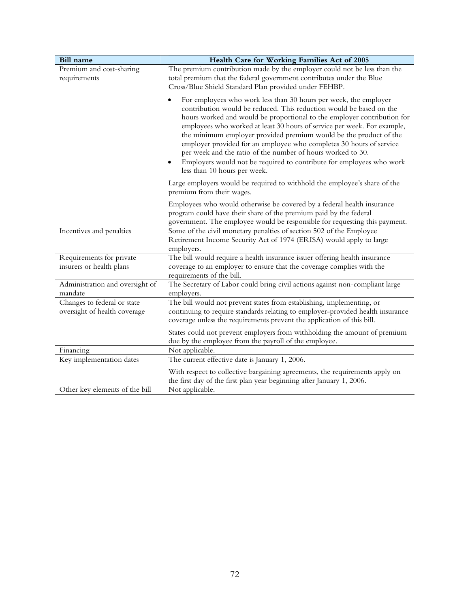| <b>Bill</b> name                                            | Health Care for Working Families Act of 2005                                                                                                                                                                                                                                                                                                                                                                                                                                                                                                                                                                           |
|-------------------------------------------------------------|------------------------------------------------------------------------------------------------------------------------------------------------------------------------------------------------------------------------------------------------------------------------------------------------------------------------------------------------------------------------------------------------------------------------------------------------------------------------------------------------------------------------------------------------------------------------------------------------------------------------|
| Premium and cost-sharing<br>requirements                    | The premium contribution made by the employer could not be less than the<br>total premium that the federal government contributes under the Blue<br>Cross/Blue Shield Standard Plan provided under FEHBP.                                                                                                                                                                                                                                                                                                                                                                                                              |
|                                                             | For employees who work less than 30 hours per week, the employer<br>contribution would be reduced. This reduction would be based on the<br>hours worked and would be proportional to the employer contribution for<br>employees who worked at least 30 hours of service per week. For example,<br>the minimum employer provided premium would be the product of the<br>employer provided for an employee who completes 30 hours of service<br>per week and the ratio of the number of hours worked to 30.<br>Employers would not be required to contribute for employees who work<br>٠<br>less than 10 hours per week. |
|                                                             | Large employers would be required to withhold the employee's share of the<br>premium from their wages.                                                                                                                                                                                                                                                                                                                                                                                                                                                                                                                 |
|                                                             | Employees who would otherwise be covered by a federal health insurance<br>program could have their share of the premium paid by the federal<br>government. The employee would be responsible for requesting this payment.                                                                                                                                                                                                                                                                                                                                                                                              |
| Incentives and penalties                                    | Some of the civil monetary penalties of section 502 of the Employee<br>Retirement Income Security Act of 1974 (ERISA) would apply to large<br>employers.                                                                                                                                                                                                                                                                                                                                                                                                                                                               |
| Requirements for private<br>insurers or health plans        | The bill would require a health insurance issuer offering health insurance<br>coverage to an employer to ensure that the coverage complies with the<br>requirements of the bill.                                                                                                                                                                                                                                                                                                                                                                                                                                       |
| Administration and oversight of<br>mandate                  | The Secretary of Labor could bring civil actions against non-compliant large<br>employers.                                                                                                                                                                                                                                                                                                                                                                                                                                                                                                                             |
| Changes to federal or state<br>oversight of health coverage | The bill would not prevent states from establishing, implementing, or<br>continuing to require standards relating to employer-provided health insurance<br>coverage unless the requirements prevent the application of this bill.                                                                                                                                                                                                                                                                                                                                                                                      |
|                                                             | States could not prevent employers from withholding the amount of premium<br>due by the employee from the payroll of the employee.                                                                                                                                                                                                                                                                                                                                                                                                                                                                                     |
| Financing                                                   | Not applicable.                                                                                                                                                                                                                                                                                                                                                                                                                                                                                                                                                                                                        |
| Key implementation dates                                    | The current effective date is January 1, 2006.                                                                                                                                                                                                                                                                                                                                                                                                                                                                                                                                                                         |
|                                                             | With respect to collective bargaining agreements, the requirements apply on<br>the first day of the first plan year beginning after January 1, 2006.                                                                                                                                                                                                                                                                                                                                                                                                                                                                   |
| Other key elements of the bill                              | Not applicable.                                                                                                                                                                                                                                                                                                                                                                                                                                                                                                                                                                                                        |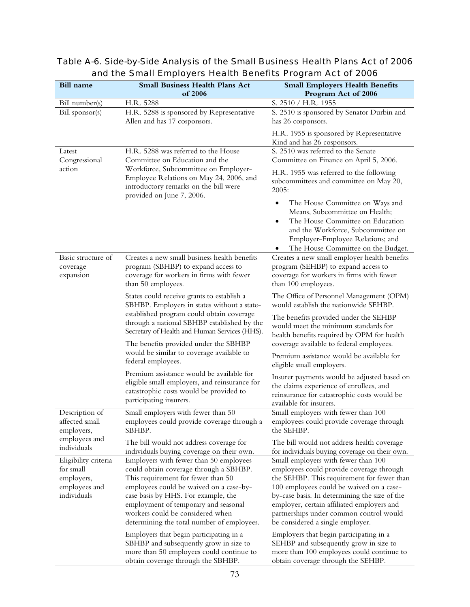| <b>Bill</b> name                                                                | and the binal Linployers Health Bellents Frogram Act of 2000<br><b>Small Business Health Plans Act</b>                                                                                                                                                                                                                             | <b>Small Employers Health Benefits</b>                                                                                                                                                                                                                                                                                                                  |
|---------------------------------------------------------------------------------|------------------------------------------------------------------------------------------------------------------------------------------------------------------------------------------------------------------------------------------------------------------------------------------------------------------------------------|---------------------------------------------------------------------------------------------------------------------------------------------------------------------------------------------------------------------------------------------------------------------------------------------------------------------------------------------------------|
|                                                                                 | of 2006                                                                                                                                                                                                                                                                                                                            | Program Act of 2006                                                                                                                                                                                                                                                                                                                                     |
| Bill number(s)<br>Bill sponsor(s)                                               | H.R. 5288<br>H.R. 5288 is sponsored by Representative<br>Allen and has 17 cosponsors.                                                                                                                                                                                                                                              | S. 2510 / H.R. 1955<br>S. 2510 is sponsored by Senator Durbin and<br>has 26 cosponsors.                                                                                                                                                                                                                                                                 |
|                                                                                 |                                                                                                                                                                                                                                                                                                                                    | H.R. 1955 is sponsored by Representative<br>Kind and has 26 cosponsors.                                                                                                                                                                                                                                                                                 |
| Latest<br>Congressional                                                         | H.R. 5288 was referred to the House<br>Committee on Education and the                                                                                                                                                                                                                                                              | S. 2510 was referred to the Senate<br>Committee on Finance on April 5, 2006.                                                                                                                                                                                                                                                                            |
| action                                                                          | Workforce, Subcommittee on Employer-<br>Employee Relations on May 24, 2006, and<br>introductory remarks on the bill were                                                                                                                                                                                                           | H.R. 1955 was referred to the following<br>subcommittees and committee on May 20,<br>2005:                                                                                                                                                                                                                                                              |
|                                                                                 | provided on June 7, 2006.                                                                                                                                                                                                                                                                                                          | The House Committee on Ways and<br>٠<br>Means, Subcommittee on Health;<br>The House Committee on Education<br>٠<br>and the Workforce, Subcommittee on<br>Employer-Employee Relations; and<br>The House Committee on the Budget.                                                                                                                         |
| Basic structure of<br>coverage<br>expansion                                     | Creates a new small business health benefits<br>program (SBHBP) to expand access to<br>coverage for workers in firms with fewer<br>than 50 employees.                                                                                                                                                                              | Creates a new small employer health benefits<br>program (SEHBP) to expand access to<br>coverage for workers in firms with fewer<br>than 100 employees.                                                                                                                                                                                                  |
|                                                                                 | States could receive grants to establish a<br>SBHBP. Employers in states without a state-<br>established program could obtain coverage                                                                                                                                                                                             | The Office of Personnel Management (OPM)<br>would establish the nationwide SEHBP.<br>The benefits provided under the SEHBP                                                                                                                                                                                                                              |
|                                                                                 | through a national SBHBP established by the<br>Secretary of Health and Human Services (HHS).                                                                                                                                                                                                                                       | would meet the minimum standards for<br>health benefits required by OPM for health<br>coverage available to federal employees.                                                                                                                                                                                                                          |
|                                                                                 | The benefits provided under the SBHBP<br>would be similar to coverage available to<br>federal employees.                                                                                                                                                                                                                           | Premium assistance would be available for<br>eligible small employers.                                                                                                                                                                                                                                                                                  |
|                                                                                 | Premium assistance would be available for<br>eligible small employers, and reinsurance for<br>catastrophic costs would be provided to<br>participating insurers.                                                                                                                                                                   | Insurer payments would be adjusted based on<br>the claims experience of enrollees, and<br>reinsurance for catastrophic costs would be<br>available for insurers.                                                                                                                                                                                        |
| Description of<br>affected small<br>employers,                                  | Small employers with fewer than 50<br>employees could provide coverage through a<br>SBHBP.                                                                                                                                                                                                                                         | Small employers with fewer than 100<br>employees could provide coverage through<br>the SEHBP.                                                                                                                                                                                                                                                           |
| employees and<br>individuals                                                    | The bill would not address coverage for<br>individuals buying coverage on their own.                                                                                                                                                                                                                                               | The bill would not address health coverage<br>for individuals buying coverage on their own.                                                                                                                                                                                                                                                             |
| Eligibility criteria<br>for small<br>employers,<br>employees and<br>individuals | Employers with fewer than 50 employees<br>could obtain coverage through a SBHBP.<br>This requirement for fewer than 50<br>employees could be waived on a case-by-<br>case basis by HHS. For example, the<br>employment of temporary and seasonal<br>workers could be considered when<br>determining the total number of employees. | Small employers with fewer than 100<br>employees could provide coverage through<br>the SEHBP. This requirement for fewer than<br>100 employees could be waived on a case-<br>by-case basis. In determining the size of the<br>employer, certain affiliated employers and<br>partnerships under common control would<br>be considered a single employer. |
|                                                                                 | Employers that begin participating in a<br>SBHBP and subsequently grow in size to<br>more than 50 employees could continue to<br>obtain coverage through the SBHBP.                                                                                                                                                                | Employers that begin participating in a<br>SEHBP and subsequently grow in size to<br>more than 100 employees could continue to<br>obtain coverage through the SEHBP.                                                                                                                                                                                    |

### Table A-6. Side-by-Side Analysis of the Small Business Health Plans Act of 2006 and the Small Employers Health Benefits Program Act of 2006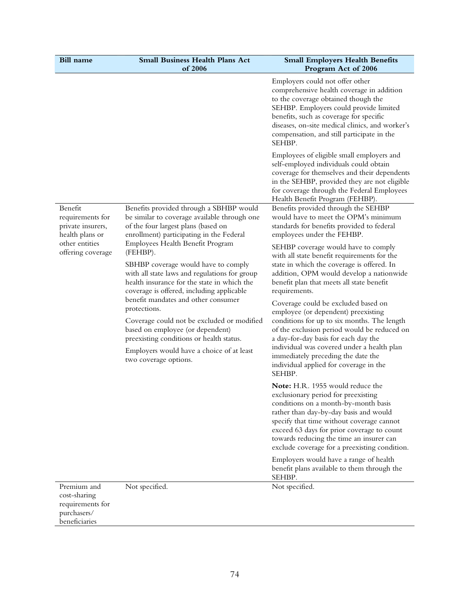| <b>Bill</b> name                                                                | <b>Small Business Health Plans Act</b><br>of 2006                                                                                                                                                                                                                                                                                                                                                                                                                  | <b>Small Employers Health Benefits</b><br>Program Act of 2006                                                                                                                                                                                                                                                                                            |
|---------------------------------------------------------------------------------|--------------------------------------------------------------------------------------------------------------------------------------------------------------------------------------------------------------------------------------------------------------------------------------------------------------------------------------------------------------------------------------------------------------------------------------------------------------------|----------------------------------------------------------------------------------------------------------------------------------------------------------------------------------------------------------------------------------------------------------------------------------------------------------------------------------------------------------|
|                                                                                 |                                                                                                                                                                                                                                                                                                                                                                                                                                                                    | Employers could not offer other<br>comprehensive health coverage in addition<br>to the coverage obtained though the<br>SEHBP. Employers could provide limited<br>benefits, such as coverage for specific<br>diseases, on-site medical clinics, and worker's<br>compensation, and still participate in the<br>SEHBP.                                      |
|                                                                                 |                                                                                                                                                                                                                                                                                                                                                                                                                                                                    | Employees of eligible small employers and<br>self-employed individuals could obtain<br>coverage for themselves and their dependents<br>in the SEHBP, provided they are not eligible<br>for coverage through the Federal Employees<br>Health Benefit Program (FEHBP).                                                                                     |
| Benefit<br>requirements for<br>private insurers,<br>health plans or             | Benefits provided through a SBHBP would<br>be similar to coverage available through one<br>of the four largest plans (based on<br>enrollment) participating in the Federal                                                                                                                                                                                                                                                                                         | Benefits provided through the SEHBP<br>would have to meet the OPM's minimum<br>standards for benefits provided to federal<br>employees under the FEHBP.                                                                                                                                                                                                  |
| other entities<br>offering coverage                                             | Employees Health Benefit Program<br>(FEHBP).<br>SBHBP coverage would have to comply<br>with all state laws and regulations for group<br>health insurance for the state in which the<br>coverage is offered, including applicable<br>benefit mandates and other consumer<br>protections.<br>Coverage could not be excluded or modified<br>based on employee (or dependent)<br>preexisting conditions or health status.<br>Employers would have a choice of at least | SEHBP coverage would have to comply<br>with all state benefit requirements for the<br>state in which the coverage is offered. In<br>addition, OPM would develop a nationwide<br>benefit plan that meets all state benefit<br>requirements.                                                                                                               |
|                                                                                 |                                                                                                                                                                                                                                                                                                                                                                                                                                                                    | Coverage could be excluded based on<br>employee (or dependent) preexisting<br>conditions for up to six months. The length<br>of the exclusion period would be reduced on<br>a day-for-day basis for each day the<br>individual was covered under a health plan<br>immediately preceding the date the                                                     |
|                                                                                 | two coverage options.                                                                                                                                                                                                                                                                                                                                                                                                                                              | individual applied for coverage in the<br>SEHBP.                                                                                                                                                                                                                                                                                                         |
|                                                                                 |                                                                                                                                                                                                                                                                                                                                                                                                                                                                    | <b>Note:</b> H.R. 1955 would reduce the<br>exclusionary period for preexisting<br>conditions on a month-by-month basis<br>rather than day-by-day basis and would<br>specify that time without coverage cannot<br>exceed 63 days for prior coverage to count<br>towards reducing the time an insurer can<br>exclude coverage for a preexisting condition. |
|                                                                                 |                                                                                                                                                                                                                                                                                                                                                                                                                                                                    | Employers would have a range of health<br>benefit plans available to them through the<br>SEHBP.                                                                                                                                                                                                                                                          |
| Premium and<br>cost-sharing<br>requirements for<br>purchasers/<br>beneficiaries | Not specified.                                                                                                                                                                                                                                                                                                                                                                                                                                                     | Not specified.                                                                                                                                                                                                                                                                                                                                           |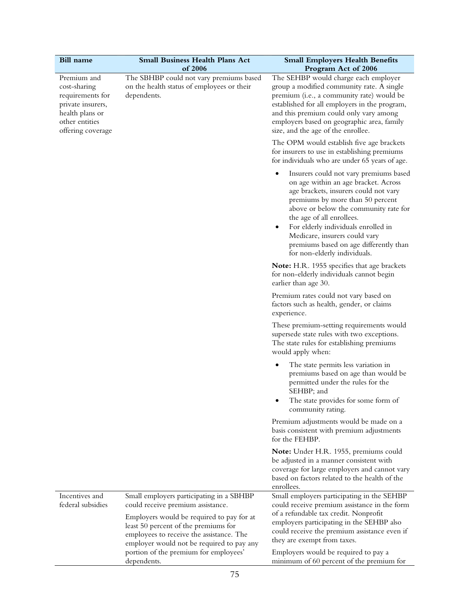| <b>Bill</b> name                                                                                                               | <b>Small Business Health Plans Act</b>                                                                                                                                                                                                                                                               | <b>Small Employers Health Benefits</b>                                                                                                                                                                                                                                                                                                                                                   |
|--------------------------------------------------------------------------------------------------------------------------------|------------------------------------------------------------------------------------------------------------------------------------------------------------------------------------------------------------------------------------------------------------------------------------------------------|------------------------------------------------------------------------------------------------------------------------------------------------------------------------------------------------------------------------------------------------------------------------------------------------------------------------------------------------------------------------------------------|
|                                                                                                                                | of 2006                                                                                                                                                                                                                                                                                              | Program Act of 2006                                                                                                                                                                                                                                                                                                                                                                      |
| Premium and<br>cost-sharing<br>requirements for<br>private insurers,<br>health plans or<br>other entities<br>offering coverage | The SBHBP could not vary premiums based<br>on the health status of employees or their<br>dependents.                                                                                                                                                                                                 | The SEHBP would charge each employer<br>group a modified community rate. A single<br>premium (i.e., a community rate) would be<br>established for all employers in the program,<br>and this premium could only vary among<br>employers based on geographic area, family<br>size, and the age of the enrollee.                                                                            |
|                                                                                                                                |                                                                                                                                                                                                                                                                                                      | The OPM would establish five age brackets<br>for insurers to use in establishing premiums<br>for individuals who are under 65 years of age.                                                                                                                                                                                                                                              |
|                                                                                                                                |                                                                                                                                                                                                                                                                                                      | Insurers could not vary premiums based<br>on age within an age bracket. Across<br>age brackets, insurers could not vary<br>premiums by more than 50 percent<br>above or below the community rate for<br>the age of all enrollees.<br>For elderly individuals enrolled in<br>٠<br>Medicare, insurers could vary<br>premiums based on age differently than<br>for non-elderly individuals. |
|                                                                                                                                |                                                                                                                                                                                                                                                                                                      | Note: H.R. 1955 specifies that age brackets<br>for non-elderly individuals cannot begin<br>earlier than age 30.                                                                                                                                                                                                                                                                          |
|                                                                                                                                |                                                                                                                                                                                                                                                                                                      | Premium rates could not vary based on<br>factors such as health, gender, or claims<br>experience.                                                                                                                                                                                                                                                                                        |
|                                                                                                                                |                                                                                                                                                                                                                                                                                                      | These premium-setting requirements would<br>supersede state rules with two exceptions.<br>The state rules for establishing premiums<br>would apply when:                                                                                                                                                                                                                                 |
|                                                                                                                                |                                                                                                                                                                                                                                                                                                      | The state permits less variation in<br>٠<br>premiums based on age than would be<br>permitted under the rules for the<br>SEHBP; and<br>The state provides for some form of<br>community rating.                                                                                                                                                                                           |
|                                                                                                                                |                                                                                                                                                                                                                                                                                                      | Premium adjustments would be made on a<br>basis consistent with premium adjustments<br>for the FEHBP.                                                                                                                                                                                                                                                                                    |
|                                                                                                                                |                                                                                                                                                                                                                                                                                                      | Note: Under H.R. 1955, premiums could<br>be adjusted in a manner consistent with<br>coverage for large employers and cannot vary<br>based on factors related to the health of the<br>enrollees.                                                                                                                                                                                          |
| Incentives and<br>federal subsidies                                                                                            | Small employers participating in a SBHBP<br>could receive premium assistance.<br>Employers would be required to pay for at<br>least 50 percent of the premiums for<br>employees to receive the assistance. The<br>employer would not be required to pay any<br>portion of the premium for employees' | Small employers participating in the SEHBP<br>could receive premium assistance in the form<br>of a refundable tax credit. Nonprofit<br>employers participating in the SEHBP also<br>could receive the premium assistance even if<br>they are exempt from taxes.<br>Employers would be required to pay a                                                                                  |
|                                                                                                                                | dependents.                                                                                                                                                                                                                                                                                          | minimum of 60 percent of the premium for                                                                                                                                                                                                                                                                                                                                                 |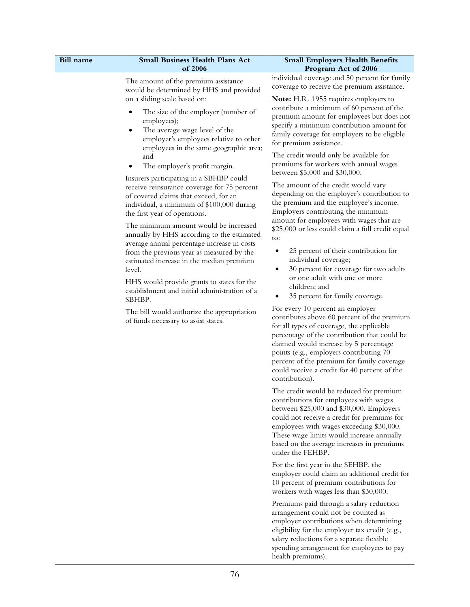| <b>Bill</b> name | <b>Small Business Health Plans Act</b><br>of 2006                                                                                                                                                                                                                                                                                                                                                                                            | <b>Small Employers Health Benefits</b><br>Program Act of 2006                                                                                                                                                                                                                                                                                                                     |
|------------------|----------------------------------------------------------------------------------------------------------------------------------------------------------------------------------------------------------------------------------------------------------------------------------------------------------------------------------------------------------------------------------------------------------------------------------------------|-----------------------------------------------------------------------------------------------------------------------------------------------------------------------------------------------------------------------------------------------------------------------------------------------------------------------------------------------------------------------------------|
|                  | The amount of the premium assistance<br>would be determined by HHS and provided                                                                                                                                                                                                                                                                                                                                                              | individual coverage and 50 percent for family<br>coverage to receive the premium assistance.                                                                                                                                                                                                                                                                                      |
|                  | on a sliding scale based on:<br>The size of the employer (number of<br>$\bullet$<br>employees);<br>The average wage level of the<br>٠<br>employer's employees relative to other<br>employees in the same geographic area;<br>and<br>The employer's profit margin.<br>$\bullet$                                                                                                                                                               | Note: H.R. 1955 requires employers to<br>contribute a minimum of 60 percent of the<br>premium amount for employees but does not<br>specify a minimum contribution amount for<br>family coverage for employers to be eligible<br>for premium assistance.<br>The credit would only be available for<br>premiums for workers with annual wages<br>between \$5,000 and \$30,000.      |
|                  | Insurers participating in a SBHBP could<br>receive reinsurance coverage for 75 percent<br>of covered claims that exceed, for an<br>individual, a minimum of \$100,000 during<br>the first year of operations.<br>The minimum amount would be increased<br>annually by HHS according to the estimated<br>average annual percentage increase in costs<br>from the previous year as measured by the<br>estimated increase in the median premium | The amount of the credit would vary<br>depending on the employer's contribution to<br>the premium and the employee's income.<br>Employers contributing the minimum<br>amount for employees with wages that are<br>\$25,000 or less could claim a full credit equal<br>to:<br>25 percent of their contribution for<br>٠<br>individual coverage;                                    |
|                  | level.<br>HHS would provide grants to states for the<br>establishment and initial administration of a<br>SBHBP.                                                                                                                                                                                                                                                                                                                              | 30 percent for coverage for two adults<br>٠<br>or one adult with one or more<br>children; and<br>35 percent for family coverage.<br>٠                                                                                                                                                                                                                                             |
|                  | The bill would authorize the appropriation<br>of funds necessary to assist states.                                                                                                                                                                                                                                                                                                                                                           | For every 10 percent an employer<br>contributes above 60 percent of the premium<br>for all types of coverage, the applicable<br>percentage of the contribution that could be<br>claimed would increase by 5 percentage<br>points (e.g., employers contributing 70<br>percent of the premium for family coverage<br>could receive a credit for 40 percent of the<br>contribution). |
|                  |                                                                                                                                                                                                                                                                                                                                                                                                                                              | The credit would be reduced for premium<br>contributions for employees with wages<br>between \$25,000 and \$30,000. Employers<br>could not receive a credit for premiums for<br>employees with wages exceeding \$30,000.<br>These wage limits would increase annually<br>based on the average increases in premiums<br>under the FEHBP.                                           |
|                  |                                                                                                                                                                                                                                                                                                                                                                                                                                              | For the first year in the SEHBP, the<br>employer could claim an additional credit for<br>10 percent of premium contributions for                                                                                                                                                                                                                                                  |

Premiums paid through a salary reduction arrangement could not be counted as employer contributions when determining eligibility for the employer tax credit (e.g., salary reductions for a separate flexible spending arrangement for employees to pay health premiums).

workers with wages less than \$30,000.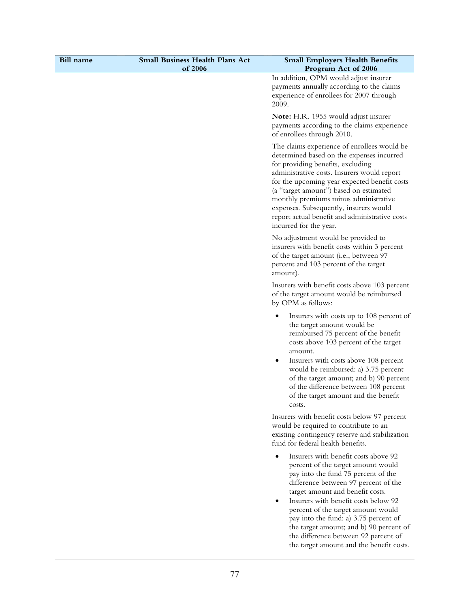| <b>Bill</b> name | <b>Small Business Health Plans Act</b><br>of 2006 | <b>Small Employers Health Benefits</b><br>Program Act of 2006                                                                                                                                                                                                                                                                                                                                                                         |
|------------------|---------------------------------------------------|---------------------------------------------------------------------------------------------------------------------------------------------------------------------------------------------------------------------------------------------------------------------------------------------------------------------------------------------------------------------------------------------------------------------------------------|
|                  |                                                   | In addition, OPM would adjust insurer<br>payments annually according to the claims<br>experience of enrollees for 2007 through<br>2009.                                                                                                                                                                                                                                                                                               |
|                  |                                                   | <b>Note:</b> H.R. 1955 would adjust insurer<br>payments according to the claims experience<br>of enrollees through 2010.                                                                                                                                                                                                                                                                                                              |
|                  |                                                   | The claims experience of enrollees would be<br>determined based on the expenses incurred<br>for providing benefits, excluding<br>administrative costs. Insurers would report<br>for the upcoming year expected benefit costs<br>(a "target amount") based on estimated<br>monthly premiums minus administrative<br>expenses. Subsequently, insurers would<br>report actual benefit and administrative costs<br>incurred for the year. |
|                  |                                                   | No adjustment would be provided to<br>insurers with benefit costs within 3 percent<br>of the target amount (i.e., between 97<br>percent and 103 percent of the target<br>amount).                                                                                                                                                                                                                                                     |
|                  |                                                   | Insurers with benefit costs above 103 percent<br>of the target amount would be reimbursed<br>by OPM as follows:                                                                                                                                                                                                                                                                                                                       |
|                  |                                                   | Insurers with costs up to 108 percent of<br>the target amount would be<br>reimbursed 75 percent of the benefit<br>costs above 103 percent of the target<br>amount.<br>Insurers with costs above 108 percent<br>٠<br>would be reimbursed: a) 3.75 percent<br>of the target amount; and b) 90 percent<br>of the difference between 108 percent<br>of the target amount and the benefit<br>costs.                                        |
|                  |                                                   | Insurers with benefit costs below 97 percent<br>would be required to contribute to an<br>existing contingency reserve and stabilization<br>fund for federal health benefits.                                                                                                                                                                                                                                                          |
|                  |                                                   | Insurers with benefit costs above 92<br>percent of the target amount would<br>pay into the fund 75 percent of the<br>difference between 97 percent of the<br>target amount and benefit costs.<br>Insurers with benefit costs below 92<br>٠<br>percent of the target amount would<br>pay into the fund: a) 3.75 percent of<br>the target amount; and b) 90 percent of<br>the difference between 92 percent of                          |

the target amount and the benefit costs.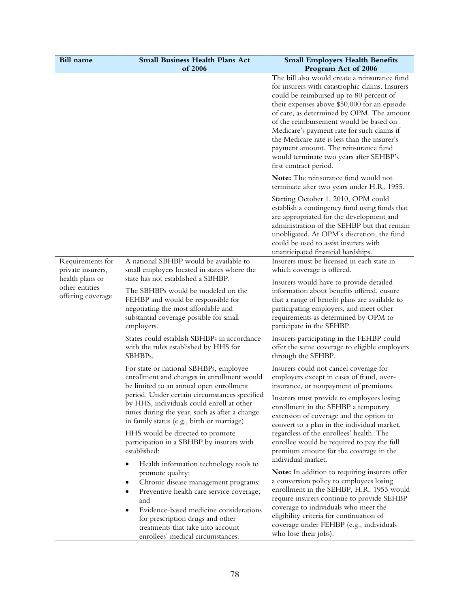| <b>Bill</b> name                                       | <b>Small Business Health Plans Act</b><br>of 2006                                                                                                                                                                                                                                                                                    | <b>Small Employers Health Benefits</b><br>Program Act of 2006                                                                                                                                                                                                                                                                                                                                                                                                                                        |
|--------------------------------------------------------|--------------------------------------------------------------------------------------------------------------------------------------------------------------------------------------------------------------------------------------------------------------------------------------------------------------------------------------|------------------------------------------------------------------------------------------------------------------------------------------------------------------------------------------------------------------------------------------------------------------------------------------------------------------------------------------------------------------------------------------------------------------------------------------------------------------------------------------------------|
|                                                        |                                                                                                                                                                                                                                                                                                                                      | The bill also would create a reinsurance fund<br>for insurers with catastrophic claims. Insurers<br>could be reimbursed up to 80 percent of<br>their expenses above \$50,000 for an episode<br>of care, as determined by OPM. The amount<br>of the reimbursement would be based on<br>Medicare's payment rate for such claims if<br>the Medicare rate is less than the insurer's<br>payment amount. The reinsurance fund<br>would terminate two years after SEHBP's<br>first contract period.        |
|                                                        |                                                                                                                                                                                                                                                                                                                                      | Note: The reinsurance fund would not<br>terminate after two years under H.R. 1955.                                                                                                                                                                                                                                                                                                                                                                                                                   |
|                                                        |                                                                                                                                                                                                                                                                                                                                      | Starting October 1, 2010, OPM could<br>establish a contingency fund using funds that<br>are appropriated for the development and<br>administration of the SEHBP but that remain<br>unobligated. At OPM's discretion, the fund<br>could be used to assist insurers with<br>unanticipated financial hardships.                                                                                                                                                                                         |
| Requirements for<br>private insurers,                  | A national SBHBP would be available to<br>small employers located in states where the                                                                                                                                                                                                                                                | Insurers must be licensed in each state in<br>which coverage is offered.                                                                                                                                                                                                                                                                                                                                                                                                                             |
| health plans or<br>other entities<br>offering coverage | state has not established a SBHBP.<br>The SBHBPs would be modeled on the<br>FEHBP and would be responsible for<br>negotiating the most affordable and<br>substantial coverage possible for small<br>employers.                                                                                                                       | Insurers would have to provide detailed<br>information about benefits offered, ensure<br>that a range of benefit plans are available to<br>participating employers, and meet other<br>requirements as determined by OPM to<br>participate in the SEHBP.                                                                                                                                                                                                                                              |
|                                                        | States could establish SBHBPs in accordance<br>with the rules established by HHS for<br>SBHBPs.                                                                                                                                                                                                                                      | Insurers participating in the FEHBP could<br>offer the same coverage to eligible employers<br>through the SEHBP.                                                                                                                                                                                                                                                                                                                                                                                     |
|                                                        | For state or national SBHBPs, employee<br>enrollment and changes in enrollment would<br>be limited to an annual open enrollment<br>period. Under certain circumstances specified<br>by HHS, individuals could enroll at other<br>times during the year, such as after a change<br>in family status (e.g., birth or marriage).        | Insurers could not cancel coverage for<br>employers except in cases of fraud, over-<br>insurance, or nonpayment of premiums.                                                                                                                                                                                                                                                                                                                                                                         |
|                                                        |                                                                                                                                                                                                                                                                                                                                      | Insurers must provide to employees losing<br>enrollment in the SEHBP a temporary<br>extension of coverage and the option to<br>convert to a plan in the individual market,                                                                                                                                                                                                                                                                                                                           |
|                                                        | HHS would be directed to promote<br>participation in a SBHBP by insurers with<br>established:                                                                                                                                                                                                                                        | regardless of the enrollees' health. The<br>enrollee would be required to pay the full<br>premium amount for the coverage in the<br>individual market.<br>Note: In addition to requiring insurers offer<br>a conversion policy to employees losing<br>enrollment in the SEHBP, H.R. 1955 would<br>require insurers continue to provide SEHBP<br>coverage to individuals who meet the<br>eligibility criteria for continuation of<br>coverage under FEHBP (e.g., individuals<br>who lose their jobs). |
|                                                        | Health information technology tools to<br>٠<br>promote quality;<br>Chronic disease management programs;<br>٠<br>Preventive health care service coverage;<br>and<br>Evidence-based medicine considerations<br>$\bullet$<br>for prescription drugs and other<br>treatments that take into account<br>enrollees' medical circumstances. |                                                                                                                                                                                                                                                                                                                                                                                                                                                                                                      |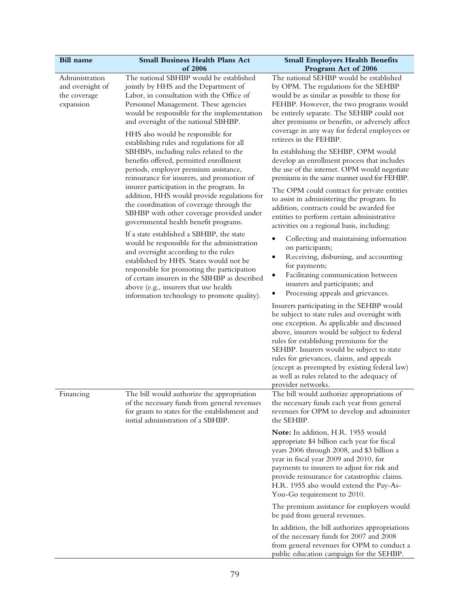| <b>Bill name</b>                                                | <b>Small Business Health Plans Act</b>                                                                                                                                                                                                                                                                                                                                                                                                                                                                                                                                                                                                                                                                                                                                                                                                                                                                                                                                                                                                                                                                                       | <b>Small Employers Health Benefits</b>                                                                                                                                                                                                                                                                                                                                                                                                                                                                                                                                                                                                                                                                                                                                                                                                                                                                                                                                                                                                                 |
|-----------------------------------------------------------------|------------------------------------------------------------------------------------------------------------------------------------------------------------------------------------------------------------------------------------------------------------------------------------------------------------------------------------------------------------------------------------------------------------------------------------------------------------------------------------------------------------------------------------------------------------------------------------------------------------------------------------------------------------------------------------------------------------------------------------------------------------------------------------------------------------------------------------------------------------------------------------------------------------------------------------------------------------------------------------------------------------------------------------------------------------------------------------------------------------------------------|--------------------------------------------------------------------------------------------------------------------------------------------------------------------------------------------------------------------------------------------------------------------------------------------------------------------------------------------------------------------------------------------------------------------------------------------------------------------------------------------------------------------------------------------------------------------------------------------------------------------------------------------------------------------------------------------------------------------------------------------------------------------------------------------------------------------------------------------------------------------------------------------------------------------------------------------------------------------------------------------------------------------------------------------------------|
|                                                                 | of 2006                                                                                                                                                                                                                                                                                                                                                                                                                                                                                                                                                                                                                                                                                                                                                                                                                                                                                                                                                                                                                                                                                                                      |                                                                                                                                                                                                                                                                                                                                                                                                                                                                                                                                                                                                                                                                                                                                                                                                                                                                                                                                                                                                                                                        |
| Administration<br>and oversight of<br>the coverage<br>expansion | The national SBHBP would be established<br>jointly by HHS and the Department of<br>Labor, in consultation with the Office of<br>Personnel Management. These agencies<br>would be responsible for the implementation<br>and oversight of the national SBHBP.<br>HHS also would be responsible for<br>establishing rules and regulations for all<br>SBHBPs, including rules related to the<br>benefits offered, permitted enrollment<br>periods, employer premium assistance,<br>reinsurance for insurers, and promotion of<br>insurer participation in the program. In<br>addition, HHS would provide regulations for<br>the coordination of coverage through the<br>SBHBP with other coverage provided under<br>governmental health benefit programs.<br>If a state established a SBHBP, the state<br>would be responsible for the administration<br>and oversight according to the rules<br>established by HHS. States would not be<br>responsible for promoting the participation<br>of certain insurers in the SBHBP as described<br>above (e.g., insurers that use health<br>information technology to promote quality). | Program Act of 2006<br>The national SEHBP would be established<br>by OPM. The regulations for the SEHBP<br>would be as similar as possible to those for<br>FEHBP. However, the two programs would<br>be entirely separate. The SEHBP could not<br>alter premiums or benefits, or adversely affect<br>coverage in any way for federal employees or<br>retirees in the FEHBP.<br>In establishing the SEHBP, OPM would<br>develop an enrollment process that includes<br>the use of the internet. OPM would negotiate<br>premiums in the same manner used for FEHBP.<br>The OPM could contract for private entities<br>to assist in administering the program. In<br>addition, contracts could be awarded for<br>entities to perform certain administrative<br>activities on a regional basis, including:<br>Collecting and maintaining information<br>٠<br>on participants;<br>Receiving, disbursing, and accounting<br>for payments;<br>Facilitating communication between<br>٠<br>insurers and participants; and<br>Processing appeals and grievances. |
|                                                                 |                                                                                                                                                                                                                                                                                                                                                                                                                                                                                                                                                                                                                                                                                                                                                                                                                                                                                                                                                                                                                                                                                                                              | Insurers participating in the SEHBP would<br>be subject to state rules and oversight with<br>one exception. As applicable and discussed<br>above, insurers would be subject to federal<br>rules for establishing premiums for the<br>SEHBP. Insurers would be subject to state<br>rules for grievances, claims, and appeals<br>(except as preempted by existing federal law)<br>as well as rules related to the adequacy of<br>provider networks.                                                                                                                                                                                                                                                                                                                                                                                                                                                                                                                                                                                                      |
| Financing                                                       | The bill would authorize the appropriation<br>of the necessary funds from general revenues<br>for grants to states for the establishment and<br>initial administration of a SBHBP.                                                                                                                                                                                                                                                                                                                                                                                                                                                                                                                                                                                                                                                                                                                                                                                                                                                                                                                                           | The bill would authorize appropriations of<br>the necessary funds each year from general<br>revenues for OPM to develop and administer<br>the SEHBP.                                                                                                                                                                                                                                                                                                                                                                                                                                                                                                                                                                                                                                                                                                                                                                                                                                                                                                   |
|                                                                 |                                                                                                                                                                                                                                                                                                                                                                                                                                                                                                                                                                                                                                                                                                                                                                                                                                                                                                                                                                                                                                                                                                                              | Note: In addition, H.R. 1955 would<br>appropriate \$4 billion each year for fiscal<br>years 2006 through 2008, and \$3 billion a<br>year in fiscal year 2009 and 2010, for<br>payments to insurers to adjust for risk and<br>provide reinsurance for catastrophic claims.<br>H.R. 1955 also would extend the Pay-As-<br>You-Go requirement to 2010.                                                                                                                                                                                                                                                                                                                                                                                                                                                                                                                                                                                                                                                                                                    |
|                                                                 |                                                                                                                                                                                                                                                                                                                                                                                                                                                                                                                                                                                                                                                                                                                                                                                                                                                                                                                                                                                                                                                                                                                              | The premium assistance for employers would<br>be paid from general revenues.                                                                                                                                                                                                                                                                                                                                                                                                                                                                                                                                                                                                                                                                                                                                                                                                                                                                                                                                                                           |
|                                                                 |                                                                                                                                                                                                                                                                                                                                                                                                                                                                                                                                                                                                                                                                                                                                                                                                                                                                                                                                                                                                                                                                                                                              | In addition, the bill authorizes appropriations<br>of the necessary funds for 2007 and 2008<br>from general revenues for OPM to conduct a<br>public education campaign for the SEHBP.                                                                                                                                                                                                                                                                                                                                                                                                                                                                                                                                                                                                                                                                                                                                                                                                                                                                  |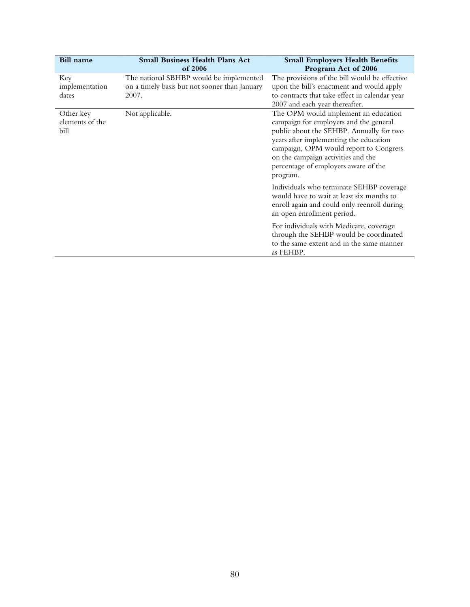| <b>Bill name</b>                     | <b>Small Business Health Plans Act</b>                                                            | <b>Small Employers Health Benefits</b>                                                                                                                                                                                                                                                                   |
|--------------------------------------|---------------------------------------------------------------------------------------------------|----------------------------------------------------------------------------------------------------------------------------------------------------------------------------------------------------------------------------------------------------------------------------------------------------------|
|                                      | of 2006                                                                                           | Program Act of 2006                                                                                                                                                                                                                                                                                      |
| Key<br>implementation<br>dates       | The national SBHBP would be implemented<br>on a timely basis but not sooner than January<br>2007. | The provisions of the bill would be effective<br>upon the bill's enactment and would apply<br>to contracts that take effect in calendar year<br>2007 and each year thereafter.                                                                                                                           |
| Other key<br>elements of the<br>bill | Not applicable.                                                                                   | The OPM would implement an education<br>campaign for employers and the general<br>public about the SEHBP. Annually for two<br>years after implementing the education<br>campaign, OPM would report to Congress<br>on the campaign activities and the<br>percentage of employers aware of the<br>program. |
|                                      |                                                                                                   | Individuals who terminate SEHBP coverage<br>would have to wait at least six months to<br>enroll again and could only reenroll during<br>an open enrollment period.                                                                                                                                       |
|                                      |                                                                                                   | For individuals with Medicare, coverage<br>through the SEHBP would be coordinated<br>to the same extent and in the same manner<br>as FEHBP.                                                                                                                                                              |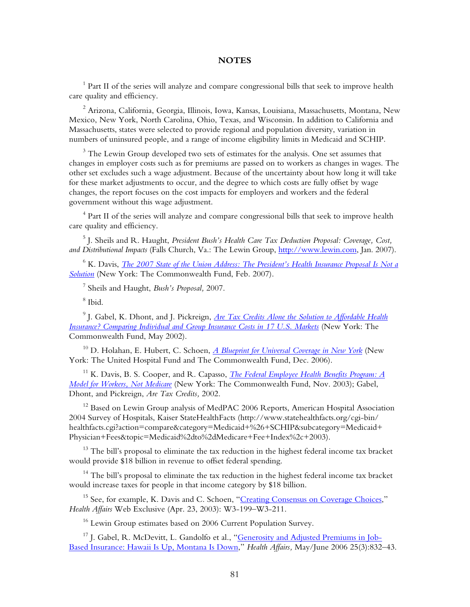#### **NOTES**

 $^{\rm 1}$  Part II of the series will analyze and compare congressional bills that seek to improve health care quality and efficiency.

 $^2$  Arizona, California, Georgia, Illinois, Iowa, Kansas, Louisiana, Massachusetts, Montana, New Mexico, New York, North Carolina, Ohio, Texas, and Wisconsin. In addition to California and Massachusetts, states were selected to provide regional and population diversity, variation in numbers of uninsured people, and a range of income eligibility limits in Medicaid and SCHIP.

 $^3$  The Lewin Group developed two sets of estimates for the analysis. One set assumes that changes in employer costs such as for premiums are passed on to workers as changes in wages. The other set excludes such a wage adjustment. Because of the uncertainty about how long it will take for these market adjustments to occur, and the degree to which costs are fully offset by wage changes, the report focuses on the cost impacts for employers and workers and the federal government without this wage adjustment.

<sup>4</sup> Part II of the series will analyze and compare congressional bills that seek to improve health care quality and efficiency.

5 J. Sheils and R. Haught, *President Bush's Health Care Tax Deduction Proposal: Coverage, Cost, and Distributional Impacts* (Falls Church, Va.: The Lewin Group, [http://www.lewin.com,](http://www.lewin.com/) Jan. 2007).

<sup>6</sup> K. Davis, *<u>The 2007 State of the Union Address: The President's Health Insurance Proposal Is Not a</u> [Solution](http://www.cmwf.org/aboutus/aboutus_show.htm?doc_id=448217)* (New York: The Commonwealth Fund, Feb. 2007).

7 Sheils and Haught, *Bush's Proposal,* 2007.

 $^8$  Ibid.

9 J. Gabel, K. Dhont, and J. Pickreign, *[Are Tax Credits Alone the Solution to Affordable Health](http://www.cmwf.org/publications/publications_show.htm?doc_id=221266)  [Insurance? Comparing Individual and Group Insurance Costs in 17 U.S. Markets](http://www.cmwf.org/publications/publications_show.htm?doc_id=221266)* (New York: The Commonwealth Fund, May 2002).

10 D. Holahan, E. Hubert, C. Schoen, *[A Blueprint for Universal Coverage in New York](http://www.cmwf.org/publications/publications_show.htm?doc_id=434705)* (New York: The United Hospital Fund and The Commonwealth Fund, Dec. 2006).

<sup>11</sup> K. Davis, B. S. Cooper, and R. Capasso, *The Federal Employee Health Benefits Program: A [Model for Workers, Not Medicare](http://www.cmwf.org/publications/publications_show.htm?doc_id=221449)* (New York: The Commonwealth Fund, Nov. 2003); Gabel, Dhont, and Pickreign, *Are Tax Credits,* 2002.

 $12$  Based on Lewin Group analysis of MedPAC 2006 Reports, American Hospital Association 2004 Survey of Hospitals, Kaiser StateHealthFacts (http://www.statehealthfacts.org/cgi-bin/ healthfacts.cgi?action=compare&category=Medicaid+%26+SCHIP&subcategory=Medicaid+ Physician+Fees&topic=Medicaid%2dto%2dMedicare+Fee+Index%2c+2003).

 $13$  The bill's proposal to eliminate the tax reduction in the highest federal income tax bracket would provide \$18 billion in revenue to offset federal spending.

 $14$  The bill's proposal to eliminate the tax reduction in the highest federal income tax bracket would increase taxes for people in that income category by \$18 billion.

<sup>15</sup> See, for example, K. Davis and C. Schoen, ["Creating Consensus on Coverage Choices](http://www.cmwf.org/publications/publications_show.htm?doc_id=221494)," *Health Affairs* Web Exclusive (Apr. 23, 2003): W3-199–W3-211.

 $16$  Lewin Group estimates based on 2006 Current Population Survey.

 $17$  J. Gabel, R. McDevitt, L. Gandolfo et al., "[Generosity and Adjusted Premiums in Job-](http://www.cmwf.org/publications/publications_show.htm?doc_id=371983)[Based Insurance: Hawaii Is Up, Montana Is Down](http://www.cmwf.org/publications/publications_show.htm?doc_id=371983)," *Health Affairs,* May/June 2006 25(3):832–43.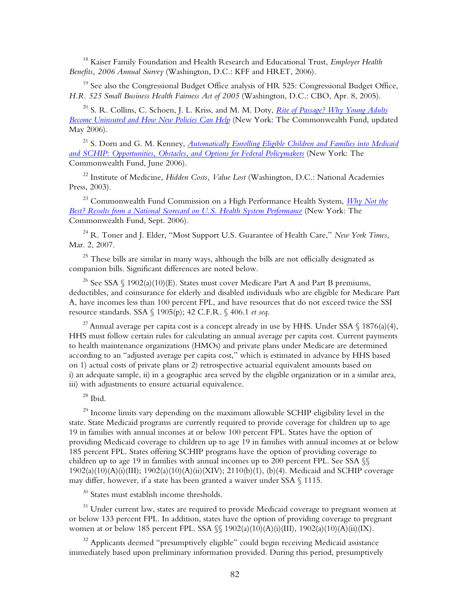18 Kaiser Family Foundation and Health Research and Educational Trust, *Employer Health Benefits, 2006 Annual Survey* (Washington, D.C.: KFF and HRET, 2006).

 $19$  See also the Congressional Budget Office analysis of HR 525: Congressional Budget Office, *H.R. 525 Small Business Health Fairness Act of 2005* (Washington, D.C.: CBO, Apr. 8, 2005).

20 S. R. Collins, C. Schoen, J. L. Kriss, and M. M. Doty, *[Rite of Passage? Why Young Adults](http://www.cmwf.org/publications/publications_show.htm?doc_id=374136)  [Become Uninsured and How New Policies Can Help](http://www.cmwf.org/publications/publications_show.htm?doc_id=374136)* (New York: The Commonwealth Fund, updated May 2006).

<sup>21</sup> S. Dorn and G. M. Kenney, *Automatically Enrolling Eligible Children and Families into Medicaid [and SCHIP: Opportunities, Obstacles, and Options for Federal Policymakers](http://www.cmwf.org/publications/publications_show.htm?doc_id=376814)* (New York: The Commonwealth Fund, June 2006).

22 Institute of Medicine, *Hidden Costs, Value Lost* (Washington, D.C.: National Academies Press, 2003).

23 Commonwealth Fund Commission on a High Performance Health System, *[Why Not the](http://www.cmwf.org/publications/publications_show.htm?doc_id=401577)  [Best? Results from a National Scorecard on U.S. Health System Performance](http://www.cmwf.org/publications/publications_show.htm?doc_id=401577)* (New York: The Commonwealth Fund, Sept. 2006).

24 R. Toner and J. Elder, "Most Support U.S. Guarantee of Health Care," *New York Times,* Mar. 2, 2007.

 $25$  These bills are similar in many ways, although the bills are not officially designated as companion bills. Significant differences are noted below.

<sup>26</sup> See SSA  $\S$  1902(a)(10)(E). States must cover Medicare Part A and Part B premiums, deductibles, and coinsurance for elderly and disabled individuals who are eligible for Medicare Part A, have incomes less than 100 percent FPL, and have resources that do not exceed twice the SSI resource standards. SSA § 1905(p); 42 C.F.R. § 406.1 *et seq.*

<sup>27</sup> Annual average per capita cost is a concept already in use by HHS. Under SSA  $\S$  1876(a)(4), HHS must follow certain rules for calculating an annual average per capita cost. Current payments to health maintenance organizations (HMOs) and private plans under Medicare are determined according to an "adjusted average per capita cost," which is estimated in advance by HHS based on 1) actual costs of private plans or 2) retrospective actuarial equivalent amounts based on i) an adequate sample, ii) in a geographic area served by the eligible organization or in a similar area, iii) with adjustments to ensure actuarial equivalence.

 $28$  Ibid.

<sup>29</sup> Income limits vary depending on the maximum allowable SCHIP eligibility level in the state. State Medicaid programs are currently required to provide coverage for children up to age 19 in families with annual incomes at or below 100 percent FPL. States have the option of providing Medicaid coverage to children up to age 19 in families with annual incomes at or below 185 percent FPL. States offering SCHIP programs have the option of providing coverage to children up to age 19 in families with annual incomes up to 200 percent FPL. See SSA §§ 1902(a)(10)(A)(i)(III); 1902(a)(10)(A)(ii)(XIV); 2110(b)(1), (b)(4). Medicaid and SCHIP coverage may differ, however, if a state has been granted a waiver under SSA  $\S$  1115.

<sup>30</sup> States must establish income thresholds.

 $31$  Under current law, states are required to provide Medicaid coverage to pregnant women at or below 133 percent FPL. In addition, states have the option of providing coverage to pregnant women at or below 185 percent FPL. SSA  $\$  1902(a)(10)(A)(i)(III), 1902(a)(10)(A)(ii)(IX).

 $32$  Applicants deemed "presumptively eligible" could begin receiving Medicaid assistance immediately based upon preliminary information provided. During this period, presumptively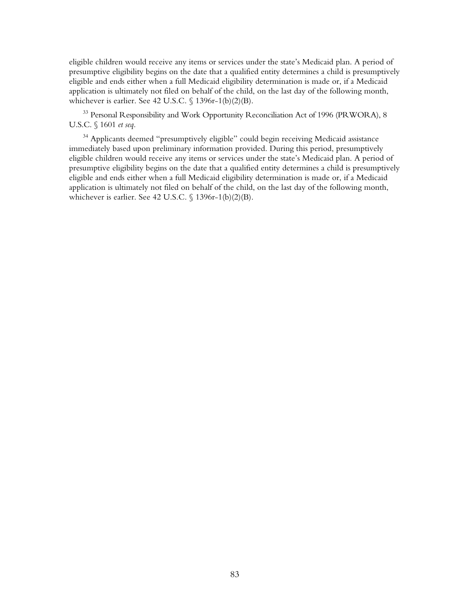eligible children would receive any items or services under the state's Medicaid plan. A period of presumptive eligibility begins on the date that a qualified entity determines a child is presumptively eligible and ends either when a full Medicaid eligibility determination is made or, if a Medicaid application is ultimately not filed on behalf of the child, on the last day of the following month, whichever is earlier. See 42 U.S.C. § 1396r-1(b)(2)(B).

<sup>33</sup> Personal Responsibility and Work Opportunity Reconciliation Act of 1996 (PRWORA), 8 U.S.C. § 1601 *et seq.*

<sup>34</sup> Applicants deemed "presumptively eligible" could begin receiving Medicaid assistance immediately based upon preliminary information provided. During this period, presumptively eligible children would receive any items or services under the state's Medicaid plan. A period of presumptive eligibility begins on the date that a qualified entity determines a child is presumptively eligible and ends either when a full Medicaid eligibility determination is made or, if a Medicaid application is ultimately not filed on behalf of the child, on the last day of the following month, whichever is earlier. See 42 U.S.C.  $\int$  1396r-1(b)(2)(B).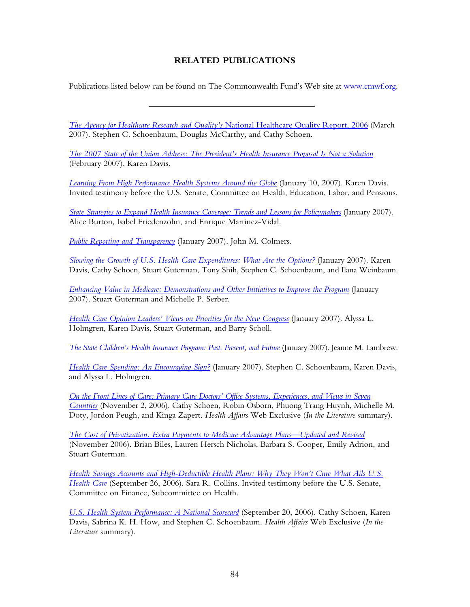#### **RELATED PUBLICATIONS**

Publications listed below can be found on The Commonwealth Fund's Web site at [www.cmwf.org.](http://www.cmwf.org/)

*[The Agency for Healthcare Research and Quality's](http://www.cmwf.org/publications/publications_show.htm?doc_id=468773)* National Healthcare Quality Report, 2006 (March 2007). Stephen C. Schoenbaum, Douglas McCarthy, and Cathy Schoen.

*[The 2007 State of the Union Address: The President's Health Insurance Proposal Is Not a Solution](http://www.cmwf.org/aboutus/aboutus_show.htm?doc_id=448217)* (February 2007). Karen Davis.

*[Learning From High Performance Health Systems Around the Globe](http://www.cmwf.org/publications/publications_show.htm?doc_id=441618)* (January 10, 2007). Karen Davis. Invited testimony before the U.S. Senate, Committee on Health, Education, Labor, and Pensions.

*[State Strategies to Expand Health Insurance Coverage: Trends and Lessons for Policymakers](http://www.cmwf.org/publications/publications_show.htm?doc_id=461903)* (January 2007). Alice Burton, Isabel Friedenzohn, and Enrique Martinez-Vidal.

*[Public Reporting and Transparency](http://www.cmwf.org/publications/publications_show.htm?doc_id=449503)* (January 2007). John M. Colmers.

*[Slowing the Growth of U.S. Health Care Expenditures: What Are the Options?](http://www.cmwf.org/publications/publications_show.htm?doc_id=449510)* (January 2007). Karen Davis, Cathy Schoen, Stuart Guterman, Tony Shih, Stephen C. Schoenbaum, and Ilana Weinbaum.

*[Enhancing Value in Medicare: Demonstrations and Other Initiatives to Improve the Program](http://www.cmwf.org/publications/publications_show.htm?doc_id=449512)* (January 2007). Stuart Guterman and Michelle P. Serber.

*[Health Care Opinion Leaders' Views on Priorities for the New Congress](http://www.cmwf.org/publications/publications_show.htm?doc_id=440730)* (January 2007). Alyssa L. Holmgren, Karen Davis, Stuart Guterman, and Barry Scholl.

*[The State Children's Health Insurance Program: Past, Present, and Future](http://www.cmwf.org/publications/publications_show.htm?doc_id=449518)* (January 2007). Jeanne M. Lambrew.

*[Health Care Spending: An Encouraging Sign?](http://www.cmwf.org/publications/publications_show.htm?doc_id=441355)* (January 2007). Stephen C. Schoenbaum, Karen Davis, and Alyssa L. Holmgren.

*[On the Front Lines of Care: Primary Care Doctors' Office Systems, Experiences, and Views in Seven](http://www.cmwf.org/publications/publications_show.htm?doc_id=419208)  [Countries](http://www.cmwf.org/publications/publications_show.htm?doc_id=419208)* (November 2, 2006). Cathy Schoen, Robin Osborn, Phuong Trang Huynh, Michelle M. Doty, Jordon Peugh, and Kinga Zapert. *Health Affairs* Web Exclusive (*In the Literature* summary).

*[The Cost of Privatization: Extra Payments to Medicare Advantage Plans—Updated and Revised](http://www.cmwf.org/publications/publications_show.htm?doc_id=428546)* (November 2006). Brian Biles, Lauren Hersch Nicholas, Barbara S. Cooper, Emily Adrion, and Stuart Guterman.

*[Health Savings Accounts and High-Deductible Health Plans: Why They Won't Cure What Ails U.S.](http://www.cmwf.org/publications/publications_show.htm?doc_id=405167)  [Health Care](http://www.cmwf.org/publications/publications_show.htm?doc_id=405167)* (September 26, 2006). Sara R. Collins. Invited testimony before the U.S. Senate, Committee on Finance, Subcommittee on Health.

*[U.S. Health System Performance: A National Scorecard](http://www.cmwf.org/publications/publications_show.htm?doc_id=403925)* (September 20, 2006). Cathy Schoen, Karen Davis, Sabrina K. H. How, and Stephen C. Schoenbaum. *Health Affairs* Web Exclusive (*In the Literature* summary).